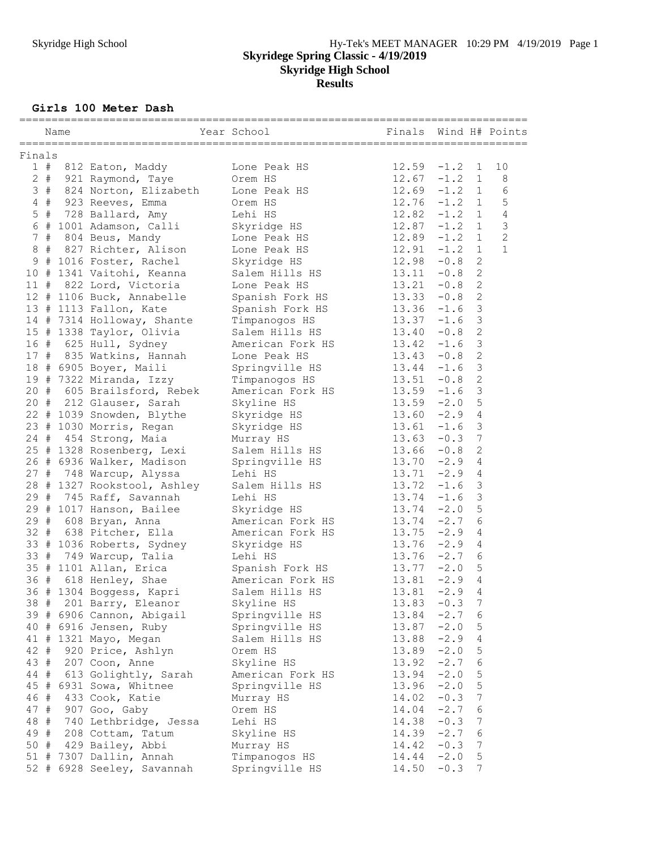#### **Girls 100 Meter Dash**

|        |       | Name |                                                      | Year School                    | Finals Wind H# Points |                  |                  |                |
|--------|-------|------|------------------------------------------------------|--------------------------------|-----------------------|------------------|------------------|----------------|
|        |       |      |                                                      |                                |                       |                  |                  |                |
| Finals |       |      | 1 # 812 Eaton, Maddy                                 | Lone Peak HS                   | 12.59                 | $-1.2$           | 1                | 10             |
|        |       |      | 2 # 921 Raymond, Taye                                | Orem HS                        | 12.67                 | $-1.2$           | $1\,$            | $\,8\,$        |
|        |       |      | 3 # 824 Norton, Elizabeth                            | Lone Peak HS                   | 12.69                 | $-1.2$           | $\mathbf{1}$     | $\epsilon$     |
|        | $4$ # |      | 923 Reeves, Emma                                     | Orem HS                        | 12.76                 | $-1.2$ 1         |                  | 5              |
|        | $5$ # |      | 728 Ballard, Amy                                     | Lehi HS                        | 12.82                 | $-1.2$           | $\mathbf{1}$     | $\sqrt{4}$     |
|        |       |      |                                                      |                                |                       | $-1.2$           | $\mathbf{1}$     | 3              |
|        | 7#    |      | 6 # 1001 Adamson, Calli                              | Skyridge HS                    | 12.87<br>12.89        | $-1.2$           | $\mathbf{1}$     | $\overline{c}$ |
|        |       |      | 804 Beus, Mandy<br>8 # 827 Richter, Alison           | Lone Peak HS                   |                       | $-1.2$           | $\mathbf{1}$     | $\mathbf{1}$   |
|        |       |      |                                                      | Lone Peak HS                   | 12.91<br>12.98        | $-0.8$           | $\overline{c}$   |                |
|        | 9#    |      | 1016 Foster, Rachel                                  | Skyridge HS                    | 13.11                 |                  | $\overline{c}$   |                |
|        |       |      | 10 # 1341 Vaitohi, Keanna<br>11 # 822 Lord, Victoria | Salem Hills HS<br>Lone Peak HS | 13.21                 | $-0.8$<br>$-0.8$ | $\overline{c}$   |                |
|        |       |      | 12 # 1106 Buck, Annabelle                            |                                |                       | $-0.8$           | $\mathbf{2}$     |                |
|        |       |      | 13 # 1113 Fallon, Kate                               | Spanish Fork HS                | 13.33                 | $-1.6$           | 3                |                |
|        |       |      |                                                      | Spanish Fork HS                | 13.36                 | $-1.6$           | $\mathsf 3$      |                |
|        |       |      | 14 # 7314 Holloway, Shante                           | Timpanogos HS                  | 13.37                 | $-0.8$           | $\sqrt{2}$       |                |
|        |       |      | 15 # 1338 Taylor, Olivia                             | Salem Hills HS                 | 13.40                 |                  |                  |                |
|        |       |      | 16 # 625 Hull, Sydney                                | American Fork HS               | 13.42                 | $-1.6$           | 3                |                |
|        |       |      | 17 # 835 Watkins, Hannah                             | Lone Peak HS                   | 13.43                 | $-0.8$           | $\mathbf{2}$     |                |
|        |       |      | 18 # 6905 Boyer, Maili                               | Springville HS                 | 13.44                 | $-1.6$           | 3                |                |
|        |       |      | 19 # 7322 Miranda, Izzy                              | Timpanogos HS                  | 13.51                 | $-0.8$           | $\overline{c}$   |                |
|        |       |      | 20 # 605 Brailsford, Rebek                           | American Fork HS               | 13.59                 | $-1.6$           | $\mathsf 3$      |                |
|        |       |      | 20 # 212 Glauser, Sarah                              | Skyline HS                     | 13.59                 | $-2.0$           | 5                |                |
|        |       |      | 22 # 1039 Snowden, Blythe                            | Skyridge HS                    | 13.60                 | $-2.9$           | 4                |                |
|        |       |      | 23 # 1030 Morris, Regan                              | Skyridge HS                    | 13.61                 | $-1.6$           | 3                |                |
|        |       |      | 24 # 454 Strong, Maia                                | Murray HS                      | 13.63                 | $-0.3$           | 7                |                |
|        |       |      | 25 # 1328 Rosenberg, Lexi                            | Salem Hills HS                 | 13.66                 | $-0.8$           | $\mathbf{2}$     |                |
|        |       |      | 26 # 6936 Walker, Madison                            | Springville HS                 | 13.70                 | $-2.9$           | 4                |                |
|        |       |      | 27 # 748 Warcup, Alyssa                              | Lehi HS                        | 13.71                 | $-2.9$           | 4                |                |
|        |       |      | 28 # 1327 Rookstool, Ashley                          | Salem Hills HS                 | 13.72                 | $-1.6$           | 3                |                |
|        |       |      | 29 # 745 Raff, Savannah                              | Lehi HS                        | 13.74                 | $-1.6$           | 3                |                |
|        |       |      | 29 # 1017 Hanson, Bailee                             | Skyridge HS                    | 13.74                 | $-2.0$           | 5                |                |
|        |       |      | 29 # 608 Bryan, Anna                                 | American Fork HS               | 13.74                 | $-2.7$           | 6                |                |
|        |       |      | 32 # 638 Pitcher, Ella                               | American Fork HS               | 13.75                 | $-2.9$           | $\overline{4}$   |                |
|        |       |      | 33 # 1036 Roberts, Sydney                            | Skyridge HS                    | 13.76                 | $-2.9$           | 4                |                |
|        | 33#   |      | 749 Warcup, Talia                                    | Lehi HS                        | 13.76                 | $-2.7$           | 6                |                |
|        |       |      | 35 # 1101 Allan, Erica                               | Spanish Fork HS                | 13.77                 | $-2.0$           | 5                |                |
| 36#    |       |      | 618 Henley, Shae                                     | American Fork HS               | 13.81                 | $-2.9$           | 4                |                |
|        |       |      | 36 # 1304 Boggess, Kapri                             | Salem Hills HS                 | 13.81                 | $-2.9$           | 4                |                |
| 38 #   |       |      | 201 Barry, Eleanor                                   | Skyline HS                     | 13.83                 | $-0.3$           | $\boldsymbol{7}$ |                |
|        |       |      | 39 # 6906 Cannon, Abigail                            | Springville HS                 | 13.84                 | $-2.7$           | 6                |                |
|        |       |      | 40 # 6916 Jensen, Ruby                               | Springville HS                 | 13.87                 | $-2.0$           | 5                |                |
| 41 #   |       |      | 1321 Mayo, Megan                                     | Salem Hills HS                 | 13.88                 | $-2.9$           | 4                |                |
| 42 #   |       |      | 920 Price, Ashlyn                                    | Orem HS                        | 13.89                 | $-2.0$           | 5                |                |
| 43 #   |       |      | 207 Coon, Anne                                       | Skyline HS                     | 13.92                 | $-2.7$           | 6                |                |
| 44 #   |       |      | 613 Golightly, Sarah                                 | American Fork HS               | 13.94                 | $-2.0$           | 5                |                |
|        |       |      | 45 # 6931 Sowa, Whitnee                              | Springville HS                 | 13.96                 | $-2.0$           | 5                |                |
| 46 #   |       |      | 433 Cook, Katie                                      | Murray HS                      | 14.02                 | $-0.3$           | $\boldsymbol{7}$ |                |
| 47 #   |       |      | 907 Goo, Gaby                                        | Orem HS                        | 14.04                 | $-2.7$           | 6                |                |
| 48     | #     |      | 740 Lethbridge, Jessa                                | Lehi HS                        | 14.38                 | $-0.3$           | 7                |                |
| 49 #   |       |      | 208 Cottam, Tatum                                    | Skyline HS                     | 14.39                 | $-2.7$           | $\epsilon$       |                |
| 50 #   |       |      | 429 Bailey, Abbi                                     | Murray HS                      | 14.42                 | $-0.3$           | $\boldsymbol{7}$ |                |
|        |       |      | 51 # 7307 Dallin, Annah                              | Timpanogos HS                  | 14.44                 | $-2.0$           | 5                |                |
|        |       |      | 52 # 6928 Seeley, Savannah                           | Springville HS                 | 14.50                 | $-0.3$           | 7                |                |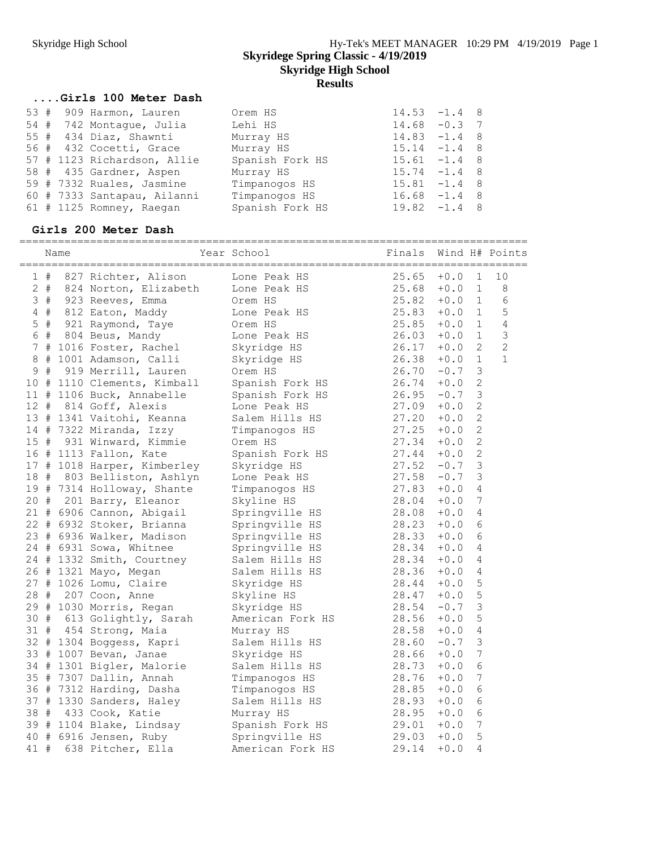#### **....Girls 100 Meter Dash**

|  | 53 # 909 Harmon, Lauren     | Orem HS         | $14.53 - 1.4$ 8 |  |
|--|-----------------------------|-----------------|-----------------|--|
|  | 54 # 742 Montaque, Julia    | Lehi HS         | $14.68 - 0.3$ 7 |  |
|  | 55 # 434 Diaz, Shawnti      | Murray HS       | $14.83 - 1.4$ 8 |  |
|  | 56 # 432 Cocetti, Grace     | Murray HS       | $15.14 -1.4$ 8  |  |
|  | 57 # 1123 Richardson, Allie | Spanish Fork HS | $15.61 -1.4$ 8  |  |
|  | 58 # 435 Gardner, Aspen     | Murray HS       | $15.74 - 1.4$ 8 |  |
|  | 59 # 7332 Ruales, Jasmine   | Timpanogos HS   | $15.81 - 1.4$ 8 |  |
|  | 60 # 7333 Santapau, Ailanni | Timpanogos HS   | $16.68 - 1.4$ 8 |  |
|  | 61 # 1125 Romney, Raegan    | Spanish Fork HS | $19.82 -1.4$ 8  |  |

#### **Girls 200 Meter Dash**

===============================================================================

|      | Name |                                     | Year School                      | Finals         |        |                  | Wind H# Points |
|------|------|-------------------------------------|----------------------------------|----------------|--------|------------------|----------------|
| 1#   |      | 827 Richter, Alison                 | Lone Peak HS                     | 25.65          | $+0.0$ | 1                | 10             |
|      |      | 2 # 824 Norton, Elizabeth           | Lone Peak HS                     | 25.68          | $+0.0$ | $\mathbf{1}$     | $8\,$          |
|      |      | 3 # 923 Reeves, Emma                | Orem HS                          | 25.82          | $+0.0$ | $\mathbf{1}$     | $\epsilon$     |
|      |      | 4 # 812 Eaton, Maddy                | Lone Peak HS                     | 25.83          | $+0.0$ | 1                | 5              |
|      |      | 5 # 921 Raymond, Taye 6 Orem HS     |                                  | 25.85          | $+0.0$ | $\mathbf 1$      | $\overline{4}$ |
|      |      | 6 # 804 Beus, Mandy                 |                                  | 26.03<br>26.17 | $+0.0$ | $\mathbf{1}$     | 3              |
|      |      | 7 # 1016 Foster, Rachel             | Lone Peak HS<br>Skyridge HS      |                | $+0.0$ | $\overline{2}$   | $\sqrt{2}$     |
|      |      | 8 # 1001 Adamson, Calli Skyridge HS |                                  | 26.38          | $+0.0$ | $\mathbf 1$      | $\mathbf{1}$   |
| 9#   |      | 919 Merrill, Lauren                 | Orem HS                          | 26.70          | $-0.7$ | 3                |                |
|      |      | 10 # 1110 Clements, Kimball         | Spanish Fork HS                  | 26.74          | $+0.0$ | $\overline{c}$   |                |
|      |      | 11 # 1106 Buck, Annabelle           | Spanish Fork HS                  | 26.95          | $-0.7$ | 3                |                |
|      |      | 12 # 814 Goff, Alexis               | Lone Peak HS                     | 27.09          | $+0.0$ | $\mathbf{2}$     |                |
|      |      | 13 # 1341 Vaitohi, Keanna           | Salem Hills HS                   | 27.20          | $+0.0$ | $\overline{c}$   |                |
|      |      | 14 # 7322 Miranda, Izzy             | Timpanogos HS                    | 27.25          | $+0.0$ | $\mathbf{2}$     |                |
|      |      | 15 # 931 Winward, Kimmie            | Orem HS                          | 27.34          | $+0.0$ | $\mathbf{2}$     |                |
|      |      | 16 # 1113 Fallon, Kate              | Spanish Fork HS 27.44            |                | $+0.0$ | $\overline{c}$   |                |
|      |      | 17 # 1018 Harper, Kimberley         | Skyridge HS                      | 27.52          | $-0.7$ | $\mathsf 3$      |                |
|      |      | 18 # 803 Belliston, Ashlyn          | Lone Peak HS                     | 27.58          | $-0.7$ | 3                |                |
|      |      | 19 # 7314 Holloway, Shante          | Timpanogos HS                    | 27.83          | $+0.0$ | $\overline{4}$   |                |
|      |      | 20 # 201 Barry, Eleanor             | Skyline HS                       | 28.04          | $+0.0$ | 7                |                |
|      |      | 21 # 6906 Cannon, Abigail           | Springville HS                   | 28.08          | $+0.0$ | 4                |                |
|      |      | 22 # 6932 Stoker, Brianna           | Springville HS<br>Springville HS | 28.23          | $+0.0$ | 6                |                |
|      |      | 23 # 6936 Walker, Madison           |                                  | 28.33          | $+0.0$ | 6                |                |
|      |      | 24 # 6931 Sowa, Whitnee             | Springville HS                   | 28.34          | $+0.0$ | 4                |                |
|      |      | 24 # 1332 Smith, Courtney           | Salem Hills HS                   | 28.34          | $+0.0$ | 4                |                |
|      |      | 26 # 1321 Mayo, Megan               | Salem Hills HS                   | 28.36          | $+0.0$ | 4                |                |
|      |      | 27 # 1026 Lomu, Claire              | Skyridge HS                      | 28.44          | $+0.0$ | 5                |                |
|      |      | 28 # 207 Coon, Anne                 | Skyline HS                       | 28.47          | $+0.0$ | 5                |                |
|      |      | 29 # 1030 Morris, Regan             | Skyridge HS                      | 28.54          | $-0.7$ | 3                |                |
|      |      | 30 # 613 Golightly, Sarah           | American Fork HS                 | 28.56          | $+0.0$ | 5                |                |
|      |      | 31 # 454 Strong, Maia               | Murray HS                        | 28.58          | $+0.0$ | $\sqrt{4}$       |                |
|      |      | 32 # 1304 Boggess, Kapri            | Salem Hills HS                   | 28.60          | $-0.7$ | 3                |                |
|      |      | 33 # 1007 Bevan, Janae              | Skyridge HS                      | 28.66          | $+0.0$ | $\boldsymbol{7}$ |                |
|      |      | 34 # 1301 Bigler, Malorie           | Salem Hills HS                   | 28.73          | $+0.0$ | 6                |                |
|      |      | 35 # 7307 Dallin, Annah             | Timpanogos HS                    | 28.76          | $+0.0$ | $\boldsymbol{7}$ |                |
|      |      | 36 # 7312 Harding, Dasha            | Timpanogos HS                    | 28.85          | $+0.0$ | 6                |                |
|      |      | 37 # 1330 Sanders, Haley            | Salem Hills HS                   | 28.93          | $+0.0$ | 6                |                |
|      |      | 38 # 433 Cook, Katie                | Murray HS                        | 28.95          | $+0.0$ | 6                |                |
|      |      | 39 # 1104 Blake, Lindsay            | Spanish Fork HS                  | 29.01          | $+0.0$ | $\boldsymbol{7}$ |                |
|      |      | 40 # 6916 Jensen, Ruby              | Springville HS                   | 29.03          | $+0.0$ | 5                |                |
| 41 # |      | 638 Pitcher, Ella                   | American Fork HS                 | 29.14          | $+0.0$ | 4                |                |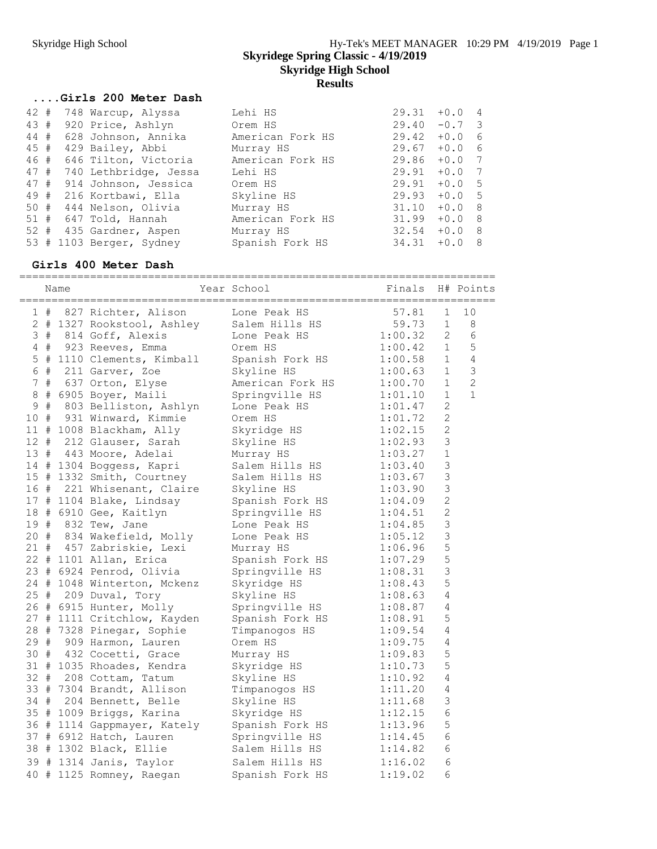#### **....Girls 200 Meter Dash**

| 42 # | 748 Warcup, Alyssa        | Lehi HS          | 29.31 | $+0.0$   | $\overline{4}$ |
|------|---------------------------|------------------|-------|----------|----------------|
| 43 # | 920 Price, Ashlyn         | Orem HS          | 29.40 | $-0.7$   | - 3            |
| 44#  | 628 Johnson, Annika       | American Fork HS | 29.42 | $+0.0$   | 6              |
|      | 45 # 429 Bailey, Abbi     | Murray HS        | 29.67 | $+0.0$   | 6              |
|      | 46 # 646 Tilton, Victoria | American Fork HS | 29.86 | $+0.0$   | $\overline{7}$ |
| 47#  | 740 Lethbridge, Jessa     | Lehi HS          | 29.91 | $+0.0$   | - 7            |
| 47#  | 914 Johnson, Jessica      | Orem HS          | 29.91 | $+0.0$ 5 |                |
| 49#  | 216 Kortbawi, Ella        | Skyline HS       | 29.93 | $+0.0$   | - 5            |
|      | 50 # 444 Nelson, Olivia   | Murray HS        | 31.10 | $+0.0$   | - 8            |
|      | 51 # 647 Told, Hannah     | American Fork HS | 31.99 | $+0.0$   | - 8            |
|      | 52 # 435 Gardner, Aspen   | Murray HS        | 32.54 | $+0.0$   | - 8            |
|      | 53 # 1103 Berger, Sydney  | Spanish Fork HS  | 34.31 | $+0.0$   | - 8            |

#### **Girls 400 Meter Dash**

========================================================================== Name The Year School The Finals H# Points ========================================================================== 1 # 827 Richter, Alison Lone Peak HS 57.81 1 10 2 # 1327 Rookstool, Ashley Salem Hills HS 59.73 1 8 3 # 814 Goff, Alexis Lone Peak HS 1:00.32 2 6 4 # 923 Reeves, Emma Orem HS 1:00.42 1 5 5 # 1110 Clements, Kimball Spanish Fork HS 1:00.58 1 4 6 # 211 Garver, Zoe Skyline HS 1:00.63 1 3 7 # 637 Orton, Elyse American Fork HS 1:00.70 1 2 8 # 6905 Boyer, Maili Springville HS 1:01.10 1 1 9 # 803 Belliston, Ashlyn Lone Peak HS 1:01.47 2 10 # 931 Winward, Kimmie Orem HS 1:01.72 2 11 # 1008 Blackham, Ally Skyridge HS 1:02.15 2 12 # 212 Glauser, Sarah Skyline HS 1:02.93 3 13 # 443 Moore, Adelai Murray HS 1:03.27 1 14 # 1304 Boggess, Kapri Salem Hills HS 1:03.40 3 15 # 1332 Smith, Courtney Salem Hills HS 1:03.67 3 16 # 221 Whisenant, Claire Skyline HS 1:03.90 3 17 # 1104 Blake, Lindsay Spanish Fork HS 1:04.09 2 18 # 6910 Gee, Kaitlyn Springville HS 1:04.51 2 19 # 832 Tew, Jane Lone Peak HS 1:04.85 3 20 # 834 Wakefield, Molly Lone Peak HS 1:05.12 3 21 # 457 Zabriskie, Lexi Murray HS 1:06.96 5 22 # 1101 Allan, Erica Spanish Fork HS 1:07.29 5 23 # 6924 Penrod, Olivia Springville HS 1:08.31 3 24 # 1048 Winterton, Mckenz Skyridge HS 1:08.43 5 25 # 209 Duval, Tory Skyline HS 1:08.63 4 26 # 6915 Hunter, Molly Springville HS 1:08.87 4 27 # 1111 Critchlow, Kayden Spanish Fork HS 1:08.91 5 28 # 7328 Pinegar, Sophie Timpanogos HS 1:09.54 4 29 # 909 Harmon, Lauren Orem HS 1:09.75 4 30 # 432 Cocetti, Grace Murray HS 1:09.83 5 31 # 1035 Rhoades, Kendra Skyridge HS 1:10.73 5 32 # 208 Cottam, Tatum Skyline HS 1:10.92 4 33 # 7304 Brandt, Allison Timpanogos HS 1:11.20 4 34 # 204 Bennett, Belle Skyline HS 1:11.68 3 35 # 1009 Briggs, Karina Skyridge HS 1:12.15 6 36 # 1114 Gappmayer, Kately Spanish Fork HS 1:13.96 5 37 # 6912 Hatch, Lauren Springville HS 1:14.45 6 38 # 1302 Black, Ellie Salem Hills HS 1:14.82 6 39 # 1314 Janis, Taylor Salem Hills HS 1:16.02 6 40 # 1125 Romney, Raegan Spanish Fork HS 1:19.02 6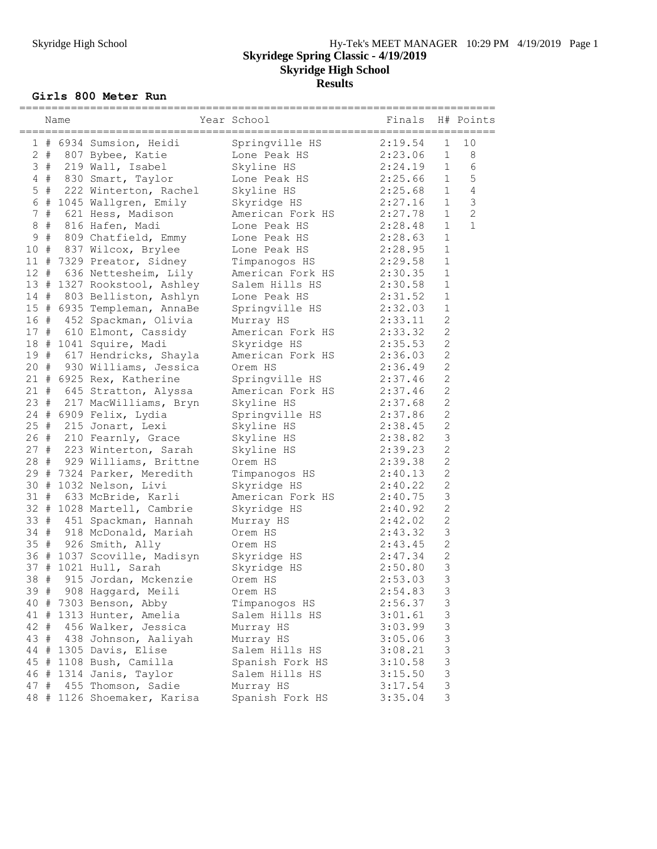## **Girls 800 Meter Run**

|        |       | Name |                             | Year School      | Finals  |                           | H# Points      |
|--------|-------|------|-----------------------------|------------------|---------|---------------------------|----------------|
|        |       |      | 1 # 6934 Sumsion, Heidi     | Springville HS   | 2:19.54 | $\mathbf 1$               | 10             |
|        | $2$ # |      | 807 Bybee, Katie            | Lone Peak HS     | 2:23.06 | $\mathbf 1$               | 8              |
|        | 3#    |      | 219 Wall, Isabel            | Skyline HS       | 2:24.19 | $\mathbf{1}$              | $\sqrt{6}$     |
|        | $4$ # |      | 830 Smart, Taylor           | Lone Peak HS     | 2:25.66 | $\mathbf{1}$              | 5              |
|        | $5$ # |      | 222 Winterton, Rachel       | Skyline HS       | 2:25.68 | $\mathbf{1}$              | $\sqrt{4}$     |
| 6      |       |      | # 1045 Wallgren, Emily      | Skyridge HS      | 2:27.16 | $\mathbf{1}$              | $\mathsf 3$    |
| 7      | #     |      | 621 Hess, Madison           | American Fork HS | 2:27.78 | $\mathbf{1}$              | $\overline{2}$ |
| 8      | $\#$  |      | 816 Hafen, Madi             | Lone Peak HS     | 2:28.48 | $\mathbf{1}$              | $\mathbf{1}$   |
| 9      | #     |      | 809 Chatfield, Emmy         | Lone Peak HS     | 2:28.63 | $\mathbf{1}$              |                |
| 10#    |       |      | 837 Wilcox, Brylee          | Lone Peak HS     | 2:28.95 | $\mathbf{1}$              |                |
|        |       |      | 11 # 7329 Preator, Sidney   | Timpanogos HS    | 2:29.58 | $\mathbf{1}$              |                |
| 12 #   |       |      | 636 Nettesheim, Lily        | American Fork HS | 2:30.35 | $\mathbf{1}$              |                |
|        |       |      | 13 # 1327 Rookstool, Ashley | Salem Hills HS   | 2:30.58 | $\mathbf{1}$              |                |
| 14#    |       |      | 803 Belliston, Ashlyn       | Lone Peak HS     | 2:31.52 | $\mathbf{1}$              |                |
|        |       |      | 15 # 6935 Templeman, AnnaBe | Springville HS   | 2:32.03 | $\mathbf 1$               |                |
|        |       |      | 16 # 452 Spackman, Olivia   | Murray HS        | 2:33.11 | $\overline{c}$            |                |
|        |       |      | 17 # 610 Elmont, Cassidy    | American Fork HS | 2:33.32 | $\mathbf{2}$              |                |
|        |       |      | 18 # 1041 Squire, Madi      | Skyridge HS      | 2:35.53 | $\sqrt{2}$                |                |
| 19#    |       |      | 617 Hendricks, Shayla       | American Fork HS | 2:36.03 | $\mathbf{2}$              |                |
| $20 +$ |       |      | 930 Williams, Jessica       | Orem HS          | 2:36.49 | $\overline{2}$            |                |
|        |       |      | 21 # 6925 Rex, Katherine    | Springville HS   | 2:37.46 | $\overline{c}$            |                |
|        |       |      | 21 # 645 Stratton, Alyssa   | American Fork HS | 2:37.46 | $\mathbf{2}$              |                |
| 23#    |       |      | 217 MacWilliams, Bryn       | Skyline HS       | 2:37.68 | $\overline{c}$            |                |
|        |       |      | 24 # 6909 Felix, Lydia      | Springville HS   | 2:37.86 | $\sqrt{2}$                |                |
| 25#    |       |      | 215 Jonart, Lexi            | Skyline HS       | 2:38.45 | $\overline{c}$            |                |
| 26 #   |       |      | 210 Fearnly, Grace          | Skyline HS       | 2:38.82 | 3                         |                |
| 27#    |       |      | 223 Winterton, Sarah        | Skyline HS       | 2:39.23 | $\overline{c}$            |                |
| 28#    |       |      | 929 Williams, Brittne       | Orem HS          | 2:39.38 | $\overline{c}$            |                |
|        |       |      | 29 # 7324 Parker, Meredith  | Timpanogos HS    | 2:40.13 | $\mathbf{2}$              |                |
|        |       |      | 30 # 1032 Nelson, Livi      | Skyridge HS      | 2:40.22 | $\overline{c}$            |                |
| 31#    |       |      | 633 McBride, Karli          | American Fork HS | 2:40.75 | 3                         |                |
|        |       |      | 32 # 1028 Martell, Cambrie  | Skyridge HS      | 2:40.92 | $\overline{2}$            |                |
|        |       |      | 33 # 451 Spackman, Hannah   | Murray HS        | 2:42.02 | $\overline{c}$            |                |
| 34 #   |       |      | 918 McDonald, Mariah        | Orem HS          | 2:43.32 | $\mathfrak{Z}$            |                |
| 35#    |       |      | 926 Smith, Ally             | Orem HS          | 2:43.45 | $\mathbf{2}$              |                |
|        |       |      | 36 # 1037 Scoville, Madisyn | Skyridge HS      | 2:47.34 | $\sqrt{2}$                |                |
|        |       |      | 37 # 1021 Hull, Sarah       | Skyridge HS      | 2:50.80 | $\mathfrak{Z}$            |                |
| 38     | #     |      | 915 Jordan, Mckenzie        | Orem HS          | 2:53.03 | 3                         |                |
|        |       |      | 39 # 908 Haggard, Meili     | Orem HS          | 2:54.83 | 3                         |                |
|        |       |      | 40 # 7303 Benson, Abby      | Timpanogos HS    | 2:56.37 | 3                         |                |
|        |       |      | 41 # 1313 Hunter, Amelia    | Salem Hills HS   | 3:01.61 | $\ensuremath{\mathsf{3}}$ |                |
| 42 #   |       |      | 456 Walker, Jessica         | Murray HS        | 3:03.99 | $\mathsf 3$               |                |
| 43 #   |       |      | 438 Johnson, Aaliyah        | Murray HS        | 3:05.06 | $\mathsf 3$               |                |
|        |       |      | 44 # 1305 Davis, Elise      | Salem Hills HS   | 3:08.21 | $\mathsf 3$               |                |
|        |       |      | 45 # 1108 Bush, Camilla     | Spanish Fork HS  | 3:10.58 | $\mathsf 3$               |                |
|        |       |      | 46 # 1314 Janis, Taylor     | Salem Hills HS   | 3:15.50 | $\mathsf 3$               |                |
|        |       |      | 47 # 455 Thomson, Sadie     | Murray HS        | 3:17.54 | 3                         |                |
|        |       |      | 48 # 1126 Shoemaker, Karisa | Spanish Fork HS  | 3:35.04 | 3                         |                |
|        |       |      |                             |                  |         |                           |                |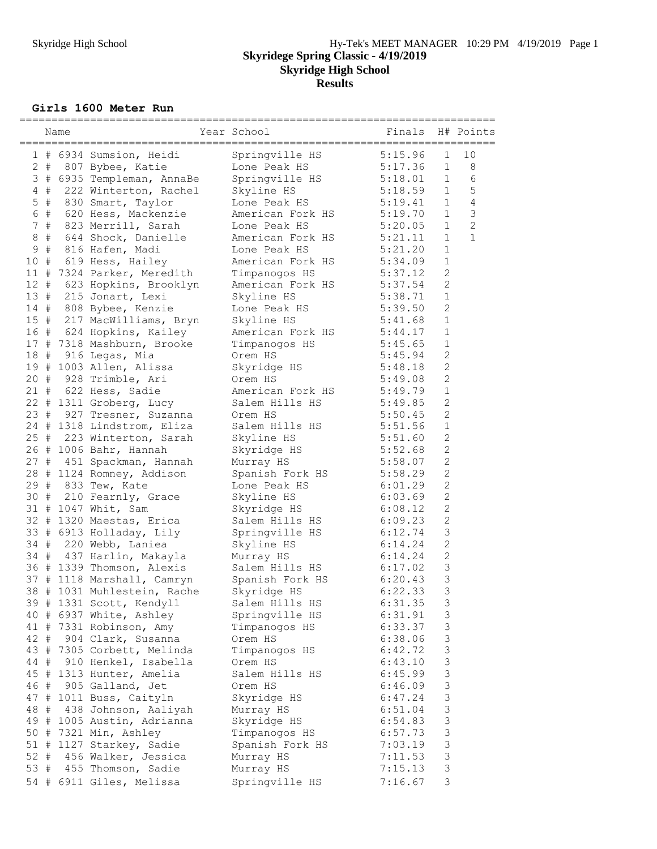#### **Girls 1600 Meter Run**

|                 |       | :============= |                            |                  |         |                           |                |
|-----------------|-------|----------------|----------------------------|------------------|---------|---------------------------|----------------|
|                 |       | Name           |                            | Year School      | Finals  |                           | H# Points      |
|                 |       |                | 1 # 6934 Sumsion, Heidi    | Springville HS   | 5:15.96 | $\mathbf 1$               | 10             |
|                 | $2 +$ |                | 807 Bybee, Katie           | Lone Peak HS     | 5:17.36 | $\mathbf{1}$              | 8              |
|                 |       |                | 3 # 6935 Templeman, AnnaBe | Springville HS   | 5:18.01 | $\mathbf{1}$              | $\epsilon$     |
|                 | $4$ # |                | 222 Winterton, Rachel      | Skyline HS       | 5:18.59 | $\mathbf{1}$              | $\mathsf S$    |
|                 | $5$ # |                | 830 Smart, Taylor          | Lone Peak HS     | 5:19.41 | 1                         | 4              |
| $6\overline{6}$ | #     |                | 620 Hess, Mackenzie        | American Fork HS | 5:19.70 | 1                         | $\mathfrak{Z}$ |
| 7 <sup>7</sup>  | #     |                | 823 Merrill, Sarah         | Lone Peak HS     | 5:20.05 | $\mathbf{1}$              | $\overline{c}$ |
| $8\,$           | #     |                | 644 Shock, Danielle        | American Fork HS | 5:21.11 | $\mathbf{1}$              | $\mathbf{1}$   |
| $\mathsf 9$     | $\#$  |                | 816 Hafen, Madi            | Lone Peak HS     | 5:21.20 | $\mathbf 1$               |                |
| 10 #            |       |                | 619 Hess, Hailey           | American Fork HS | 5:34.09 | $\mathbf{1}$              |                |
|                 |       |                | 11 # 7324 Parker, Meredith | Timpanogos HS    | 5:37.12 | $\mathbf{2}$              |                |
| 12#             |       |                | 623 Hopkins, Brooklyn      | American Fork HS | 5:37.54 | $\mathbf{2}$              |                |
| 13#             |       |                | 215 Jonart, Lexi           | Skyline HS       | 5:38.71 | $\mathbf{1}$              |                |
| 14#             |       |                | 808 Bybee, Kenzie          | Lone Peak HS     | 5:39.50 | $\mathbf{2}$              |                |
|                 |       |                | 15 # 217 MacWilliams, Bryn | Skyline HS       | 5:41.68 | $\mathbf 1$               |                |
|                 |       |                | 16 # 624 Hopkins, Kailey   | American Fork HS | 5:44.17 | $\mathbf{1}$              |                |
|                 |       |                | 17 # 7318 Mashburn, Brooke | Timpanogos HS    | 5:45.65 | $\mathbf 1$               |                |
|                 |       |                | 18 # 916 Legas, Mia        | Orem HS          | 5:45.94 | $\mathbf{2}$              |                |
|                 |       |                | 19 # 1003 Allen, Alissa    | Skyridge HS      | 5:48.18 | $\overline{c}$            |                |
|                 |       |                | 20 # 928 Trimble, Ari      | Orem HS          | 5:49.08 | $\overline{c}$            |                |
|                 |       |                | 21 # 622 Hess, Sadie       | American Fork HS | 5:49.79 | $1\,$                     |                |
|                 |       |                | 22 # 1311 Groberg, Lucy    | Salem Hills HS   | 5:49.85 | $\overline{c}$            |                |
|                 |       |                | 23 # 927 Tresner, Suzanna  | Orem HS          | 5:50.45 | $\mathbf{2}$              |                |
|                 |       |                | 24 # 1318 Lindstrom, Eliza | Salem Hills HS   | 5:51.56 | $\mathbf{1}$              |                |
|                 |       |                | 25 # 223 Winterton, Sarah  | Skyline HS       | 5:51.60 | $\mathbf{2}$              |                |
|                 |       |                | 26 # 1006 Bahr, Hannah     | Skyridge HS      | 5:52.68 | $\overline{c}$            |                |
|                 |       |                | 27 # 451 Spackman, Hannah  | Murray HS        | 5:58.07 | $\mathbf{2}$              |                |
|                 |       |                | 28 # 1124 Romney, Addison  | Spanish Fork HS  | 5:58.29 | $\mathbf{2}$              |                |
|                 |       |                | 29 # 833 Tew, Kate         | Lone Peak HS     | 6:01.29 | $\mathbf{2}$              |                |
|                 |       |                | 30 # 210 Fearnly, Grace    | Skyline HS       | 6:03.69 | $\mathbf{2}$              |                |
|                 |       |                | 31 # 1047 Whit, Sam        | Skyridge HS      | 6:08.12 | $\mathbf{2}$              |                |
|                 |       |                | 32 # 1320 Maestas, Erica   | Salem Hills HS   | 6:09.23 | $\sqrt{2}$                |                |
|                 |       |                | 33 # 6913 Holladay, Lily   | Springville HS   | 6:12.74 | $\mathsf 3$               |                |
|                 |       |                | 34 # 220 Webb, Laniea      | Skyline HS       | 6:14.24 | $\mathbf{2}$              |                |
|                 |       |                | 34 # 437 Harlin, Makayla   | Murray HS        | 6:14.24 | $\sqrt{2}$                |                |
|                 |       |                | 36 # 1339 Thomson, Alexis  | Salem Hills HS   | 6:17.02 | $\mathsf 3$               |                |
|                 |       |                | 37 # 1118 Marshall, Camryn | Spanish Fork HS  | 6:20.43 | $\mathfrak{Z}$            |                |
| 38              |       |                | # 1031 Muhlestein, Rache   | Skyridge HS      | 6:22.33 | 3                         |                |
|                 |       |                | 39 # 1331 Scott, Kendyll   | Salem Hills HS   | 6:31.35 | $\mathsf 3$               |                |
|                 |       |                | 40 # 6937 White, Ashley    | Springville HS   | 6:31.91 | $\ensuremath{\mathsf{3}}$ |                |
|                 |       |                | 41 # 7331 Robinson, Amy    | Timpanogos HS    | 6:33.37 | 3                         |                |
| 42 #            |       |                | 904 Clark, Susanna         | Orem HS          | 6:38.06 | 3                         |                |
|                 |       |                | 43 # 7305 Corbett, Melinda | Timpanogos HS    | 6:42.72 | 3                         |                |
| 44 #            |       |                | 910 Henkel, Isabella       | Orem HS          | 6:43.10 | $\mathsf 3$               |                |
|                 |       |                | 45 # 1313 Hunter, Amelia   | Salem Hills HS   | 6:45.99 | $\mathfrak{Z}$            |                |
|                 |       |                | 46 # 905 Galland, Jet      | Orem HS          | 6:46.09 | $\ensuremath{\mathsf{3}}$ |                |
|                 |       |                | 47 # 1011 Buss, Caityln    | Skyridge HS      | 6:47.24 | 3                         |                |
|                 |       |                | 48 # 438 Johnson, Aaliyah  | Murray HS        | 6:51.04 | $\ensuremath{\mathsf{3}}$ |                |
|                 |       |                | 49 # 1005 Austin, Adrianna | Skyridge HS      | 6:54.83 | $\ensuremath{\mathsf{3}}$ |                |
|                 |       |                | 50 # 7321 Min, Ashley      | Timpanogos HS    | 6:57.73 | $\mathsf 3$               |                |
|                 |       |                | 51 # 1127 Starkey, Sadie   | Spanish Fork HS  | 7:03.19 | $\mathsf 3$               |                |
| 52 #            |       |                | 456 Walker, Jessica        | Murray HS        | 7:11.53 | $\mathfrak{Z}$            |                |
| 53 #            |       |                | 455 Thomson, Sadie         | Murray HS        | 7:15.13 | 3                         |                |
|                 |       |                | 54 # 6911 Giles, Melissa   | Springville HS   | 7:16.67 | $\mathfrak{Z}$            |                |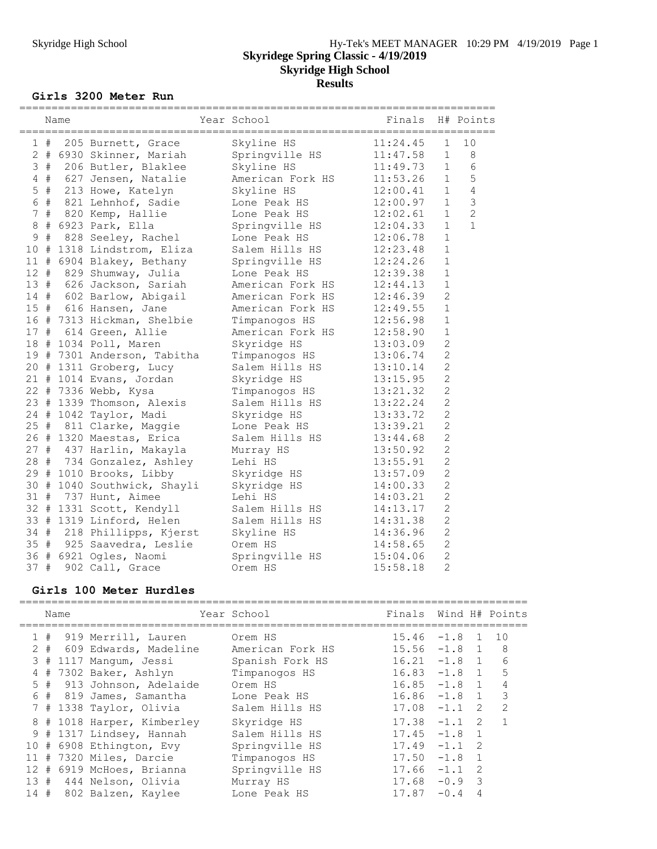#### **Girls 3200 Meter Run**

|                |       | Name |                             | Year School      | ===============================<br>Finals |                | H# Points      |
|----------------|-------|------|-----------------------------|------------------|-------------------------------------------|----------------|----------------|
|                | 1#    |      | 205 Burnett, Grace          | Skyline HS       | 11:24.45                                  | 1              | 10             |
|                |       |      | 2 # 6930 Skinner, Mariah    | Springville HS   | 11:47.58                                  | $\mathbf{1}$   | 8              |
|                | 3#    |      | 206 Butler, Blaklee         | Skyline HS       | 11:49.73                                  | $\mathbf{1}$   | 6              |
|                | $4$ # |      | 627 Jensen, Natalie         | American Fork HS | 11:53.26                                  | 1              | 5              |
| 5 <sup>5</sup> | #     |      | 213 Howe, Katelyn           | Skyline HS       | 12:00.41                                  | 1              | $\overline{4}$ |
| 6              | #     |      | 821 Lehnhof, Sadie          | Lone Peak HS     | 12:00.97                                  | 1              | $\mathfrak{Z}$ |
| 7 <sup>7</sup> | $\#$  |      | 820 Kemp, Hallie            | Lone Peak HS     | 12:02.61                                  | $\mathbf{1}$   | $\overline{2}$ |
| 8              | #     |      | 6923 Park, Ella             | Springville HS   | 12:04.33                                  | $\mathbf{1}$   | $\mathbf{1}$   |
| 9              | $\#$  |      | 828 Seeley, Rachel          | Lone Peak HS     | 12:06.78                                  | $\mathbf{1}$   |                |
| 10             |       |      | # 1318 Lindstrom, Eliza     | Salem Hills HS   | 12:23.48                                  | $\mathbf{1}$   |                |
|                |       |      | 11 # 6904 Blakey, Bethany   | Springville HS   | 12:24.26                                  | $\mathbf{1}$   |                |
|                |       |      | 12 # 829 Shumway, Julia     | Lone Peak HS     | 12:39.38                                  | $\mathbf{1}$   |                |
|                |       |      | 13 # 626 Jackson, Sariah    | American Fork HS | 12:44.13                                  | $\mathbf 1$    |                |
|                |       |      | 14 # 602 Barlow, Abigail    | American Fork HS | 12:46.39                                  | $\overline{2}$ |                |
|                |       |      | 15 # 616 Hansen, Jane       | American Fork HS | 12:49.55                                  | $\mathbf{1}$   |                |
|                |       |      | 16 # 7313 Hickman, Shelbie  | Timpanogos HS    | 12:56.98                                  | $\mathbf{1}$   |                |
|                |       |      | 17 # 614 Green, Allie       | American Fork HS | 12:58.90                                  | $\mathbf{1}$   |                |
|                |       |      | 18 # 1034 Poll, Maren       | Skyridge HS      | 13:03.09                                  | $\overline{c}$ |                |
|                |       |      | 19 # 7301 Anderson, Tabitha | Timpanogos HS    | 13:06.74                                  | $\overline{c}$ |                |
|                |       |      | 20 # 1311 Groberg, Lucy     | Salem Hills HS   | 13:10.14                                  | $\overline{c}$ |                |
|                |       |      | 21 # 1014 Evans, Jordan     | Skyridge HS      | 13:15.95                                  | $\overline{2}$ |                |
|                |       |      | 22 # 7336 Webb, Kysa        | Timpanogos HS    | 13:21.32                                  | $\overline{c}$ |                |
|                |       |      | 23 # 1339 Thomson, Alexis   | Salem Hills HS   | 13:22.24                                  | $\overline{c}$ |                |
|                |       |      | 24 # 1042 Taylor, Madi      | Skyridge HS      | 13:33.72                                  | $\overline{2}$ |                |
|                |       |      | 25 # 811 Clarke, Maggie     | Lone Peak HS     | 13:39.21                                  | $\overline{2}$ |                |
|                |       |      | 26 # 1320 Maestas, Erica    | Salem Hills HS   | 13:44.68                                  | $\overline{c}$ |                |
|                |       |      | 27 # 437 Harlin, Makayla    | Murray HS        | 13:50.92                                  | $\overline{2}$ |                |
|                |       |      | 28 # 734 Gonzalez, Ashley   | Lehi HS          | 13:55.91                                  | $\overline{c}$ |                |
|                |       |      | 29 # 1010 Brooks, Libby     | Skyridge HS      | 13:57.09                                  | $\overline{2}$ |                |
|                |       |      | 30 # 1040 Southwick, Shayli | Skyridge HS      | 14:00.33                                  | $\overline{c}$ |                |
|                |       |      | 31 # 737 Hunt, Aimee        | Lehi HS          | 14:03.21                                  | $\overline{2}$ |                |
|                |       |      | 32 # 1331 Scott, Kendyll    | Salem Hills HS   | 14:13.17                                  | $\overline{2}$ |                |
|                |       |      | 33 # 1319 Linford, Helen    | Salem Hills HS   | 14:31.38                                  | $\overline{2}$ |                |
|                |       |      | 34 # 218 Phillipps, Kjerst  | Skyline HS       | 14:36.96                                  | $\overline{2}$ |                |
|                |       |      | 35 # 925 Saavedra, Leslie   | Orem HS          | 14:58.65                                  | $\overline{c}$ |                |
|                |       |      | 36 # 6921 Ogles, Naomi      | Springville HS   | 15:04.06                                  | $\overline{2}$ |                |
| 37 #           |       |      | 902 Call, Grace             | Orem HS          | 15:58.18                                  | $\overline{2}$ |                |

## **Girls 100 Meter Hurdles**

|     |           | Name |                            | Year School      | Finals |          |                | Wind H# Points |
|-----|-----------|------|----------------------------|------------------|--------|----------|----------------|----------------|
|     | 1#        |      | 919 Merrill, Lauren        | Orem HS          | 15.46  | $-1.8$   | $\overline{1}$ | 10             |
|     | $2 \pm 1$ |      | 609 Edwards, Madeline      | American Fork HS | 15.56  | $-1.8$ 1 |                | 8              |
|     |           |      | 3 # 1117 Mangum, Jessi     | Spanish Fork HS  | 16.21  | $-1.8$   | $\overline{1}$ | 6              |
| 4   |           |      | # 7302 Baker, Ashlyn       | Timpanogos HS    | 16.83  | $-1.8$   | $\overline{1}$ | 5              |
|     |           |      | 5 # 913 Johnson, Adelaide  | Orem HS          | 16.85  | $-1.8$   | 1              | 4              |
| 6   | #         |      | 819 James, Samantha        | Lone Peak HS     | 16.86  | $-1.8$   | $\mathbf{1}$   | 3              |
|     |           |      | 7 # 1338 Taylor, Olivia    | Salem Hills HS   | 17.08  | $-1.1$   | 2              | $\mathcal{L}$  |
|     |           |      | 8 # 1018 Harper, Kimberley | Skyridge HS      | 17.38  | $-1.1$   | $\mathcal{L}$  |                |
|     |           |      | 9 # 1317 Lindsey, Hannah   | Salem Hills HS   | 17.45  | $-1.8$   |                |                |
| 10  |           |      | # 6908 Ethington, Evy      | Springville HS   | 17.49  | $-1.1$   | $\mathcal{P}$  |                |
|     |           |      | 11 # 7320 Miles, Darcie    | Timpanogos HS    | 17.50  | $-1.8$   |                |                |
| 12  | #         |      | 6919 McHoes, Brianna       | Springville HS   | 17.66  | $-1.1$   | 2              |                |
| 13# |           |      | 444 Nelson, Olivia         | Murray HS        | 17.68  | $-0.9$   | 3              |                |
| 14# |           |      | 802 Balzen, Kaylee         | Lone Peak HS     | 17.87  | $-0.4$   | 4              |                |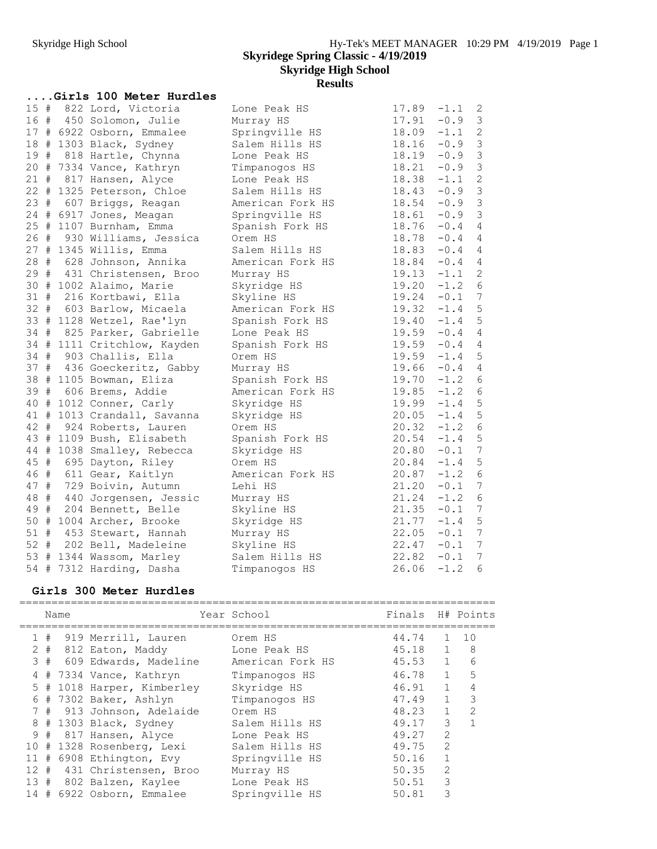|      |   | Girls 100 Meter Hurdles     |                  |               |        |                  |
|------|---|-----------------------------|------------------|---------------|--------|------------------|
| 15 # |   | 822 Lord, Victoria          | Lone Peak HS     | 17.89         | $-1.1$ | 2                |
|      |   | 16 # 450 Solomon, Julie     | Murray HS        | 17.91         | $-0.9$ | 3                |
|      |   | 17 # 6922 Osborn, Emmalee   | Springville HS   | $18.09 - 1.1$ |        | $\sqrt{2}$       |
|      |   | 18 # 1303 Black, Sydney     | Salem Hills HS   | 18.16         | $-0.9$ | $\mathfrak{Z}$   |
|      |   | 19 # 818 Hartle, Chynna     | Lone Peak HS     | 18.19         | $-0.9$ | $\mathfrak{Z}$   |
| 20   |   | # 7334 Vance, Kathryn       | Timpanogos HS    | $18.21 - 0.9$ |        | $\mathsf 3$      |
|      |   | 21 # 817 Hansen, Alyce      | Lone Peak HS     | $18.38 - 1.1$ |        | $\mathbf{2}$     |
|      |   | 22 # 1325 Peterson, Chloe   | Salem Hills HS   | $18.43 - 0.9$ |        | $\mathfrak{Z}$   |
|      |   | 23 # 607 Briggs, Reagan     | American Fork HS | 18.54         | $-0.9$ | $\mathfrak{Z}$   |
|      |   | 24 # 6917 Jones, Meagan     | Springville HS   | $18.61 - 0.9$ |        | $\mathfrak{Z}$   |
|      |   | 25 # 1107 Burnham, Emma     | Spanish Fork HS  | $18.76 - 0.4$ |        | 4                |
|      |   | 26 # 930 Williams, Jessica  | Orem HS          | $18.78 - 0.4$ |        | $\overline{4}$   |
|      |   | 27 # 1345 Willis, Emma      | Salem Hills HS   | 18.83         | $-0.4$ | 4                |
|      |   | 28 # 628 Johnson, Annika    | American Fork HS | 18.84         | $-0.4$ | 4                |
|      |   | 29 # 431 Christensen, Broo  | Murray HS        | $19.13 - 1.1$ |        | 2                |
|      |   | 30 # 1002 Alaimo, Marie     | Skyridge HS      | $19.20 - 1.2$ |        | $\sqrt{6}$       |
|      |   | 31 # 216 Kortbawi, Ella     | Skyline HS       | $19.24 - 0.1$ |        | $7\phantom{.0}$  |
|      |   | 32 # 603 Barlow, Micaela    | American Fork HS | $19.32 -1.4$  |        | 5                |
|      |   | 33 # 1128 Wetzel, Rae'lyn   | Spanish Fork HS  | 19.40         | $-1.4$ | $\mathsf S$      |
|      |   | 34 # 825 Parker, Gabrielle  | Lone Peak HS     | 19.59         | $-0.4$ | 4                |
|      |   | 34 # 1111 Critchlow, Kayden | Spanish Fork HS  | $19.59 - 0.4$ |        | 4                |
| 34 # |   | 903 Challis, Ella           | Orem HS          | $19.59 - 1.4$ |        | $\mathsf S$      |
| 37#  |   | 436 Goeckeritz, Gabby       | Murray HS        | $19.66 - 0.4$ |        | $\sqrt{4}$       |
|      |   | 38 # 1105 Bowman, Eliza     | Spanish Fork HS  | $19.70 - 1.2$ |        | $\sqrt{6}$       |
|      |   | 39 # 606 Brems, Addie       | American Fork HS | $19.85 - 1.2$ |        | 6                |
| 40   |   | # 1012 Conner, Carly        | Skyridge HS      | $19.99 - 1.4$ |        | 5                |
| 41   |   | # 1013 Crandall, Savanna    | Skyridge HS      | $20.05 -1.4$  |        | 5                |
|      |   | 42 # 924 Roberts, Lauren    | Orem HS          | $20.32 - 1.2$ |        | $\sqrt{6}$       |
|      |   | 43 # 1109 Bush, Elisabeth   | Spanish Fork HS  | 20.54         | $-1.4$ | $\mathsf S$      |
|      |   | 44 # 1038 Smalley, Rebecca  | Skyridge HS      | 20.80         | $-0.1$ | $7\phantom{.0}$  |
| 45   | # | 695 Dayton, Riley           | Orem HS          | 20.84         | $-1.4$ | $\mathsf S$      |
| 46 # |   | 611 Gear, Kaitlyn           | American Fork HS | 20.87         | $-1.2$ | $6\,$            |
| 47 # |   | 729 Boivin, Autumn          | Lehi HS          | 21.20         | $-0.1$ | $\boldsymbol{7}$ |
| 48 # |   | 440 Jorgensen, Jessic       | Murray HS        | $21.24 - 1.2$ |        | $6\phantom{.}6$  |
| 49 # |   | 204 Bennett, Belle          | Skyline HS       | 21.35         | $-0.1$ | 7                |
| 50   |   | # 1004 Archer, Brooke       | Skyridge HS      | $21.77 - 1.4$ |        | 5                |
|      |   | 51 # 453 Stewart, Hannah    | Murray HS        | 22.05         | $-0.1$ | 7                |
|      |   | 52 # 202 Bell, Madeleine    | Skyline HS       | $22.47 - 0.1$ |        | 7                |
|      |   | 53 # 1344 Wassom, Marley    | Salem Hills HS   | $22.82 - 0.1$ |        | $\overline{7}$   |
|      |   | 54 # 7312 Harding, Dasha    | Timpanogos HS    | 26.06         | $-1.2$ | 6                |
|      |   |                             |                  |               |        |                  |

# **Girls 300 Meter Hurdles**

|    |    | Name |                            | Year School      | Finals H# Points |                |               |
|----|----|------|----------------------------|------------------|------------------|----------------|---------------|
|    | 1# |      | 919 Merrill, Lauren        | Orem HS          | 44.74            | $\mathbf{1}$   | 10            |
|    |    |      | 2 # 812 Eaton, Maddy       | Lone Peak HS     | 45.18            | $\mathbf{1}$   | 8             |
|    | 3# |      | 609 Edwards, Madeline      | American Fork HS | 45.53            | $\mathbf{1}$   | 6             |
| 4  |    |      | # 7334 Vance, Kathryn      | Timpanogos HS    | 46.78            | $\mathbf{1}$   | 5             |
|    |    |      | 5 # 1018 Harper, Kimberley | Skyridge HS      | 46.91            | $\mathbf{1}$   | 4             |
| 6  |    |      | # 7302 Baker, Ashlyn       | Timpanogos HS    | 47.49            | $\mathbf{1}$   | 3             |
|    |    |      | 7 # 913 Johnson, Adelaide  | Orem HS          | 48.23            | $\mathbf{1}$   | $\mathcal{L}$ |
| 8  |    |      | # 1303 Black, Sydney       | Salem Hills HS   | 49.17            | 3              | $\mathbf{1}$  |
|    |    |      | 9 # 817 Hansen, Alyce      | Lone Peak HS     | 49.27            | $\overline{2}$ |               |
| 10 |    |      | # 1328 Rosenberg, Lexi     | Salem Hills HS   | 49.75            | $\mathcal{L}$  |               |
| 11 |    |      | # 6908 Ethington, Evy      | Springville HS   | 50.16            |                |               |
|    |    |      | 12 # 431 Christensen, Broo | Murray HS        | 50.35            | 2              |               |
|    |    |      | 13 # 802 Balzen, Kaylee    | Lone Peak HS     | 50.51            | 3              |               |
|    |    |      | 14 # 6922 Osborn, Emmalee  | Springville HS   | 50.81            | 3              |               |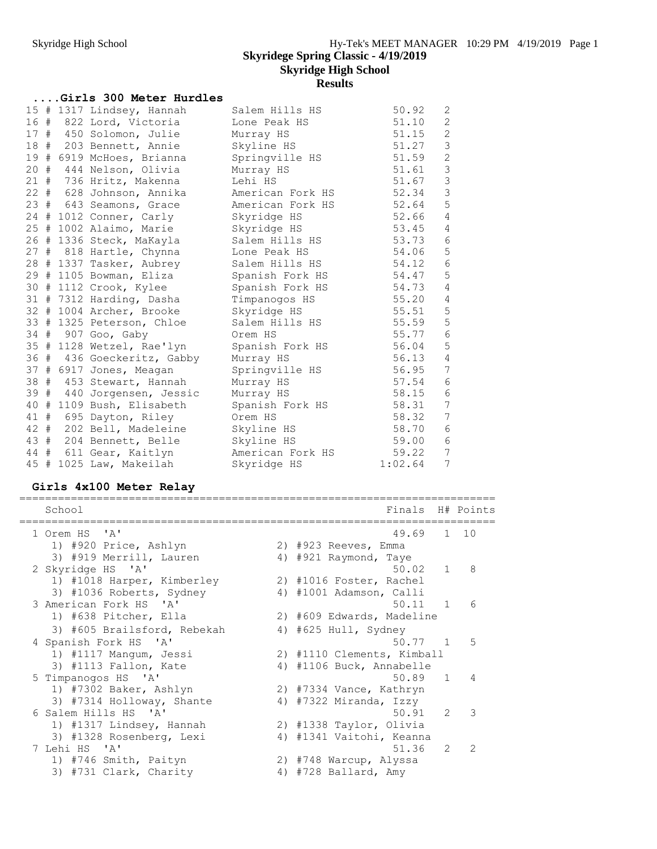# **Results**

| Girls 300 Meter Hurdles |  |  |                            |                  |         |                  |  |  |  |  |
|-------------------------|--|--|----------------------------|------------------|---------|------------------|--|--|--|--|
|                         |  |  | 15 # 1317 Lindsey, Hannah  | Salem Hills HS   | 50.92   | 2                |  |  |  |  |
|                         |  |  | 16 # 822 Lord, Victoria    | Lone Peak HS     | 51.10   | $\mathbf{2}$     |  |  |  |  |
|                         |  |  | 17 # 450 Solomon, Julie    | Murray HS        | 51.15   | $\sqrt{2}$       |  |  |  |  |
|                         |  |  | 18 # 203 Bennett, Annie    | Skyline HS       | 51.27   | $\mathfrak{Z}$   |  |  |  |  |
|                         |  |  | 19 # 6919 McHoes, Brianna  | Springville HS   | 51.59   | $\sqrt{2}$       |  |  |  |  |
| 20                      |  |  | # 444 Nelson, Olivia       | Murray HS        | 51.61   | $\mathfrak{Z}$   |  |  |  |  |
|                         |  |  | 21 # 736 Hritz, Makenna    | Lehi HS          | 51.67   | $\mathfrak{Z}$   |  |  |  |  |
|                         |  |  | 22 # 628 Johnson, Annika   | American Fork HS | 52.34   | $\mathfrak{Z}$   |  |  |  |  |
|                         |  |  | 23 # 643 Seamons, Grace    | American Fork HS | 52.64   | 5                |  |  |  |  |
|                         |  |  | 24 # 1012 Conner, Carly    | Skyridge HS      | 52.66   | $\sqrt{4}$       |  |  |  |  |
|                         |  |  | 25 # 1002 Alaimo, Marie    | Skyridge HS      | 53.45   | $\overline{4}$   |  |  |  |  |
| 26                      |  |  | # 1336 Steck, MaKayla      | Salem Hills HS   | 53.73   | $\epsilon$       |  |  |  |  |
| 27                      |  |  | # 818 Hartle, Chynna       | Lone Peak HS     | 54.06   | $\overline{5}$   |  |  |  |  |
|                         |  |  | 28 # 1337 Tasker, Aubrey   | Salem Hills HS   | 54.12   | $\sqrt{6}$       |  |  |  |  |
| 29                      |  |  | # 1105 Bowman, Eliza       | Spanish Fork HS  | 54.47   | 5                |  |  |  |  |
|                         |  |  | 30 # 1112 Crook, Kylee     | Spanish Fork HS  | 54.73   | $\sqrt{4}$       |  |  |  |  |
|                         |  |  | 31 # 7312 Harding, Dasha   | Timpanogos HS    | 55.20   | 4                |  |  |  |  |
|                         |  |  | 32 # 1004 Archer, Brooke   | Skyridge HS      | 55.51   | $\mathsf S$      |  |  |  |  |
| 33                      |  |  | # 1325 Peterson, Chloe     | Salem Hills HS   | 55.59   | 5                |  |  |  |  |
|                         |  |  | 34 # 907 Goo, Gaby         | Orem HS          | 55.77   | $\epsilon$       |  |  |  |  |
| 35                      |  |  | # 1128 Wetzel, Rae'lyn     | Spanish Fork HS  | 56.04   | 5                |  |  |  |  |
|                         |  |  | 36 # 436 Goeckeritz, Gabby | Murray HS        | 56.13   | $\sqrt{4}$       |  |  |  |  |
|                         |  |  | 37 # 6917 Jones, Meagan    | Springville HS   | 56.95   | $\boldsymbol{7}$ |  |  |  |  |
|                         |  |  | 38 # 453 Stewart, Hannah   | Murray HS        | 57.54   | $\sqrt{6}$       |  |  |  |  |
| 39                      |  |  | # 440 Jorgensen, Jessic    | Murray HS        | 58.15   | $\epsilon$       |  |  |  |  |
| 40                      |  |  | # 1109 Bush, Elisabeth     | Spanish Fork HS  | 58.31   | $\boldsymbol{7}$ |  |  |  |  |
| 41                      |  |  | # 695 Dayton, Riley        | Orem HS          | 58.32   | $7\phantom{.0}$  |  |  |  |  |
|                         |  |  | 42 # 202 Bell, Madeleine   | Skyline HS       | 58.70   | $\epsilon$       |  |  |  |  |
|                         |  |  | 43 # 204 Bennett, Belle    | Skyline HS       | 59.00   | $\sqrt{6}$       |  |  |  |  |
|                         |  |  | 44 # 611 Gear, Kaitlyn     | American Fork HS | 59.22   | $\overline{7}$   |  |  |  |  |
|                         |  |  | 45 # 1025 Law, Makeilah    | Skyridge HS      | 1:02.64 | $\overline{7}$   |  |  |  |  |
|                         |  |  |                            |                  |         |                  |  |  |  |  |

# **Girls 4x100 Meter Relay**

| School                      |    | Finals                     | H# Points               |
|-----------------------------|----|----------------------------|-------------------------|
| 1 Orem HS 'A'               |    | 49.69 1 10                 |                         |
| 1) #920 Price, Ashlyn       |    | 2) #923 Reeves, Emma       |                         |
| 3) #919 Merrill, Lauren     |    | 4) #921 Raymond, Taye      |                         |
| 2 Skyridge HS 'A'           |    | $50.02$ 1                  | $\mathcal{B}$           |
| 1) #1018 Harper, Kimberley  |    | 2) #1016 Foster, Rachel    |                         |
| 3) #1036 Roberts, Sydney    |    | 4) #1001 Adamson, Calli    |                         |
| 3 American Fork HS 'A'      |    | $50.11$ 1                  | 6                       |
| 1) #638 Pitcher, Ella       |    | 2) #609 Edwards, Madeline  |                         |
| 3) #605 Brailsford, Rebekah |    | 4) #625 Hull, Sydney       |                         |
| 4 Spanish Fork HS 'A'       |    | 50.77 1                    | .5                      |
| 1) #1117 Manqum, Jessi      |    | 2) #1110 Clements, Kimball |                         |
| 3) #1113 Fallon, Kate       |    | 4) #1106 Buck, Annabelle   |                         |
| 5 Timpanogos HS 'A'         |    | $50.89$ 1                  | 4                       |
| 1) #7302 Baker, Ashlyn      |    | 2) #7334 Vance, Kathryn    |                         |
| 3) #7314 Holloway, Shante   |    | 4) #7322 Miranda, Izzy     |                         |
| 6 Salem Hills HS 'A'        |    | $50.91$ 2                  | $\overline{\mathbf{3}}$ |
| 1) #1317 Lindsey, Hannah    |    | 2) #1338 Taylor, Olivia    |                         |
| 3) #1328 Rosenberg, Lexi    |    | 4) #1341 Vaitohi, Keanna   |                         |
| 7 Lehi HS 'A'               |    | 51.36<br>$\mathcal{P}$     | $\mathcal{P}$           |
| 1) #746 Smith, Paityn       |    | 2) #748 Warcup, Alyssa     |                         |
| 3) #731 Clark, Charity      | 4) | #728 Ballard, Amy          |                         |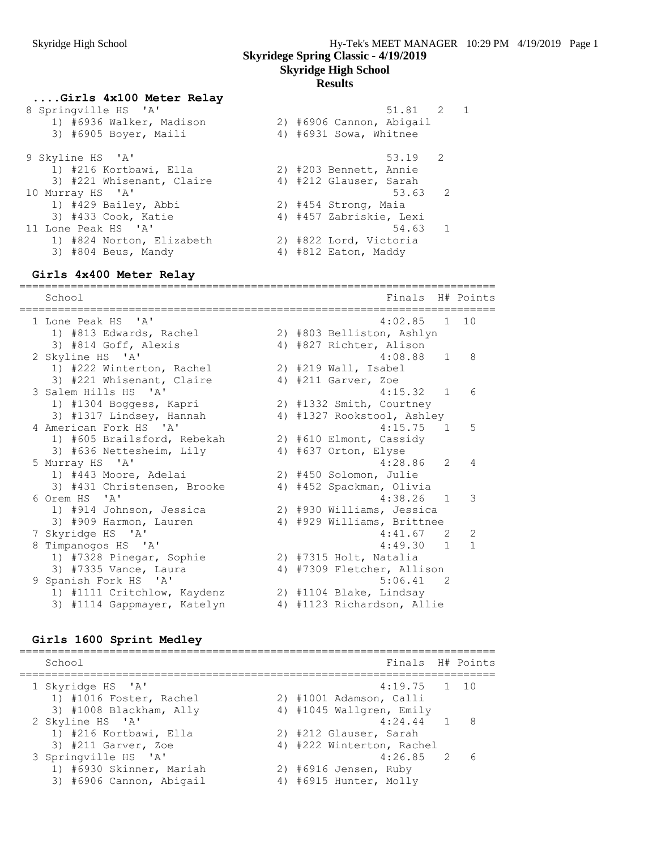#### **....Girls 4x100 Meter Relay** 8 Springville HS 'A' 51.81 2 1 1) #6936 Walker, Madison 2) #6906 Cannon, Abigail 3) #6905 Boyer, Maili 4) #6931 Sowa, Whitnee 9 Skyline HS 'A' 53.19 2 1) #216 Kortbawi, Ella 2) #203 Bennett, Annie 3) #221 Whisenant, Claire  $4$ ) #212 Glauser, Sarah 10 Murray HS 'A' 53.63 2 1) #429 Bailey, Abbi 2) #454 Strong, Maia 3) #433 Cook, Katie 4) #457 Zabriskie, Lexi 11 Lone Peak HS 'A' 54.63 1 1) #824 Norton, Elizabeth 2) #822 Lord, Victoria 3) #804 Beus, Mandy (4) 4812 Eaton, Maddy

#### **Girls 4x400 Meter Relay**

========================================================================== School **Finals** H# Points ========================================================================== 1 Lone Peak HS 'A' 4:02.85 1 10 1) #813 Edwards, Rachel 2) #803 Belliston, Ashlyn 3) #814 Goff, Alexis 4) #827 Richter, Alison 2 Skyline HS 'A' 4:08.88 1 8<br>1) #222 Winterton, Rachel 2) #219 Wall, Isabel<br>3) #221 Whisenant, Claire 4) #211 Garver, Zoe 1) #222 Winterton, Rachel 2) #219 Wall, Isabel 3) #221 Whisenant, Claire 4) #211 Garver, Zoe 3 Salem Hills HS 'A' 4:15.32 1 6 1) #1304 Boggess, Kapri 2) #1332 Smith, Courtney 3) #1317 Lindsey, Hannah 4) #1327 Rookstool, Ashley 4 American Fork HS 'A' 4:15.75 1 5 1) #605 Brailsford, Rebekah 2) #610 Elmont, Cassidy 3) #636 Nettesheim, Lily 4) #637 Orton, Elyse 5 Murray HS 'A' 4:28.86 2 4 1) #443 Moore, Adelai 2) #450 Solomon, Julie 3) #431 Christensen, Brooke 4) #452 Spackman, Olivia 6 Orem HS 'A' 4:38.26 1 3 1) #914 Johnson, Jessica 2) #930 Williams, Jessica 3) #909 Harmon, Lauren 4) #929 Williams, Brittnee 7 Skyridge HS 'A' 4:41.67 2 2 8 Timpanogos HS 'A' 4:49.30 1 1 1) #7328 Pinegar, Sophie 2) #7315 Holt, Natalia 3) #7335 Vance, Laura 4) #7309 Fletcher, Allison 9 Spanish Fork HS 'A' 5:06.41 2 1) #1111 Critchlow, Kaydenz 2) #1104 Blake, Lindsay 3) #1114 Gappmayer, Katelyn 4) #1123 Richardson, Allie

#### **Girls 1600 Sprint Medley**

|  | School                                             | Finals H# Points                                    |
|--|----------------------------------------------------|-----------------------------------------------------|
|  | 1 Skyridge HS 'A'                                  | $4:19.75$ 1 10                                      |
|  | 1) #1016 Foster, Rachel<br>3) #1008 Blackham, Ally | 2) #1001 Adamson, Calli<br>4) #1045 Wallgren, Emily |
|  | 2 Skyline HS 'A'                                   | $4:24.44$ 1 8                                       |
|  | 1) #216 Kortbawi, Ella                             | 2) #212 Glauser, Sarah                              |
|  | 3) #211 Garver, Zoe                                | 4) #222 Winterton, Rachel                           |
|  | 3 Springville HS 'A'                               | $4:26.85$ 2 6                                       |
|  | 1) #6930 Skinner, Mariah                           | 2) $#6916$ Jensen, Ruby                             |
|  | 3) #6906 Cannon, Abigail                           | 4) #6915 Hunter, Molly                              |
|  |                                                    |                                                     |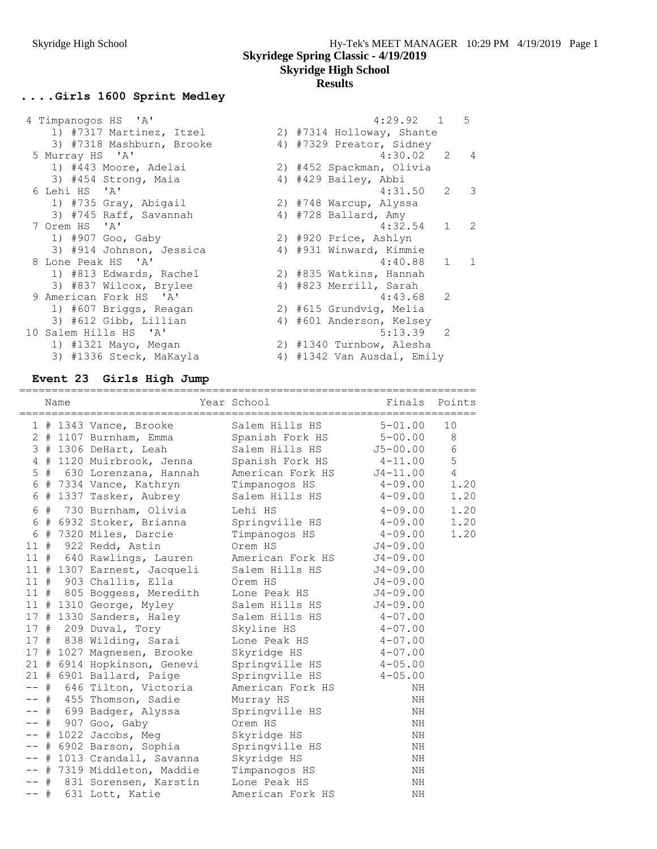....**Girls 1600 Sprint Medley**

| 4 Timpanogos HS 'A'       | 4:29.92 1<br>5                            |
|---------------------------|-------------------------------------------|
| 1) #7317 Martinez, Itzel  | 2) #7314 Holloway, Shante                 |
| 3) #7318 Mashburn, Brooke | 4) #7329 Preator, Sidney                  |
| 5 Murray HS 'A'           | 4:30.02 2<br>$\overline{4}$               |
| 1) #443 Moore, Adelai     | 2) #452 Spackman, Olivia                  |
| 3) #454 Strong, Maia      | 4) #429 Bailey, Abbi                      |
| 6 Lehi HS 'A'             | 2<br>3<br>4:31.50                         |
| 1) #735 Gray, Abigail     | 2) #748 Warcup, Alyssa                    |
| 3) #745 Raff, Savannah    | 4) #728 Ballard, Amy                      |
| 7 Orem HS 'A'             | $\mathbf{1}$<br>4:32.54<br>2              |
| 1) $#907$ Goo, Gaby       | 2) #920 Price, Ashlyn                     |
| 3) #914 Johnson, Jessica  | 4) #931 Winward, Kimmie                   |
| 8 Lone Peak HS 'A'        | 4:40.88<br>$\mathbf{1}$<br>$\overline{1}$ |
| 1) #813 Edwards, Rachel   | 2) #835 Watkins, Hannah                   |
| 3) #837 Wilcox, Brylee    | 4) #823 Merrill, Sarah                    |
| 9 American Fork HS 'A'    | 2<br>4:43.68                              |
| 1) #607 Briggs, Reagan    | 2) #615 Grundvig, Melia                   |
| 3) #612 Gibb, Lillian     | 4) #601 Anderson, Kelsey                  |
| 10 Salem Hills HS 'A'     | $5:13.39$ 2                               |
| 1) #1321 Mayo, Megan      | 2) #1340 Turnbow, Alesha                  |
| 3) #1336 Steck, MaKayla   | #1342 Van Ausdal, Emily<br>4)             |

# **Event 23 Girls High Jump**

|       |   | Name |                                                | Year School      | Finals Points |                |
|-------|---|------|------------------------------------------------|------------------|---------------|----------------|
|       |   |      | 1 # 1343 Vance, Brooke                         | Salem Hills HS   | $5 - 01.00$   | 10             |
|       |   |      | 2 # 1107 Burnham, Emma Spanish Fork HS 5-00.00 |                  |               | 8              |
|       |   |      | 3 # 1306 DeHart, Leah                          | Salem Hills HS   | J5-00.00      | $\sqrt{6}$     |
|       |   |      | 4 # 1120 Muirbrook, Jenna Spanish Fork HS      |                  | $4 - 11.00$   | $\mathsf S$    |
|       |   |      | 5 # 630 Lorenzana, Hannah                      | American Fork HS | J4-11.00      | $\overline{4}$ |
|       |   |      | 6 # 7334 Vance, Kathryn                        | Timpanogos HS    | 4-09.00       | 1.20           |
|       |   |      | 6 # 1337 Tasker, Aubrey                        | Salem Hills HS   | $4 - 09.00$   | 1.20           |
|       |   |      | 6 # 730 Burnham, Olivia                        | Lehi HS          | $4 - 09.00$   | 1.20           |
| 6     |   |      | # 6932 Stoker, Brianna                         | Springville HS   | $4 - 09.00$   | 1.20           |
|       |   |      | 6 # 7320 Miles, Darcie                         | Timpanogos HS    | $4 - 09.00$   | 1.20           |
|       |   |      | 11 # 922 Redd, Astin                           | Orem HS          | $J4 - 09.00$  |                |
|       |   |      | 11 # 640 Rawlings, Lauren                      | American Fork HS | $J4 - 09.00$  |                |
|       |   |      | 11 # 1307 Earnest, Jacqueli                    | Salem Hills HS   | $J4 - 09.00$  |                |
|       |   |      | 11 # 903 Challis, Ella                         | Orem HS          | $J4 - 09.00$  |                |
|       |   |      | 11 # 805 Boggess, Meredith                     | Lone Peak HS     | $J4 - 09.00$  |                |
|       |   |      | 11 # 1310 George, Myley                        | Salem Hills HS   | $J4 - 09.00$  |                |
|       |   |      | 17 # 1330 Sanders, Haley                       | Salem Hills HS   | $4 - 07.00$   |                |
|       |   |      | 17 # 209 Duval, Tory                           | Skyline HS       | $4 - 07.00$   |                |
|       |   |      | 17 # 838 Wilding, Sarai                        | Lone Peak HS     | $4 - 07.00$   |                |
|       |   |      | 17 # 1027 Magnesen, Brooke                     | Skyridge HS      | $4 - 07.00$   |                |
|       |   |      | 21 # 6914 Hopkinson, Genevi                    | Springville HS   | $4 - 05.00$   |                |
|       |   |      | 21 # 6901 Ballard, Paige                       | Springville HS   | $4 - 05.00$   |                |
|       |   |      | -- # 646 Tilton, Victoria                      | American Fork HS | ΝH            |                |
| $- -$ |   |      | # 455 Thomson, Sadie                           | Murray HS        | NH            |                |
| $- -$ |   |      | # 699 Badger, Alyssa                           | Springville HS   | NH            |                |
|       |   |      | -- # 907 Goo, Gaby                             | Orem HS          | ΝH            |                |
|       |   |      | $--$ # 1022 Jacobs, Meg                        | Skyridge HS      | NH            |                |
|       |   |      | -- # 6902 Barson, Sophia                       | Springville HS   | NH            |                |
|       |   |      | -- # 1013 Crandall, Savanna                    | Skyridge HS      | ΝH            |                |
|       |   |      | -- # 7319 Middleton, Maddie                    | Timpanogos HS    | NH            |                |
|       | # |      | 831 Sorensen, Karstin                          | Lone Peak HS     | NH            |                |
| -- #  |   |      | 631 Lott, Katie                                | American Fork HS | NH            |                |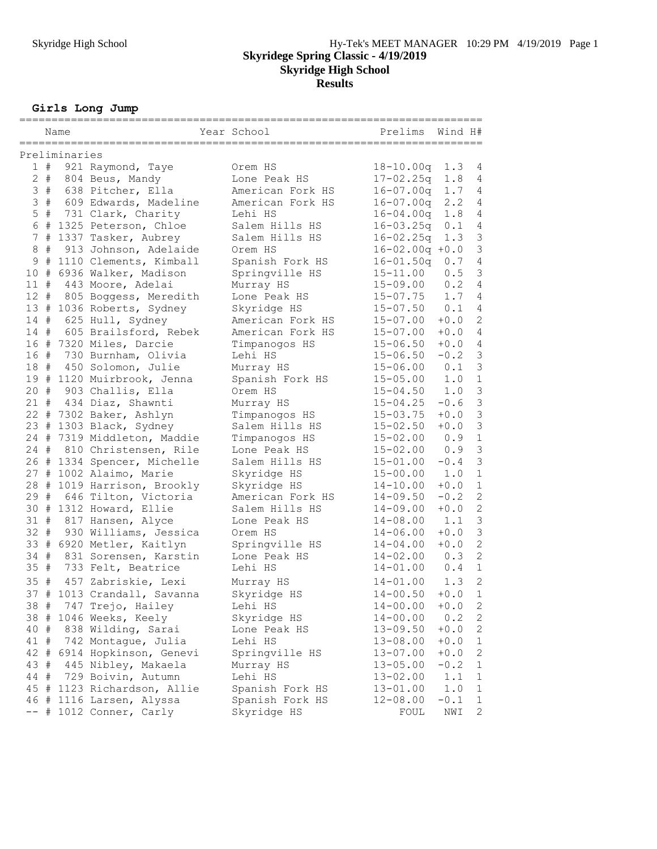#### **Girls Long Jump**

|      | Name          |                             | Year School      | Prelims              | Wind H# |                |
|------|---------------|-----------------------------|------------------|----------------------|---------|----------------|
|      | Preliminaries |                             |                  |                      |         |                |
|      |               | 1 # 921 Raymond, Taye       | Orem HS          | $18 - 10.00q$        | 1.3     | 4              |
|      |               | 2 # 804 Beus, Mandy         | Lone Peak HS     | $17 - 02.25q$        | 1.8     | 4              |
|      |               | 3 # 638 Pitcher, Ella       | American Fork HS | $16 - 07.00q$        | 1.7     | 4              |
|      |               | 3 # 609 Edwards, Madeline   | American Fork HS | $16 - 07.00q$        | 2.2     | 4              |
|      |               | 5 # 731 Clark, Charity      | Lehi HS          | $16 - 04.00q$        | 1.8     | 4              |
|      |               | 6 # 1325 Peterson, Chloe    | Salem Hills HS   | $16 - 03.25q$        | 0.1     | 4              |
|      |               | 7 # 1337 Tasker, Aubrey     | Salem Hills HS   | $16 - 02.25q$        | 1.3     | $\mathfrak{Z}$ |
|      |               | 8 # 913 Johnson, Adelaide   | Orem HS          | $16 - 02.00q + 0.0$  |         | $\mathfrak{Z}$ |
|      |               | 9 # 1110 Clements, Kimball  | Spanish Fork HS  | $16 - 01.50q$        | 0.7     | $\overline{4}$ |
|      |               | 10 # 6936 Walker, Madison   | Springville HS   | $15 - 11.00$         | 0.5     | $\mathcal{S}$  |
|      |               | 11 # 443 Moore, Adelai      | Murray HS        | $15 - 09.00$         | 0.2     | $\overline{4}$ |
|      |               | 12 # 805 Boggess, Meredith  | Lone Peak HS     | $15 - 07.75$         | 1.7     | 4              |
|      |               | 13 # 1036 Roberts, Sydney   | Skyridge HS      | $15 - 07.50$         | 0.1     | 4              |
|      |               | 14 # 625 Hull, Sydney       | American Fork HS | $15 - 07.00$         | $+0.0$  | 2              |
|      |               | 14 # 605 Brailsford, Rebek  | American Fork HS | $15 - 07.00$         | $+0.0$  | 4              |
|      |               | 16 # 7320 Miles, Darcie     | Timpanogos HS    | $15 - 06.50$         | $+0.0$  | 4              |
|      |               | 16 # 730 Burnham, Olivia    | Lehi HS          | $15 - 06.50$         | $-0.2$  | $\mathcal{E}$  |
|      |               | 18 # 450 Solomon, Julie     | Murray HS        | $15 - 06.00$         | 0.1     | $\mathfrak{Z}$ |
|      |               | 19 # 1120 Muirbrook, Jenna  | Spanish Fork HS  | $15 - 05.00$         | 1.0     | $\mathbf{1}$   |
|      |               | 20 # 903 Challis, Ella      | Orem HS          | $15 - 04.50$         | 1.0     | $\mathfrak{Z}$ |
|      |               | 21 # 434 Diaz, Shawnti      | Murray HS        | $15 - 04.25$         | $-0.6$  | $\mathfrak{Z}$ |
|      |               | 22 # 7302 Baker, Ashlyn     | Timpanogos HS    | $15 - 03.75$         | $+0.0$  | $\mathcal{S}$  |
|      |               | 23 # 1303 Black, Sydney     | Salem Hills HS   | $15 - 02.50$         | $+0.0$  | $\mathcal{E}$  |
|      |               | 24 # 7319 Middleton, Maddie | Timpanogos HS    | $15 - 02.00$         | 0.9     | $\mathbf{1}$   |
|      |               | 24 # 810 Christensen, Rile  | Lone Peak HS     | $15 - 02.00$         | 0.9     | $\mathcal{E}$  |
|      |               | 26 # 1334 Spencer, Michelle | Salem Hills HS   | $15 - 01.00$         | $-0.4$  | $\mathfrak{Z}$ |
|      |               | 27 # 1002 Alaimo, Marie     | Skyridge HS      | $15 - 00.00$         | 1.0     | $\mathbf{1}$   |
|      |               | 28 # 1019 Harrison, Brookly | Skyridge HS      | $14 - 10.00$         | $+0.0$  | $\mathbf{1}$   |
|      |               | 29 # 646 Tilton, Victoria   | American Fork HS | $14 - 09.50$         | $-0.2$  | $\mathbf{2}$   |
|      |               | 30 # 1312 Howard, Ellie     | Salem Hills HS   | $14 - 09.00$         | $+0.0$  | 2              |
|      |               | 31 # 817 Hansen, Alyce      | Lone Peak HS     | $14 - 08.00$         | 1.1     | $\mathcal{E}$  |
|      |               | 32 # 930 Williams, Jessica  | Orem HS          | $14 - 06.00$         | $+0.0$  | $\mathfrak{Z}$ |
|      |               | 33 # 6920 Metler, Kaitlyn   | Springville HS   | $14 - 04.00$         | $+0.0$  | 2              |
|      |               | 34 # 831 Sorensen, Karstin  | Lone Peak HS     | $14 - 02.00$         | 0.3     | 2              |
|      |               | 35 # 733 Felt, Beatrice     | Lehi HS          | $14 - 01.00$         | 0.4     | $\overline{1}$ |
| 35 # |               | 457 Zabriskie, Lexi         | Murray HS        | $14 - 01.00$         | 1.3     | 2              |
|      |               | 37 # 1013 Crandall, Savanna | Skyridge HS      | $14 - 00.50 + 0.0 1$ |         |                |
|      |               | 38 # 747 Trejo, Hailey      | Lehi HS          | $14 - 00.00$         | $+0.0$  | 2              |
|      |               | 38 # 1046 Weeks, Keely      | Skyridge HS      | $14 - 00.00$         | 0.2     | $\mathbf{2}$   |
| 40 # |               | 838 Wilding, Sarai          | Lone Peak HS     | $13 - 09.50$         | $+0.0$  | 2              |
| 41 # |               | 742 Montague, Julia         | Lehi HS          | $13 - 08.00$         | $+0.0$  | $\mathbf{1}$   |
|      |               | 42 # 6914 Hopkinson, Genevi | Springville HS   | $13 - 07.00$         | $+0.0$  | 2              |
| 43 # |               | 445 Nibley, Makaela         | Murray HS        | $13 - 05.00$         | $-0.2$  | $\mathbf{1}$   |
|      |               | 44 # 729 Boivin, Autumn     | Lehi HS          | $13 - 02.00$         | 1.1     | 1              |
|      |               | 45 # 1123 Richardson, Allie | Spanish Fork HS  | $13 - 01.00$         | 1.0     | $\mathbf{1}$   |
|      |               | 46 # 1116 Larsen, Alyssa    | Spanish Fork HS  | $12 - 08.00$         | $-0.1$  | 1              |
|      |               | -- # 1012 Conner, Carly     | Skyridge HS      | FOUL                 | NWI     | $\mathbf{2}$   |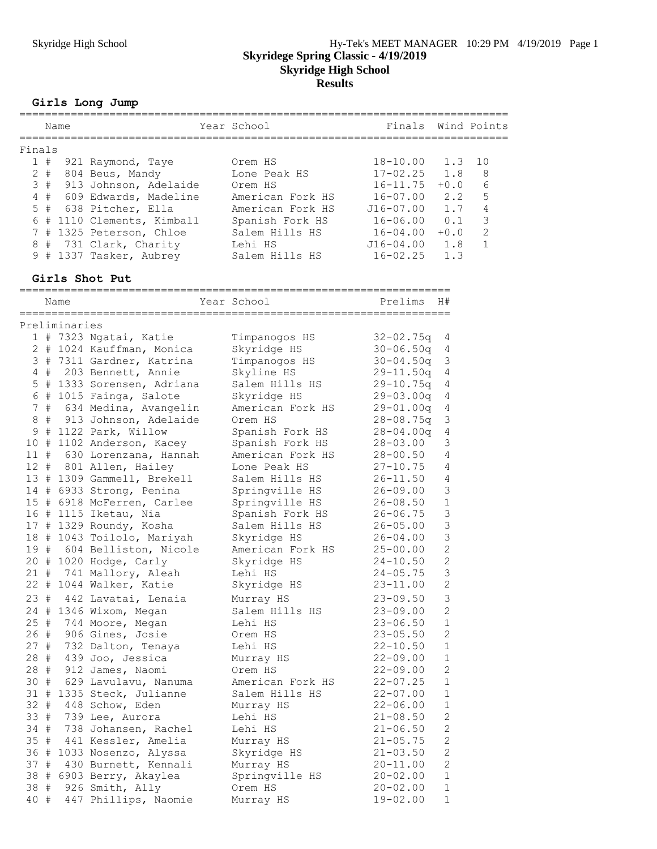#### **Girls Long Jump**

|        | Name  |  |                            | Year School      |               | Finals Wind Points |               |  |
|--------|-------|--|----------------------------|------------------|---------------|--------------------|---------------|--|
| Finals |       |  |                            |                  |               |                    |               |  |
|        | 1#    |  | 921 Raymond, Taye          | Orem HS          | 18-10.00      | 1.3                | 10            |  |
|        | $2 +$ |  | 804 Beus, Mandy            | Lone Peak HS     | $17 - 02.25$  | 1.8                | 8             |  |
|        | 3#    |  | 913 Johnson, Adelaide      | Orem HS          | $16 - 11.75$  | $+0.0$             | 6             |  |
|        | 4#    |  | 609 Edwards, Madeline      | American Fork HS | $16 - 07.00$  | 2.2                | 5             |  |
|        | $5 +$ |  | 638 Pitcher, Ella          | American Fork HS | $J16 - 07.00$ | 1 7                |               |  |
|        |       |  | 6 # 1110 Clements, Kimball | Spanish Fork HS  | $16 - 06.00$  | 0.1                | 3             |  |
|        |       |  | 7 # 1325 Peterson, Chloe   | Salem Hills HS   | $16 - 04.00$  | $+0.0$             | $\mathcal{P}$ |  |
|        |       |  | 8 # 731 Clark, Charity     | Lehi HS          | $J16 - 04.00$ | 1.8                |               |  |
|        |       |  | 9 # 1337 Tasker, Aubrey    | Salem Hills HS   | $16 - 02.25$  | 1.3                |               |  |
|        |       |  |                            |                  |               |                    |               |  |

## **Girls Shot Put**

|        |      | Name          | ________________________   | Year School      | Prelims       | H#             |
|--------|------|---------------|----------------------------|------------------|---------------|----------------|
|        |      | Preliminaries |                            |                  |               |                |
|        |      |               | 1 # 7323 Ngatai, Katie     | Timpanogos HS    | $32 - 02.75q$ | 4              |
|        |      |               | 2 # 1024 Kauffman, Monica  | Skyridge HS      | $30 - 06.50q$ | 4              |
|        |      |               | 3 # 7311 Gardner, Katrina  | Timpanogos HS    | $30 - 04.50q$ | 3              |
|        |      |               | 4 # 203 Bennett, Annie     | Skyline HS       | $29 - 11.50q$ | 4              |
| 5      |      |               | # 1333 Sorensen, Adriana   | Salem Hills HS   | $29 - 10.75q$ | 4              |
|        |      |               | 6 # 1015 Fainga, Salote    | Skyridge HS      | $29 - 03.00q$ | 4              |
| 7      | #    |               | 634 Medina, Avangelin      | American Fork HS | $29 - 01.00q$ | 4              |
| 8      | $\#$ |               | 913 Johnson, Adelaide      | Orem HS          | $28 - 08.75q$ | 3              |
| 9      |      |               | # 1122 Park, Willow        | Spanish Fork HS  | $28 - 04.00q$ | $\sqrt{4}$     |
|        |      |               | 10 # 1102 Anderson, Kacey  | Spanish Fork HS  | 28-03.00      | 3              |
| 11#    |      |               | 630 Lorenzana, Hannah      | American Fork HS | 28-00.50      | 4              |
|        |      |               | 12 # 801 Allen, Hailey     | Lone Peak HS     | 27-10.75      | 4              |
|        |      |               | 13 # 1309 Gammell, Brekell | Salem Hills HS   | 26-11.50      | $\sqrt{4}$     |
|        |      |               | 14 # 6933 Strong, Penina   | Springville HS   | 26-09.00      | 3              |
|        |      |               | 15 # 6918 McFerren, Carlee | Springville HS   | $26 - 08.50$  | $\mathbf{1}$   |
|        |      |               | 16 # 1115 Iketau, Nia      | Spanish Fork HS  | 26-06.75      | $\mathsf 3$    |
|        |      |               | 17 # 1329 Roundy, Kosha    | Salem Hills HS   | 26-05.00      | 3              |
|        |      |               | 18 # 1043 Toilolo, Mariyah | Skyridge HS      | $26 - 04.00$  | $\mathfrak{Z}$ |
|        |      |               | 19 # 604 Belliston, Nicole | American Fork HS | 25-00.00      | $\overline{c}$ |
|        |      |               | 20 # 1020 Hodge, Carly     | Skyridge HS      | 24-10.50      | $\overline{c}$ |
| 21 #   |      |               | 741 Mallory, Aleah         | Lehi HS          | $24 - 05.75$  | 3              |
|        |      |               | 22 # 1044 Walker, Katie    | Skyridge HS      | 23-11.00      | $\overline{c}$ |
| 23#    |      |               | 442 Lavatai, Lenaia        | Murray HS        | $23 - 09.50$  | 3              |
|        |      |               | 24 # 1346 Wixom, Megan     | Salem Hills HS   | $23 - 09.00$  | $\overline{2}$ |
| 25#    |      |               | 744 Moore, Megan           | Lehi HS          | $23 - 06.50$  | $\mathbf 1$    |
| 26 #   |      |               | 906 Gines, Josie           | Orem HS          | $23 - 05.50$  | $\overline{2}$ |
| $27 +$ |      |               | 732 Dalton, Tenaya         | Lehi HS          | $22 - 10.50$  | $\mathbf{1}$   |
| 28 #   |      |               | 439 Joo, Jessica           | Murray HS        | 22-09.00      | $\mathbf{1}$   |
| 28     | #    |               | 912 James, Naomi           | Orem HS          | $22 - 09.00$  | $\overline{2}$ |
| 30 #   |      |               | 629 Lavulavu, Nanuma       | American Fork HS | $22 - 07.25$  | $\mathbf{1}$   |
| 31#    |      |               | 1335 Steck, Julianne       | Salem Hills HS   | $22 - 07.00$  | $\mathbf{1}$   |
| 32     | #    |               | 448 Schow, Eden            | Murray HS        | $22 - 06.00$  | $\mathbf{1}$   |
| 33 #   |      |               | 739 Lee, Aurora            | Lehi HS          | $21 - 08.50$  | $\overline{c}$ |
| 34#    |      |               | 738 Johansen, Rachel       | Lehi HS          | $21 - 06.50$  | $\overline{c}$ |
| 35#    |      |               | 441 Kessler, Amelia        | Murray HS        | $21 - 05.75$  | $\overline{c}$ |
|        |      |               | 36 # 1033 Nosenzo, Alyssa  | Skyridge HS      | $21 - 03.50$  | $\overline{2}$ |
| 37#    |      |               | 430 Burnett, Kennali       | Murray HS        | $20 - 11.00$  | $\overline{2}$ |
|        |      |               | 38 # 6903 Berry, Akaylea   | Springville HS   | $20 - 02.00$  | $\mathbf 1$    |
| 38 #   |      |               | 926 Smith, Ally            | Orem HS          | $20 - 02.00$  | $\mathbf{1}$   |
| 40 #   |      |               | 447 Phillips, Naomie       | Murray HS        | $19 - 02.00$  | $\mathbf{1}$   |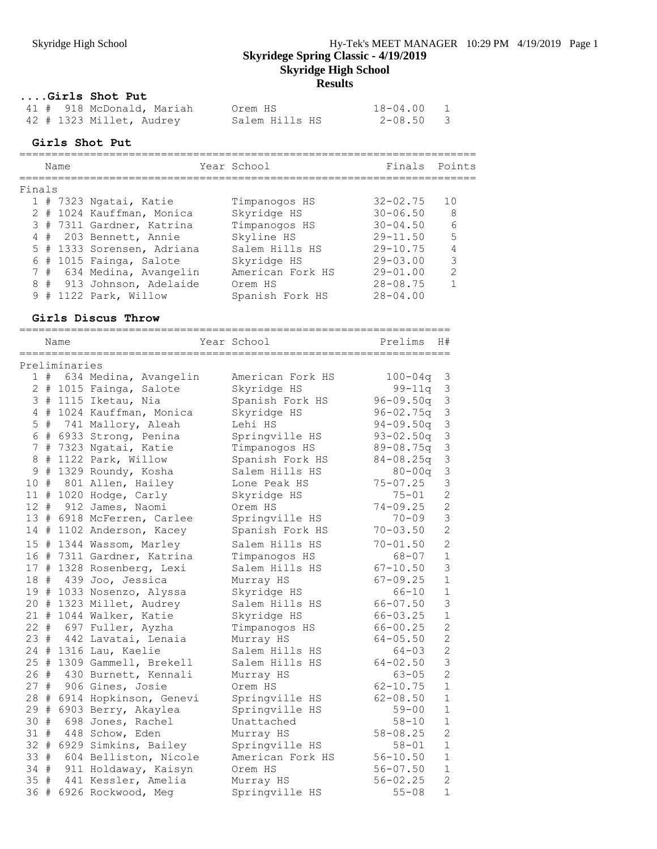#### **....Girls Shot Put**

|  | 41 # 918 McDonald, Mariah | Orem HS        | 18-04.00 1    |  |
|--|---------------------------|----------------|---------------|--|
|  | 42 # 1323 Millet, Audrey  | Salem Hills HS | $2 - 08.50$ 3 |  |

#### **Girls Shot Put** ======================================================================= Name Year School Finals Points ======================================================================= Finals 1 # 7323 Ngatai, Katie Timpanogos HS 32-02.75 10 2 # 1024 Kauffman, Monica Skyridge HS 30-06.50 8 3 # 7311 Gardner, Katrina Timpanogos HS 30-04.50 6 4 # 203 Bennett, Annie Skyline HS 29-11.50 5 5 # 1333 Sorensen, Adriana Salem Hills HS 29-10.75 4 6 # 1015 Fainga, Salote Skyridge HS 29-03.00 3 7 # 634 Medina, Avangelin American Fork HS 29-01.00 2 8 # 913 Johnson, Adelaide Orem HS 28-08.75 1 9 # 1122 Park, Willow Spanish Fork HS 28-04.00

**Girls Discus Throw** =================================================================== Name Year School Prelims H# =================================================================== Preliminaries 1 # 634 Medina, Avangelin American Fork HS 100-04q 3 2 # 1015 Fainga, Salote Skyridge HS 99-11q 3 3 # 1115 Iketau, Nia Spanish Fork HS 96-09.50q 3 4 # 1024 Kauffman, Monica Skyridge HS 96-02.75q 3 5 # 741 Mallory, Aleah Lehi HS 94-09.50q 3 6 # 6933 Strong, Penina Springville HS 93-02.50q 3 7 # 7323 Ngatai, Katie Timpanogos HS 89-08.75q 3 8 # 1122 Park, Willow Spanish Fork HS 84-08.25q 3 9 # 1329 Roundy, Kosha Salem Hills HS 80-00q 3 10 # 801 Allen, Hailey Lone Peak HS 75-07.25 3 11 # 1020 Hodge, Carly Skyridge HS 75-01 2 12 # 912 James, Naomi Orem HS 74-09.25 2 13 # 6918 McFerren, Carlee Springville HS 70-09 3 14 # 1102 Anderson, Kacey Spanish Fork HS 70-03.50 2 15 # 1344 Wassom, Marley Salem Hills HS 70-01.50 2 16 # 7311 Gardner, Katrina Timpanogos HS 68-07 1 17 # 1328 Rosenberg, Lexi Salem Hills HS 67-10.50 3 18 # 439 Joo, Jessica Murray HS 67-09.25 1 19 # 1033 Nosenzo, Alyssa Skyridge HS 66-10 1 20 # 1323 Millet, Audrey Salem Hills HS 66-07.50 3 21 # 1044 Walker, Katie Skyridge HS 66-03.25 1 22 # 697 Fuller, Ayzha Timpanogos HS 66-00.25 2 23 # 442 Lavatai, Lenaia Murray HS 64-05.50 2 24 # 1316 Lau, Kaelie Salem Hills HS 64-03 2 25 # 1309 Gammell, Brekell Salem Hills HS 64-02.50 3 26 # 430 Burnett, Kennali Murray HS 63-05 2 27 # 906 Gines, Josie Orem HS 62-10.75 1 28 # 6914 Hopkinson, Genevi Springville HS 62-08.50 1 29 # 6903 Berry, Akaylea Springville HS 59-00 1 30 # 698 Jones, Rachel Unattached 58-10 1 31 # 448 Schow, Eden Murray HS 58-08.25 2 32 # 6929 Simkins, Bailey Springville HS 58-01 1 33 # 604 Belliston, Nicole American Fork HS 56-10.50 1 34 # 911 Holdaway, Kaisyn Orem HS 56-07.50 1 35 # 441 Kessler, Amelia Murray HS 56-02.25 2 36 # 6926 Rockwood, Meg Springville HS 55-08 1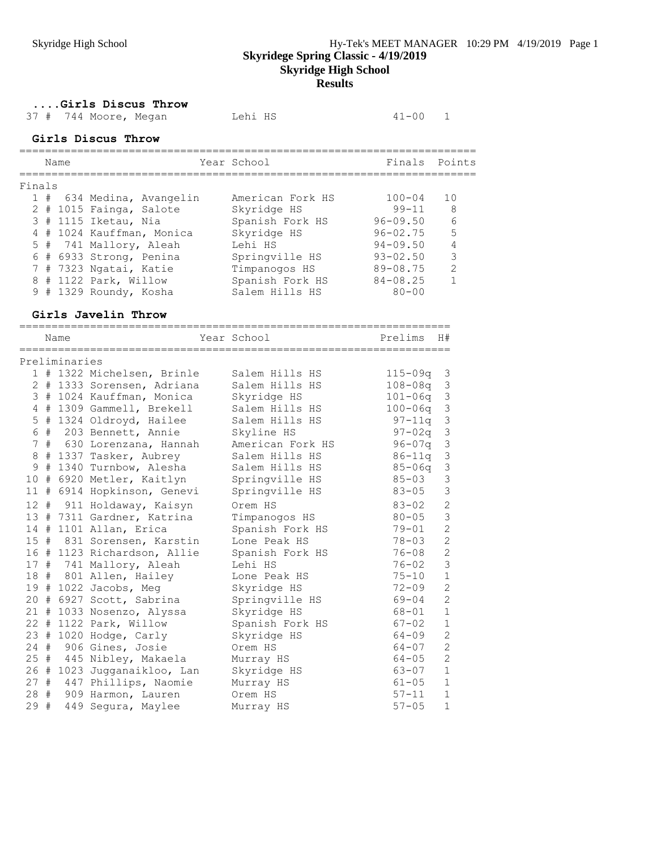## **....Girls Discus Throw**

|        |                         | 37 # 744 Moore, Megan       | Lehi HS                            | $41 - 00$       | 1              |
|--------|-------------------------|-----------------------------|------------------------------------|-----------------|----------------|
|        |                         | Girls Discus Throw          | -------------------------          |                 |                |
|        | Name                    |                             | Year School                        | Finals          | Points         |
| Finals |                         |                             |                                    |                 |                |
|        |                         | 1 # 634 Medina, Avangelin   | American Fork HS                   | $100 - 04$      | 10             |
|        |                         | 2 # 1015 Fainga, Salote     | Skyridge HS                        | $99 - 11$       | 8              |
|        |                         | 3 # 1115 Iketau, Nia        | Spanish Fork HS                    | $96 - 09.50$    | 6              |
|        |                         | 4 # 1024 Kauffman, Monica   | Skyridge HS                        | $96 - 02.75$    | 5              |
| 5      |                         | # 741 Mallory, Aleah        | Lehi HS                            | $94 - 09.50$    | 4              |
| 6      |                         | # 6933 Strong, Penina       | Springville HS                     | $93 - 02.50$    | 3              |
|        |                         | 7 # 7323 Ngatai, Katie      | Timpanogos HS                      | $89 - 08.75$    | $\overline{2}$ |
|        |                         | 8 # 1122 Park, Willow       | Spanish Fork HS                    | $84 - 08.25$    | $\mathbf{1}$   |
|        |                         | 9 # 1329 Roundy, Kosha      | Salem Hills HS                     | $80 - 00$       |                |
|        |                         | Girls Javelin Throw         |                                    |                 |                |
|        | Name<br>=============== |                             | Year School<br>=================== | Prelims         | H#             |
|        | Preliminaries           |                             |                                    | =============== |                |
|        |                         | 1 # 1322 Michelsen, Brinle  | Salem Hills HS                     | $115 - 09q$     | 3              |
|        |                         | 2 # 1333 Sorensen, Adriana  | Salem Hills HS                     | $108 - 08q$     | 3              |
|        |                         | 3 # 1024 Kauffman, Monica   | Skyridge HS                        | $101 - 06q$     | $\mathfrak{Z}$ |
|        |                         | 4 # 1309 Gammell, Brekell   | Salem Hills HS                     | $100 - 06q$     | $\mathfrak{Z}$ |
|        |                         | 5 # 1324 Oldroyd, Hailee    | Salem Hills HS                     | $97 - 11q$      | $\mathsf 3$    |
|        |                         | 6 # 203 Bennett, Annie      | Skyline HS                         | $97 - 02q$      | $\mathsf 3$    |
|        |                         | 7 # 630 Lorenzana, Hannah   | American Fork HS                   | $96 - 07q$      | $\mathsf 3$    |
| 8      |                         | # 1337 Tasker, Aubrey       | Salem Hills HS                     | $86 - 11q$      | $\mathsf 3$    |
| 9      |                         | # 1340 Turnbow, Alesha      | Salem Hills HS                     | $85 - 06q$      | $\mathsf 3$    |
| 10     |                         | # 6920 Metler, Kaitlyn      | Springville HS                     | $85 - 03$       | 3              |
| 11     |                         | # 6914 Hopkinson, Genevi    | Springville HS                     | $83 - 05$       | 3              |
|        |                         | 12 # 911 Holdaway, Kaisyn   | Orem HS                            | $83 - 02$       | $\overline{c}$ |
|        |                         | 13 # 7311 Gardner, Katrina  | Timpanogos HS                      | $80 - 05$       | 3              |
|        |                         | 14 # 1101 Allan, Erica      | Spanish Fork HS                    | 79-01           | $\overline{c}$ |
|        |                         | 15 # 831 Sorensen, Karstin  | Lone Peak HS                       | $78 - 03$       | $\mathbf{2}$   |
|        |                         | 16 # 1123 Richardson, Allie | Spanish Fork HS                    | $76 - 08$       | $\mathbf{2}$   |
|        |                         | 17 # 741 Mallory, Aleah     | Lehi HS                            | $76 - 02$       | 3              |
|        |                         | 18 # 801 Allen, Hailey      | Lone Peak HS                       | $75 - 10$       | $\mathbf{1}$   |
|        |                         | 19 # 1022 Jacobs, Meg       | Skyridge HS                        | $72 - 09$       | $\mathbf{2}$   |
|        |                         | 20 # 6927 Scott, Sabrina    | Springville HS                     | $69 - 04$       | 2              |
|        |                         | 21 # 1033 Nosenzo, Alyssa   | Skyridge HS                        | $68 - 01$       | $\mathbf 1$    |
|        |                         | 22 # 1122 Park, Willow      | Spanish Fork HS                    | $67 - 02$       | $\mathbf 1$    |
|        |                         | 23 # 1020 Hodge, Carly      | Skyridge HS                        | $64 - 09$       | $\mathbf{2}$   |
| 24 #   |                         | 906 Gines, Josie            | Orem HS                            | $64 - 07$       | $\mathbf{2}$   |
| 25#    |                         | 445 Nibley, Makaela         | Murray HS                          | $64 - 05$       | $\mathbf{2}$   |
|        |                         | 26 # 1023 Jugganaikloo, Lan | Skyridge HS                        | $63 - 07$       | $\mathbf 1$    |
| 27 #   |                         | 447 Phillips, Naomie        | Murray HS                          | $61 - 05$       | $\mathbf 1$    |
| 28 #   |                         | 909 Harmon, Lauren          | Orem HS                            | $57 - 11$       | $\mathbf{1}$   |
| 29#    |                         | 449 Sequra, Maylee          | Murray HS                          | $57 - 05$       | $\mathbf 1$    |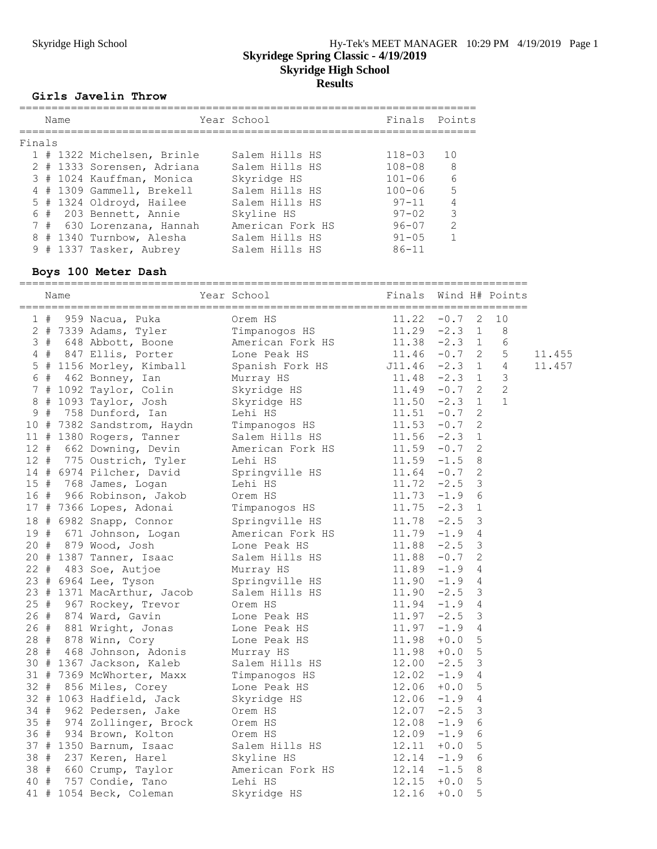#### **Girls Javelin Throw**

|        | Name |                            | Year School      | Finals     | Points         |
|--------|------|----------------------------|------------------|------------|----------------|
| Finals |      |                            |                  |            |                |
|        |      | 1 # 1322 Michelsen, Brinle | Salem Hills HS   | 118-03     | 1 O            |
|        |      | 2 # 1333 Sorensen, Adriana | Salem Hills HS   | 108-08     | -8             |
|        |      | 3 # 1024 Kauffman, Monica  | Skyridge HS      | $101 - 06$ | - 6            |
|        |      | 4 # 1309 Gammell, Brekell  | Salem Hills HS   | $100 - 06$ | $\overline{5}$ |
|        |      | 5 # 1324 Oldroyd, Hailee   | Salem Hills HS   | $97 - 11$  | 4              |
|        |      | 6 # 203 Bennett, Annie     | Skyline HS       | $97 - 02$  | 3              |
|        |      | 7 # 630 Lorenzana, Hannah  | American Fork HS | $96 - 07$  | $\mathcal{P}$  |
|        |      | 8 # 1340 Turnbow, Alesha   | Salem Hills HS   | $91 - 0.5$ |                |
|        |      | 9 # 1337 Tasker, Aubrey    | Salem Hills HS   | $86 - 11$  |                |
|        |      |                            |                  |            |                |

#### **Boys 100 Meter Dash**

|  |  |  |  |  | 10             |        |
|--|--|--|--|--|----------------|--------|
|  |  |  |  |  | 8              |        |
|  |  |  |  |  | $\epsilon$     |        |
|  |  |  |  |  | $\mathsf S$    | 11.455 |
|  |  |  |  |  | 4              | 11.457 |
|  |  |  |  |  | $\mathfrak{Z}$ |        |
|  |  |  |  |  | $\mathbf{2}$   |        |
|  |  |  |  |  | $\mathbf{1}$   |        |
|  |  |  |  |  |                |        |
|  |  |  |  |  |                |        |
|  |  |  |  |  |                |        |
|  |  |  |  |  |                |        |
|  |  |  |  |  |                |        |
|  |  |  |  |  |                |        |
|  |  |  |  |  |                |        |
|  |  |  |  |  |                |        |
|  |  |  |  |  |                |        |
|  |  |  |  |  |                |        |
|  |  |  |  |  |                |        |
|  |  |  |  |  |                |        |
|  |  |  |  |  |                |        |
|  |  |  |  |  |                |        |
|  |  |  |  |  |                |        |
|  |  |  |  |  |                |        |
|  |  |  |  |  |                |        |
|  |  |  |  |  |                |        |
|  |  |  |  |  |                |        |
|  |  |  |  |  |                |        |
|  |  |  |  |  |                |        |
|  |  |  |  |  |                |        |
|  |  |  |  |  |                |        |
|  |  |  |  |  |                |        |
|  |  |  |  |  |                |        |
|  |  |  |  |  |                |        |
|  |  |  |  |  |                |        |
|  |  |  |  |  |                |        |
|  |  |  |  |  |                |        |
|  |  |  |  |  |                |        |
|  |  |  |  |  |                |        |
|  |  |  |  |  |                |        |
|  |  |  |  |  |                |        |
|  |  |  |  |  |                |        |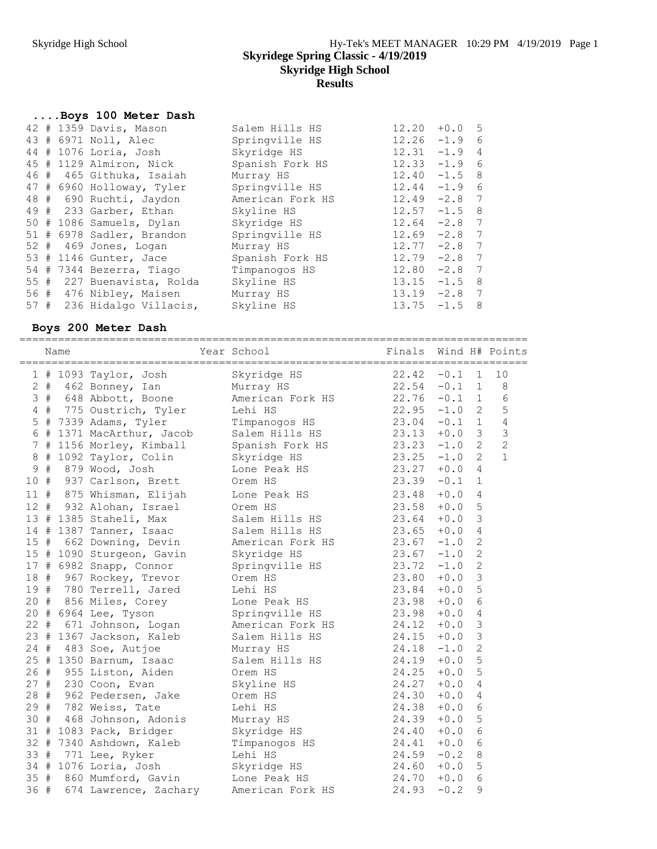|      |  | Boys 100 Meter Dash        |                  |                 |          |     |
|------|--|----------------------------|------------------|-----------------|----------|-----|
|      |  | 42 # 1359 Davis, Mason     | Salem Hills HS   | 12.20           | $+0.0$ 5 |     |
|      |  | 43 # 6971 Noll, Alec       | Springville HS   | $12.26 - 1.9 6$ |          |     |
|      |  | 44 # 1076 Loria, Josh      | Skyridge HS      | $12.31 - 1.9 4$ |          |     |
|      |  | 45 # 1129 Almiron, Nick    | Spanish Fork HS  | 12.33           | $-1.9$   | - 6 |
|      |  | 46 # 465 Githuka, Isaiah   | Murray HS        | $12.40 -1.5$ 8  |          |     |
|      |  | 47 # 6960 Holloway, Tyler  | Springville HS   | $12.44 - 1.9$ 6 |          |     |
|      |  | 48 # 690 Ruchti, Jaydon    | American Fork HS | $12.49 - 2.8$ 7 |          |     |
|      |  | 49 # 233 Garber, Ethan     | Skyline HS       | $12.57 - 1.5$ 8 |          |     |
|      |  | 50 # 1086 Samuels, Dylan   | Skyridge HS      | $12.64 - 2.8$ 7 |          |     |
|      |  | 51 # 6978 Sadler, Brandon  | Springville HS   | $12.69 - 2.8$ 7 |          |     |
|      |  | 52 # 469 Jones, Logan      | Murray HS        | $12.77 - 2.8$ 7 |          |     |
|      |  | 53 # 1146 Gunter, Jace     | Spanish Fork HS  | $12.79 - 2.8$ 7 |          |     |
|      |  | 54 # 7344 Bezerra, Tiago   | Timpanogos HS    | $12.80 - 2.8$ 7 |          |     |
|      |  | 55 # 227 Buenavista, Rolda | Skyline HS       | $13.15 - 1.5 8$ |          |     |
|      |  | 56 # 476 Nibley, Maisen    | Murray HS        | $13.19 - 2.8$ 7 |          |     |
| 57 # |  | 236 Hidalgo Villacis,      | Skyline HS       | 13.75           | $-1.5$ 8 |     |

# **Boys 200 Meter Dash**

|     |      | ;=================                                                               |                                                                                                                                                                                                                                                |                    |        |                |                |
|-----|------|----------------------------------------------------------------------------------|------------------------------------------------------------------------------------------------------------------------------------------------------------------------------------------------------------------------------------------------|--------------------|--------|----------------|----------------|
|     | Name |                                                                                  | Year School Tinals Wind H# Points                                                                                                                                                                                                              |                    |        |                |                |
|     |      |                                                                                  | 1 # 1093 Taylor, Josh Skyridge HS 22.42                                                                                                                                                                                                        |                    | $-0.1$ | $\mathbf{1}$   | 10             |
|     |      | 2 # 462 Bonney, Ian Murray HS                                                    |                                                                                                                                                                                                                                                | 22.54              | $-0.1$ | $\mathbf{1}$   | $\,8\,$        |
|     |      |                                                                                  | 3 # 648 Abbott, Boone Mmerican Fork HS 22.76                                                                                                                                                                                                   |                    | $-0.1$ | $\mathbf{1}$   | $\sqrt{6}$     |
|     |      | 4 # 775 Oustrich, Tyler Lehi HS                                                  |                                                                                                                                                                                                                                                | 22.95              | $-1.0$ | $\overline{2}$ | 5              |
|     |      |                                                                                  | 5 # 7339 Adams, Tyler Timpanogos HS 23.04                                                                                                                                                                                                      |                    | $-0.1$ | $\mathbf{1}$   | $\overline{4}$ |
|     |      |                                                                                  | 6 # 1371 MacArthur, Jacob Salem Hills HS 23.13                                                                                                                                                                                                 |                    | $+0.0$ | $\mathcal{E}$  | 3              |
|     |      |                                                                                  |                                                                                                                                                                                                                                                | 23.23              | $-1.0$ | $\overline{2}$ | $\overline{c}$ |
|     |      |                                                                                  |                                                                                                                                                                                                                                                | $23.25$<br>$23.27$ | $-1.0$ | $\overline{2}$ | $1\,$          |
|     |      |                                                                                  |                                                                                                                                                                                                                                                |                    | $+0.0$ | 4              |                |
| 10# |      |                                                                                  | 7 # 1156 Morley, Kimball Spanish Fork HS<br>8 # 1092 Taylor, Colin Skyridge HS<br>9 # 879 Wood, Josh Lone Peak HS<br>0 # 937 Carlson, Brett Orem HS                                                                                            | 23.39              | $-0.1$ | $1\,$          |                |
|     |      | 11 # 875 Whisman, Elijah Lone Peak HS                                            |                                                                                                                                                                                                                                                | 23.48              | $+0.0$ | 4              |                |
|     |      |                                                                                  | 12 # 932 Alohan, Israel<br>12 # 932 Alohan, Israel<br>13 # 1385 Staheli, Max<br>14 # 1387 Tanner, Isaac<br>15 # 662 Downing, Devin<br>15 # 1090 Sturgeon, Gavin<br>17 # 6982 Snapp, Connor<br>17 # 6982 Snapp, Connor<br>17 # 6982 Snapp, Conn | 23.58              | $+0.0$ | 5              |                |
|     |      |                                                                                  |                                                                                                                                                                                                                                                |                    | $+0.0$ | 3              |                |
|     |      |                                                                                  |                                                                                                                                                                                                                                                |                    | $+0.0$ | 4              |                |
|     |      |                                                                                  |                                                                                                                                                                                                                                                |                    | $-1.0$ | $\mathbf{2}$   |                |
|     |      |                                                                                  |                                                                                                                                                                                                                                                |                    | $-1.0$ | $\mathbf{2}$   |                |
|     |      |                                                                                  |                                                                                                                                                                                                                                                |                    | $-1.0$ | $\overline{2}$ |                |
|     |      | 18 # 967 Rockey, Trevor Orem HS                                                  |                                                                                                                                                                                                                                                | 23.80              | $+0.0$ | 3              |                |
|     |      | 19 # 780 Terrell, Jared Lehi HS                                                  |                                                                                                                                                                                                                                                | 23.84              | $+0.0$ | 5              |                |
|     |      |                                                                                  | 20 # 856 Miles, Corey Lone Peak HS 23.98                                                                                                                                                                                                       |                    | $+0.0$ | 6              |                |
|     |      | 20 # 6964 Lee, Tyson                                                             | Springville HS 23.98                                                                                                                                                                                                                           |                    | $+0.0$ | 4              |                |
|     |      |                                                                                  | 22 # 671 Johnson, Logan Merican Fork HS                                                                                                                                                                                                        | 24.12              | $+0.0$ | 3              |                |
|     |      |                                                                                  | 23 # 1367 Jackson, Kaleb Salem Hills HS 24.15                                                                                                                                                                                                  |                    | $+0.0$ | 3              |                |
|     |      |                                                                                  |                                                                                                                                                                                                                                                | 24.18              | $-1.0$ | $\overline{c}$ |                |
|     |      |                                                                                  | 24 # 483 Soe, Autjoe Murray HS<br>25 # 1350 Barnum, Isaac Salem Hills HS<br>26 # 955 Liston, Aiden Orem HS<br>27 # 230 Coon, Evan Skyline HS                                                                                                   |                    | $+0.0$ | 5              |                |
|     |      |                                                                                  |                                                                                                                                                                                                                                                | 24.19<br>24.25     | $+0.0$ | 5              |                |
|     |      |                                                                                  |                                                                                                                                                                                                                                                | 24.27              | $+0.0$ | 4              |                |
|     |      | 28 # 962 Pedersen, Jake Orem HS                                                  |                                                                                                                                                                                                                                                | 24.30              | $+0.0$ | 4              |                |
|     |      | 29 # 782 Weiss, Tate                                                             | Lehi HS                                                                                                                                                                                                                                        | 24.38              | $+0.0$ | 6              |                |
|     |      | 30 # 468 Johnson, Adonis Murray HS                                               |                                                                                                                                                                                                                                                | 24.39              | $+0.0$ | 5              |                |
|     |      |                                                                                  | 31 # 1083 Pack, Bridger Skyridge HS                                                                                                                                                                                                            | 24.40              | $+0.0$ | 6              |                |
|     |      |                                                                                  | 32 # 7340 Ashdown, Kaleb Timpanogos HS 24.41                                                                                                                                                                                                   |                    | $+0.0$ | 6              |                |
|     |      | 33 # 771 Lee, Ryker                                                              | Lehi HS                                                                                                                                                                                                                                        | 24.59              | $-0.2$ | 8              |                |
|     |      | 34 # 1076 Loria, Josh Skyridge HS                                                |                                                                                                                                                                                                                                                | 24.60              | $+0.0$ | 5              |                |
|     |      |                                                                                  |                                                                                                                                                                                                                                                | $24.70$<br>24.33   | $+0.0$ | 6              |                |
|     |      | 35 # 860 Mumford, Gavin Lone Peak HS<br>36 # 674 Lawrence, Zachary American Fork | American Fork HS                                                                                                                                                                                                                               | 24.93              | $-0.2$ | 9              |                |
|     |      |                                                                                  |                                                                                                                                                                                                                                                |                    |        |                |                |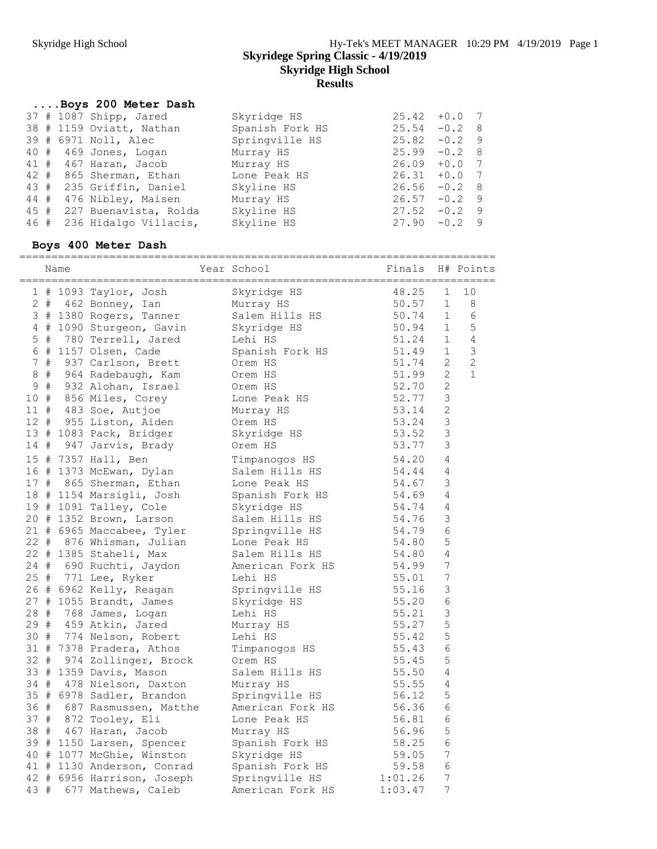#### **....Boys 200 Meter Dash**

|      |  | 37 # 1087 Shipp, Jared     | Skyridge HS     | 25.42           | $+0.0$   |     |
|------|--|----------------------------|-----------------|-----------------|----------|-----|
|      |  | 38 # 1159 Oviatt, Nathan   | Spanish Fork HS | 25.54           | $-0.2$   | - 8 |
|      |  | 39 # 6971 Noll, Alec       | Springville HS  | 25.82           | $-0.2$ 9 |     |
|      |  | 40 # 469 Jones, Logan      | Murray HS       | 25.99           | $-0.2$   | - 8 |
|      |  | 41 # 467 Haran, Jacob      | Murray HS       | 26.09           | $+0.0$   |     |
|      |  | 42 # 865 Sherman, Ethan    | Lone Peak HS    | 26.31           | $+0.0$ 7 |     |
|      |  | 43 # 235 Griffin, Daniel   | Skyline HS      | $26.56 - 0.2$ 8 |          |     |
| 44 # |  | 476 Nibley, Maisen         | Murray HS       | 26.57           | $-0.2$ 9 |     |
|      |  | 45 # 227 Buenavista, Rolda | Skyline HS      | 27.52           | $-0.2$   | - 9 |
|      |  | 46 # 236 Hidalgo Villacis, | Skyline HS      | 27.90           | $-0.2$ 9 |     |

#### **Boys 400 Meter Dash**

========================================================================== Name The Year School The Finals H# Points ========================================================================== 1 # 1093 Taylor, Josh Skyridge HS 48.25 1 10 2 # 462 Bonney, Ian Murray HS 50.57 1 8 3 # 1380 Rogers, Tanner Salem Hills HS 50.74 1 6 4 # 1090 Sturgeon, Gavin Skyridge HS 50.94 1 5 5 # 780 Terrell, Jared Lehi HS 51.24 1 4 6 # 1157 Olsen, Cade Spanish Fork HS 51.49 1 3 7 # 937 Carlson, Brett 0rem HS 51.74 2 2 8 # 964 Radebaugh, Kam Orem HS 51.99 2 1 9 # 932 Alohan, Israel Orem HS 52.70 2 10 # 856 Miles, Corey Lone Peak HS 52.77 3 11 # 483 Soe, Autjoe Murray HS 53.14 2 12 # 955 Liston, Aiden Orem HS 53.24 3 13 # 1083 Pack, Bridger Skyridge HS 53.52 3 14 # 947 Jarvis, Brady Orem HS 53.77 3 15 # 7357 Hall, Ben Timpanogos HS 54.20 4 16 # 1373 McEwan, Dylan Salem Hills HS 54.44 4 17 # 865 Sherman, Ethan Lone Peak HS 54.67 3 18 # 1154 Marsigli, Josh Spanish Fork HS 54.69 4 19 # 1091 Talley, Cole Skyridge HS 54.74 4 20 # 1352 Brown, Larson Salem Hills HS 54.76 3 21 # 6965 Maccabee, Tyler Springville HS 54.79 6 22 # 876 Whisman, Julian Lone Peak HS 54.80 5 22 # 1385 Staheli, Max Salem Hills HS 54.80 4 24 # 690 Ruchti, Jaydon Mmerican Fork HS 54.99 7 25 # 771 Lee, Ryker Lehi HS 55.01 7 26 # 6962 Kelly, Reagan Springville HS 55.16 3 27 # 1055 Brandt, James Skyridge HS 55.20 6 28 # 768 James, Logan Lehi HS 55.21 3 29 # 459 Atkin, Jared Murray HS 55.27 5 30 # 774 Nelson, Robert Lehi HS 55.42 5 31 # 7378 Pradera, Athos Timpanogos HS 55.43 6 32 # 974 Zollinger, Brock Orem HS 55.45 5 33 # 1359 Davis, Mason Salem Hills HS 55.50 4 34 # 478 Nielson, Daxton Murray HS 55.55 4 35 # 6978 Sadler, Brandon Springville HS 56.12 5 36 # 687 Rasmussen, Matthe American Fork HS 56.36 6 37 # 872 Tooley, Eli Lone Peak HS 56.81 6 38 # 467 Haran, Jacob Murray HS 56.96 5 39 # 1150 Larsen, Spencer Spanish Fork HS 58.25 6 40 # 1077 McGhie, Winston Skyridge HS 59.05 7 41 # 1130 Anderson, Conrad Spanish Fork HS 59.58 6 42 # 6956 Harrison, Joseph Springville HS 1:01.26 7 43 # 677 Mathews, Caleb American Fork HS 1:03.47 7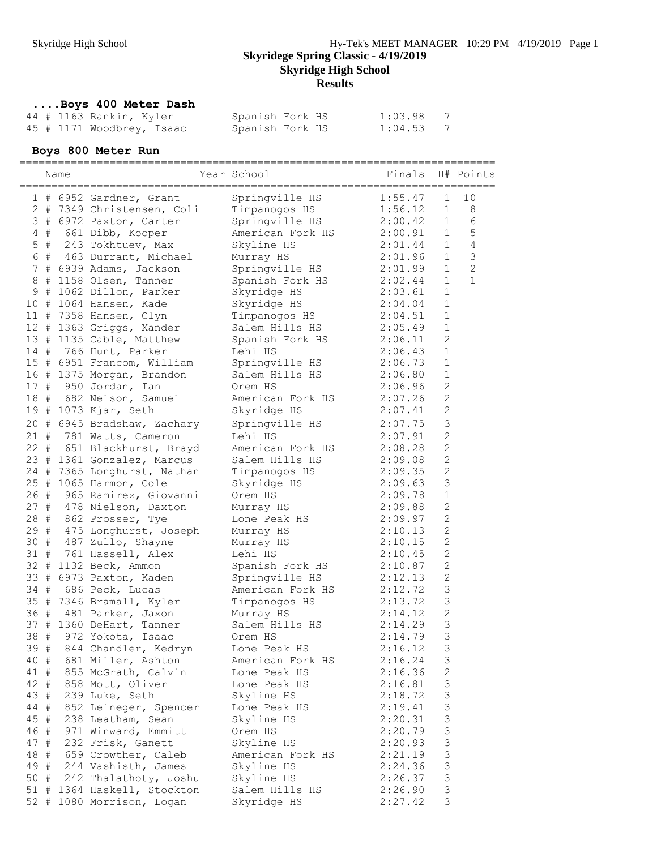# **....Boys 400 Meter Dash**

|  | 44 # 1163 Rankin, Kyler   | Spanish Fork HS |  | 1:03.98 | $\frac{1}{2}$ |
|--|---------------------------|-----------------|--|---------|---------------|
|  | 45 # 1171 Woodbrey, Isaac | Spanish Fork HS |  | 1:04.53 |               |

#### **Boys 800 Meter Run**

|                 | ==========================<br>Name |  |                             | Year School      | Finals  |                | H# Points      |
|-----------------|------------------------------------|--|-----------------------------|------------------|---------|----------------|----------------|
|                 |                                    |  |                             |                  |         |                |                |
| ı               |                                    |  | # 6952 Gardner, Grant       | Springville HS   | 1:55.47 | 1              | 10             |
|                 |                                    |  | 2 # 7349 Christensen, Coli  | Timpanogos HS    | 1:56.12 | $\mathbf{1}$   | $\,8\,$        |
|                 |                                    |  | 3 # 6972 Paxton, Carter     | Springville HS   | 2:00.42 | $\mathbf{1}$   | $\epsilon$     |
|                 | $4$ #                              |  | 661 Dibb, Kooper            | American Fork HS | 2:00.91 | $\mathbf{1}$   | 5              |
| 5               | $\#$                               |  | 243 Tokhtuev, Max           | Skyline HS       | 2:01.44 | $\mathbf{1}$   | $\sqrt{4}$     |
| $6\overline{6}$ |                                    |  | # 463 Durrant, Michael      | Murray HS        | 2:01.96 | $\mathbf{1}$   | $\mathfrak{Z}$ |
| 7 <sup>1</sup>  |                                    |  | # 6939 Adams, Jackson       | Springville HS   | 2:01.99 | $\mathbf{1}$   | 2              |
|                 |                                    |  | 8 # 1158 Olsen, Tanner      | Spanish Fork HS  | 2:02.44 | $\mathbf{1}$   | $\mathbf{1}$   |
| 9               |                                    |  | # 1062 Dillon, Parker       | Skyridge HS      | 2:03.61 | $\mathbf{1}$   |                |
|                 |                                    |  | 10 # 1064 Hansen, Kade      | Skyridge HS      | 2:04.04 | $\mathbf{1}$   |                |
|                 |                                    |  | 11 # 7358 Hansen, Clyn      | Timpanogos HS    | 2:04.51 | $\mathbf{1}$   |                |
|                 |                                    |  | 12 # 1363 Griggs, Xander    | Salem Hills HS   | 2:05.49 | $\mathbf 1$    |                |
|                 |                                    |  | 13 # 1135 Cable, Matthew    | Spanish Fork HS  | 2:06.11 | $\overline{c}$ |                |
|                 |                                    |  | 14 # 766 Hunt, Parker       | Lehi HS          | 2:06.43 | $1\,$          |                |
|                 |                                    |  | 15 # 6951 Francom, William  | Springville HS   | 2:06.73 | $1\,$          |                |
|                 |                                    |  | 16 # 1375 Morgan, Brandon   | Salem Hills HS   | 2:06.80 | $\mathbf{1}$   |                |
|                 |                                    |  | 17 # 950 Jordan, Ian        | Orem HS          | 2:06.96 | $\mathbf{2}$   |                |
| 18#             |                                    |  | 682 Nelson, Samuel          | American Fork HS | 2:07.26 | $\overline{c}$ |                |
|                 |                                    |  | 19 # 1073 Kjar, Seth        | Skyridge HS      | 2:07.41 | $\mathbf{2}$   |                |
|                 |                                    |  | 20 # 6945 Bradshaw, Zachary | Springville HS   | 2:07.75 | $\mathfrak{Z}$ |                |
| 21 #            |                                    |  | 781 Watts, Cameron          | Lehi HS          | 2:07.91 | $\mathbf{2}$   |                |
|                 |                                    |  | 22 # 651 Blackhurst, Brayd  | American Fork HS | 2:08.28 | $\mathbf{2}$   |                |
|                 |                                    |  | 23 # 1361 Gonzalez, Marcus  | Salem Hills HS   | 2:09.08 | $\overline{c}$ |                |
|                 |                                    |  | 24 # 7365 Longhurst, Nathan | Timpanogos HS    | 2:09.35 | $\mathbf{2}$   |                |
|                 |                                    |  | 25 # 1065 Harmon, Cole      | Skyridge HS      | 2:09.63 | 3              |                |
| 26#             |                                    |  | 965 Ramirez, Giovanni       | Orem HS          | 2:09.78 | $\mathbf{1}$   |                |
| 27#             |                                    |  | 478 Nielson, Daxton         | Murray HS        | 2:09.88 | $\overline{c}$ |                |
| 28 #            |                                    |  | 862 Prosser, Tye            | Lone Peak HS     | 2:09.97 | $\overline{2}$ |                |
| 29 #            |                                    |  | 475 Longhurst, Joseph       | Murray HS        | 2:10.13 | $\overline{c}$ |                |
| 30 #            |                                    |  | 487 Zullo, Shayne           | Murray HS        | 2:10.15 | $\mathbf{2}$   |                |
| 31#             |                                    |  | 761 Hassell, Alex           | Lehi HS          | 2:10.45 | $\sqrt{2}$     |                |
|                 |                                    |  | 32 # 1132 Beck, Ammon       | Spanish Fork HS  | 2:10.87 | $\overline{2}$ |                |
|                 |                                    |  | 33 # 6973 Paxton, Kaden     | Springville HS   | 2:12.13 | $\mathbf{2}$   |                |
| 34 #            |                                    |  | 686 Peck, Lucas             | American Fork HS | 2:12.72 | $\mathfrak{Z}$ |                |
|                 |                                    |  | 35 # 7346 Bramall, Kyler    | Timpanogos HS    | 2:13.72 | $\mathcal{S}$  |                |
| 36 #            |                                    |  | 481 Parker, Jaxon           |                  | 2:14.12 | $\sqrt{2}$     |                |
|                 |                                    |  |                             | Murray HS        | 2:14.29 | 3              |                |
|                 |                                    |  | 37 # 1360 DeHart, Tanner    | Salem Hills HS   | 2:14.79 | 3              |                |
| 38 #            |                                    |  | 972 Yokota, Isaac           | Orem HS          |         |                |                |
| 39 #            |                                    |  | 844 Chandler, Kedryn        | Lone Peak HS     | 2:16.12 | 3              |                |
| 40 #            |                                    |  | 681 Miller, Ashton          | American Fork HS | 2:16.24 | 3              |                |
| 41 #            |                                    |  | 855 McGrath, Calvin         | Lone Peak HS     | 2:16.36 | $\sqrt{2}$     |                |
| 42 #            |                                    |  | 858 Mott, Oliver            | Lone Peak HS     | 2:16.81 | $\mathfrak{Z}$ |                |
| 43 #            |                                    |  | 239 Luke, Seth              | Skyline HS       | 2:18.72 | $\mathfrak{Z}$ |                |
| 44 #            |                                    |  | 852 Leineger, Spencer       | Lone Peak HS     | 2:19.41 | $\mathfrak{Z}$ |                |
| 45 #            |                                    |  | 238 Leatham, Sean           | Skyline HS       | 2:20.31 | 3              |                |
| 46 #            |                                    |  | 971 Winward, Emmitt         | Orem HS          | 2:20.79 | $\mathfrak{Z}$ |                |
| 47 #            |                                    |  | 232 Frisk, Ganett           | Skyline HS       | 2:20.93 | $\mathsf 3$    |                |
| 48 #            |                                    |  | 659 Crowther, Caleb         | American Fork HS | 2:21.19 | $\mathfrak{Z}$ |                |
| 49 #            |                                    |  | 244 Vashisth, James         | Skyline HS       | 2:24.36 | $\mathsf 3$    |                |
| 50 #            |                                    |  | 242 Thalathoty, Joshu       | Skyline HS       | 2:26.37 | $\mathfrak{Z}$ |                |
|                 |                                    |  | 51 # 1364 Haskell, Stockton | Salem Hills HS   | 2:26.90 | 3              |                |
|                 |                                    |  | 52 # 1080 Morrison, Logan   | Skyridge HS      | 2:27.42 | 3              |                |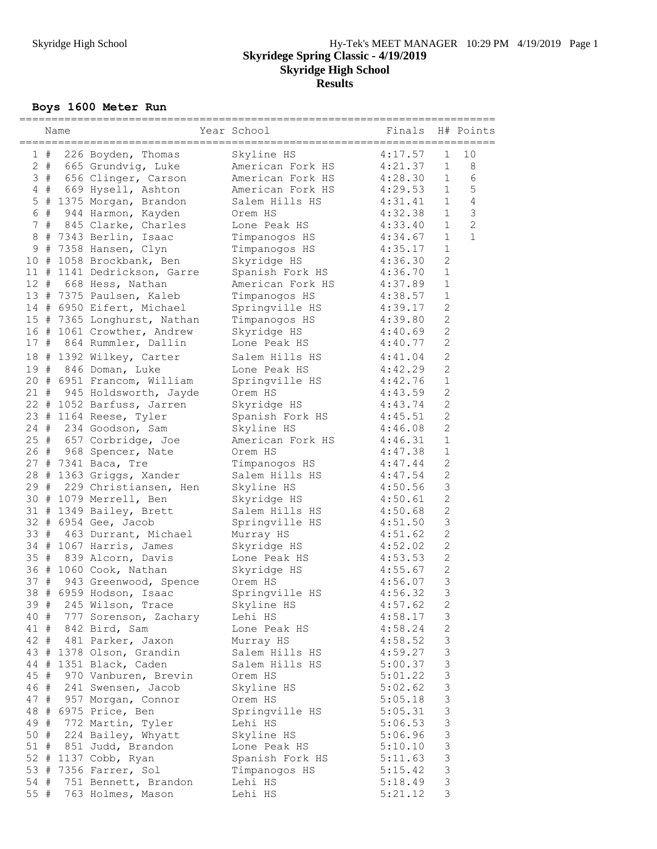# **Boys 1600 Meter Run**

|            |             | Name | ============================      | Year School                      | Finals  |                           | H# Points      |
|------------|-------------|------|-----------------------------------|----------------------------------|---------|---------------------------|----------------|
|            | 1#          |      | 226 Boyden, Thomas                | Skyline HS                       | 4:17.57 | 1                         | 10             |
|            | $2 +$       |      | 665 Grundvig, Luke                | American Fork HS                 | 4:21.37 | $\mathbf{1}$              | $\,8\,$        |
|            | 3#          |      | 656 Clinger, Carson               | American Fork HS                 | 4:28.30 | $\mathbf{1}$              | $\epsilon$     |
|            | 4 #         |      | 669 Hysell, Ashton                | American Fork HS                 | 4:29.53 | $\mathbf{1}$              | $\mathsf S$    |
| 5          |             |      | # 1375 Morgan, Brandon            | Salem Hills HS                   | 4:31.41 | 1                         | $\sqrt{4}$     |
| $\epsilon$ | $\#$        |      | 944 Harmon, Kayden                | Orem HS                          | 4:32.38 | $\mathbf{1}$              | $\mathfrak{Z}$ |
| 7          | $_{\rm \#}$ |      | 845 Clarke, Charles               | Lone Peak HS                     | 4:33.40 | $\mathbf{1}$              | $\overline{c}$ |
| 8          |             |      | # 7343 Berlin, Isaac              | Timpanogos HS                    | 4:34.67 | $\mathbf{1}$              | $\mathbf{1}$   |
| 9          |             |      | # 7358 Hansen, Clyn               | Timpanogos HS                    | 4:35.17 | $\mathbf 1$               |                |
|            |             |      | 10 # 1058 Brockbank, Ben          | Skyridge HS                      | 4:36.30 | $\overline{c}$            |                |
|            |             |      | 11 # 1141 Dedrickson, Garre       | Spanish Fork HS                  | 4:36.70 | $\mathbf{1}$              |                |
|            |             |      | 12 # 668 Hess, Nathan             | American Fork HS                 | 4:37.89 | $\mathbf{1}$              |                |
|            |             |      | 13 # 7375 Paulsen, Kaleb          | Timpanogos HS                    | 4:38.57 | 1                         |                |
|            |             |      | 14 # 6950 Eifert, Michael         | Springville HS                   | 4:39.17 | $\overline{c}$            |                |
|            |             |      | 15 # 7365 Longhurst, Nathan       | Timpanogos HS                    | 4:39.80 | $\overline{c}$            |                |
|            |             |      | 16 # 1061 Crowther, Andrew        | Skyridge HS                      | 4:40.69 | $\mathbf{2}$              |                |
|            |             |      | 17 # 864 Rummler, Dallin          | Lone Peak HS                     | 4:40.77 | $\mathbf{2}$              |                |
|            |             |      | 18 # 1392 Wilkey, Carter          | Salem Hills HS                   | 4:41.04 | $\overline{c}$            |                |
|            |             |      | 19 # 846 Doman, Luke              | Lone Peak HS                     | 4:42.29 | $\overline{c}$            |                |
|            |             |      | 20 # 6951 Francom, William        | Springville HS                   | 4:42.76 | $\mathbf{1}$              |                |
|            |             |      | 21 # 945 Holdsworth, Jayde        | Orem HS                          | 4:43.59 | $\overline{c}$            |                |
|            |             |      | 22 # 1052 Barfuss, Jarren         | Skyridge HS                      | 4:43.74 | $\overline{c}$            |                |
|            |             |      | 23 # 1164 Reese, Tyler            | Spanish Fork HS                  | 4:45.51 | $\overline{c}$            |                |
|            |             |      | 24 # 234 Goodson, Sam             | Skyline HS                       | 4:46.08 | $\overline{c}$            |                |
|            |             |      | 25 # 657 Corbridge, Joe           | American Fork HS                 | 4:46.31 | $\mathbf{1}$              |                |
|            |             |      | 26 # 968 Spencer, Nate            | Orem HS                          | 4:47.38 | $\mathbf{1}$              |                |
|            |             |      | 27 # 7341 Baca, Tre               | Timpanogos HS                    | 4:47.44 | $\mathbf{2}$              |                |
|            |             |      | 28 # 1363 Griggs, Xander          | Salem Hills HS                   | 4:47.54 | $\overline{c}$            |                |
|            |             |      | 29 # 229 Christiansen, Hen        | Skyline HS                       | 4:50.56 | $\mathsf 3$               |                |
|            |             |      | 30 # 1079 Merrell, Ben            | Skyridge HS                      | 4:50.61 | $\mathbf{2}$              |                |
|            |             |      | 31 # 1349 Bailey, Brett           | Salem Hills HS                   | 4:50.68 | $\overline{c}$            |                |
|            |             |      | 32 # 6954 Gee, Jacob              | Springville HS                   | 4:51.50 | 3                         |                |
|            |             |      | 33 # 463 Durrant, Michael         | Murray HS                        | 4:51.62 | $\mathbf{2}$              |                |
|            |             |      | 34 # 1067 Harris, James           | Skyridge HS                      | 4:52.02 | $\overline{c}$            |                |
|            |             |      | 35 # 839 Alcorn, Davis            | Lone Peak HS                     | 4:53.53 | $\mathbf{2}$              |                |
|            |             |      | 36 # 1060 Cook, Nathan            | Skyridge HS                      | 4:55.67 | $\mathbf{2}$              |                |
| 37#        |             |      | 943 Greenwood, Spence             | Orem HS                          | 4:56.07 | 3                         |                |
|            |             |      | 38 # 6959 Hodson, Isaac           | Springville HS                   | 4:56.32 | 3                         |                |
|            |             |      | 39 # 245 Wilson, Trace            | Skyline HS                       | 4:57.62 | 2                         |                |
|            |             |      | 40 # 777 Sorenson, Zachary        | Lehi HS                          | 4:58.17 | 3                         |                |
|            |             |      | 41 # 842 Bird, Sam                | Lone Peak HS                     | 4:58.24 | $\sqrt{2}$                |                |
|            |             |      | 42 # 481 Parker, Jaxon            | Murray HS                        | 4:58.52 | 3                         |                |
|            |             |      | 43 # 1378 Olson, Grandin          | Salem Hills HS                   | 4:59.27 | $\mathfrak{Z}$            |                |
|            |             |      | 44 # 1351 Black, Caden            | Salem Hills HS                   | 5:00.37 | 3                         |                |
|            |             |      | 45 # 970 Vanburen, Brevin         | Orem HS                          | 5:01.22 | 3                         |                |
| 46 #       |             |      | 241 Swensen, Jacob                | Skyline HS                       | 5:02.62 | $\mathsf 3$               |                |
|            |             |      | 47 # 957 Morgan, Connor           | Orem HS                          | 5:05.18 | $\ensuremath{\mathsf{3}}$ |                |
|            |             |      | 48 # 6975 Price, Ben              | Springville HS                   | 5:05.31 | 3                         |                |
| 49 #       |             |      | 772 Martin, Tyler                 | Lehi HS                          | 5:06.53 | 3                         |                |
|            |             |      | 50 # 224 Bailey, Whyatt           | Skyline HS                       | 5:06.96 | 3                         |                |
|            |             |      | 51 # 851 Judd, Brandon            | Lone Peak HS                     | 5:10.10 | 3                         |                |
|            |             |      | 52 # 1137 Cobb, Ryan              | Spanish Fork HS<br>Timpanogos HS | 5:11.63 | 3                         |                |
|            |             |      | 53 # 7356 Farrer, Sol             |                                  | 5:15.42 | $\mathsf 3$               |                |
|            |             |      | 54 # 751 Bennett, Brandon Lehi HS |                                  | 5:18.49 | 3                         |                |
|            |             |      | 55 # 763 Holmes, Mason            | Lehi HS                          | 5:21.12 | 3                         |                |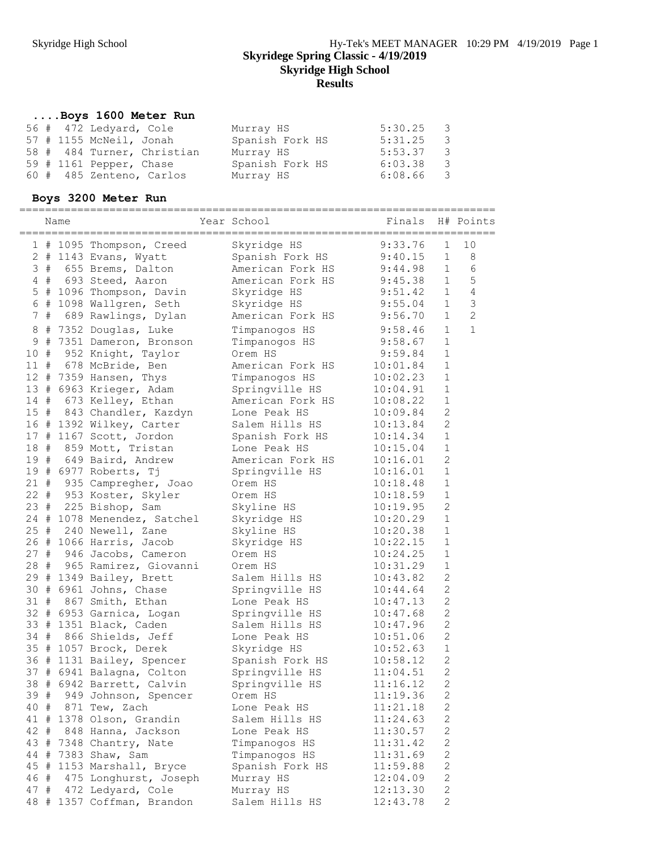#### **....Boys 1600 Meter Run**

|  | 56 # 472 Ledyard, Cole     | Murray HS       | $5:30.25$ 3 |  |
|--|----------------------------|-----------------|-------------|--|
|  | 57 # 1155 McNeil, Jonah    | Spanish Fork HS | $5:31.25$ 3 |  |
|  | 58 # 484 Turner, Christian | Murray HS       | $5:53.37$ 3 |  |
|  | 59 # 1161 Pepper, Chase    | Spanish Fork HS | $6:03.38$ 3 |  |
|  | 60 # 485 Zenteno, Carlos   | Murray HS       | $6:08.66$ 3 |  |

# **Boys 3200 Meter Run**

|                 | Name  |  |                             | Year School      | Finals   |                | H# Points      |
|-----------------|-------|--|-----------------------------|------------------|----------|----------------|----------------|
| $\mathbf{1}$    |       |  | # 1095 Thompson, Creed      | Skyridge HS      | 9:33.76  | 1              | 10             |
|                 |       |  | 2 # 1143 Evans, Wyatt       | Spanish Fork HS  | 9:40.15  | $\mathbf{1}$   | $\,8\,$        |
|                 |       |  | 3 # 655 Brems, Dalton       | American Fork HS | 9:44.98  | $\mathbf{1}$   | $\sqrt{6}$     |
|                 | $4$ # |  | 693 Steed, Aaron            | American Fork HS | 9:45.38  | $\mathbf{1}$   | $\mathsf S$    |
| 5               |       |  | # 1096 Thompson, Davin      | Skyridge HS      | 9:51.42  | $\mathbf{1}$   | $\sqrt{4}$     |
| $\sqrt{6}$      |       |  | # 1098 Wallgren, Seth       | Skyridge HS      | 9:55.04  | $\mathbf{1}$   | $\mathsf 3$    |
| 7               | $\#$  |  | 689 Rawlings, Dylan         | American Fork HS | 9:56.70  | $\mathbf{1}$   | $\overline{2}$ |
| 8               | #     |  | 7352 Douglas, Luke          | Timpanogos HS    | 9:58.46  | $\mathbf{1}$   | $\mathbf{1}$   |
| 9               | #     |  | 7351 Dameron, Bronson       | Timpanogos HS    | 9:58.67  | $\mathbf{1}$   |                |
| 10 <sub>o</sub> | #     |  | 952 Knight, Taylor          | Orem HS          | 9:59.84  | $\mathbf{1}$   |                |
| 11#             |       |  | 678 McBride, Ben            | American Fork HS | 10:01.84 | $\mathbf{1}$   |                |
|                 |       |  | 12 # 7359 Hansen, Thys      | Timpanogos HS    | 10:02.23 | $\mathbf{1}$   |                |
|                 |       |  | 13 # 6963 Krieger, Adam     | Springville HS   | 10:04.91 | $\mathbf{1}$   |                |
| $14$ #          |       |  | 673 Kelley, Ethan           | American Fork HS | 10:08.22 | $\mathbf 1$    |                |
|                 |       |  | 15 # 843 Chandler, Kazdyn   | Lone Peak HS     | 10:09.84 | $\overline{c}$ |                |
|                 |       |  | 16 # 1392 Wilkey, Carter    | Salem Hills HS   | 10:13.84 | $\overline{c}$ |                |
|                 |       |  | 17 # 1167 Scott, Jordon     | Spanish Fork HS  | 10:14.34 | $\mathbf 1$    |                |
|                 |       |  | 18 # 859 Mott, Tristan      | Lone Peak HS     | 10:15.04 | $\mathbf 1$    |                |
|                 |       |  | 19 # 649 Baird, Andrew      | American Fork HS | 10:16.01 | $\mathbf{2}$   |                |
|                 |       |  | 19 # 6977 Roberts, Tj       | Springville HS   | 10:16.01 | $\mathbf 1$    |                |
| $21 +$          |       |  | 935 Campregher, Joao        | Orem HS          | 10:18.48 | $\mathbf{1}$   |                |
| $22 +$          |       |  | 953 Koster, Skyler          | Orem HS          | 10:18.59 | $\mathbf{1}$   |                |
| 23#             |       |  | 225 Bishop, Sam             | Skyline HS       | 10:19.95 | $\mathbf{2}$   |                |
|                 |       |  | 24 # 1078 Menendez, Satchel | Skyridge HS      | 10:20.29 | $\mathbf{1}$   |                |
| $25 +$          |       |  | 240 Newell, Zane            | Skyline HS       | 10:20.38 | $\mathbf{1}$   |                |
|                 |       |  | 26 # 1066 Harris, Jacob     | Skyridge HS      | 10:22.15 | $\mathbf{1}$   |                |
|                 |       |  | 27 # 946 Jacobs, Cameron    | Orem HS          | 10:24.25 | $\mathbf{1}$   |                |
| 28#             |       |  | 965 Ramirez, Giovanni       | Orem HS          | 10:31.29 | $\mathbf{1}$   |                |
|                 |       |  | 29 # 1349 Bailey, Brett     | Salem Hills HS   | 10:43.82 | $\mathbf{2}$   |                |
|                 |       |  | 30 # 6961 Johns, Chase      | Springville HS   | 10:44.64 | $\sqrt{2}$     |                |
|                 |       |  | 31 # 867 Smith, Ethan       | Lone Peak HS     | 10:47.13 | $\sqrt{2}$     |                |
|                 |       |  | 32 # 6953 Garnica, Logan    | Springville HS   | 10:47.68 | $\mathbf{2}$   |                |
|                 |       |  | 33 # 1351 Black, Caden      | Salem Hills HS   | 10:47.96 | $\overline{c}$ |                |
|                 |       |  | 34 # 866 Shields, Jeff      | Lone Peak HS     | 10:51.06 | $\overline{c}$ |                |
|                 |       |  | 35 # 1057 Brock, Derek      | Skyridge HS      | 10:52.63 | $\mathbf{1}$   |                |
|                 |       |  | 36 # 1131 Bailey, Spencer   | Spanish Fork HS  | 10:58.12 | $\mathbf{2}$   |                |
|                 |       |  | 37 # 6941 Balagna, Colton   | Springville HS   | 11:04.51 | $\overline{c}$ |                |
|                 |       |  | 38 # 6942 Barrett, Calvin   | Springville HS   | 11:16.12 | 2              |                |
| 39#             |       |  | 949 Johnson, Spencer        | Orem HS          | 11:19.36 | 2              |                |
|                 |       |  | 40 # 871 Tew, Zach          | Lone Peak HS     | 11:21.18 | 2              |                |
|                 |       |  | 41 # 1378 Olson, Grandin    | Salem Hills HS   | 11:24.63 | 2              |                |
| 42 #            |       |  | 848 Hanna, Jackson          | Lone Peak HS     | 11:30.57 | 2              |                |
|                 |       |  | 43 # 7348 Chantry, Nate     | Timpanogos HS    | 11:31.42 | $\sqrt{2}$     |                |
|                 |       |  | 44 # 7383 Shaw, Sam         | Timpanogos HS    | 11:31.69 | 2              |                |
|                 |       |  | 45 # 1153 Marshall, Bryce   | Spanish Fork HS  | 11:59.88 | 2              |                |
| 46 #            |       |  | 475 Longhurst, Joseph       | Murray HS        | 12:04.09 | $\mathbf 2$    |                |
| 47 #            |       |  | 472 Ledyard, Cole           | Murray HS        | 12:13.30 | 2              |                |
|                 |       |  | 48 # 1357 Coffman, Brandon  | Salem Hills HS   | 12:43.78 | 2              |                |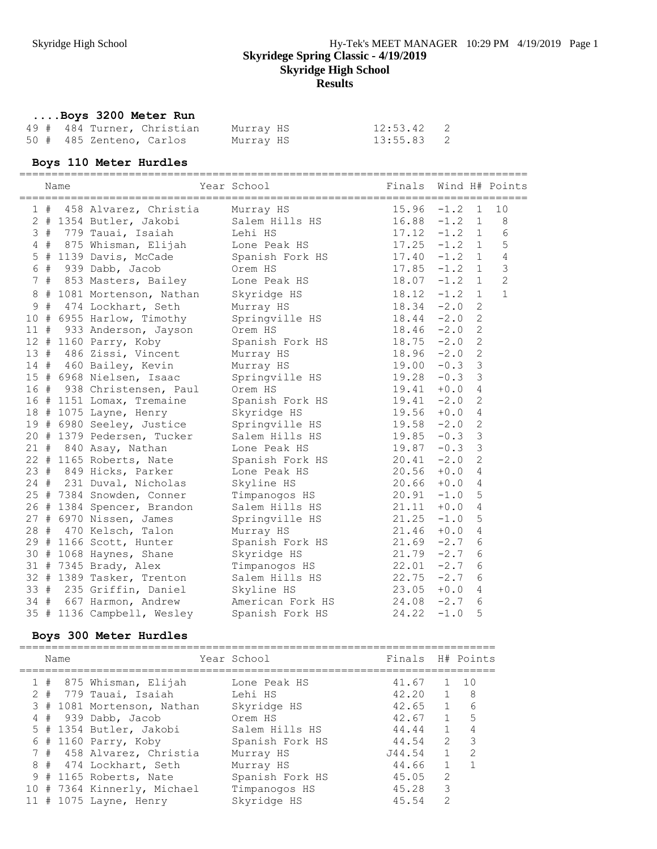#### **....Boys 3200 Meter Run**

|  | 49 # 484 Turner, Christian | Murray HS | $12:53.42$ 2 |  |
|--|----------------------------|-----------|--------------|--|
|  | 50 # 485 Zenteno, Carlos   | Murray HS | 13:55.83 2   |  |

#### **Boys 110 Meter Hurdles**

|     |     |      | boys ilo meter nurdres                              | Year School                                                                                                                   | Finals Wind H# Points                                        |          |                |                |
|-----|-----|------|-----------------------------------------------------|-------------------------------------------------------------------------------------------------------------------------------|--------------------------------------------------------------|----------|----------------|----------------|
|     |     | Name |                                                     |                                                                                                                               |                                                              |          |                |                |
|     | 1#  |      | 458 Alvarez, Christia Murray HS                     |                                                                                                                               | 15.96                                                        | $-1.2$   | $\mathbf{1}$   | 10             |
|     |     |      |                                                     | 2 # 1354 Butler, Jakobi Salem Hills HS 16.88                                                                                  |                                                              | $-1.2$ 1 |                | 8              |
|     |     |      | 3 # 779 Tauai, Isaiah Lehi HS                       |                                                                                                                               | 17.12                                                        | $-1.2$ 1 |                | $\epsilon$     |
|     |     |      |                                                     | 4 # 875 Whisman, Elijah Lone Peak HS 17.25                                                                                    |                                                              | $-1.2$ 1 |                | 5              |
| 5   |     |      |                                                     | # 1139 Davis, McCade Spanish Fork HS 17.40                                                                                    |                                                              | $-1.2$ 1 |                | $\overline{4}$ |
| 6   | #   |      | 939 Dabb, Jacob Orem HS                             |                                                                                                                               | 17.85                                                        | $-1.2$ 1 |                | $\mathfrak{Z}$ |
|     | 7#  |      | 853 Masters, Bailey                                 | Lone Peak HS 18.07                                                                                                            |                                                              | $-1.2$ 1 |                | $\overline{2}$ |
| 8   | $+$ |      |                                                     | 1081 Mortenson, Nathan Skyridge HS 18.12                                                                                      |                                                              | $-1.2$   | $\mathbf{1}$   | $1\,$          |
| 9   | #   |      | 474 Lockhart, Seth                                  | Murray HS                                                                                                                     | 18.34                                                        | $-2.0$   | 2              |                |
|     |     |      |                                                     | 10 # 6955 Harlow, Timothy Springville HS 18.44                                                                                |                                                              | $-2.0$   | 2              |                |
| 11# |     |      | 933 Anderson, Jayson                                | Orem HS                                                                                                                       | 18.46                                                        | $-2.0$   | $\mathbf{2}$   |                |
|     |     |      | 12 # 1160 Parry, Koby                               | Spanish Fork HS 18.75                                                                                                         |                                                              | $-2.0$   | $\mathbf{2}$   |                |
|     |     |      | 13 # 486 Zissi, Vincent                             | Murray HS                                                                                                                     | 18.96                                                        | $-2.0$   | $\overline{c}$ |                |
|     |     |      | 14 # 460 Bailey, Kevin                              | Murray HS                                                                                                                     | 19.00                                                        | $-0.3$   | $\mathfrak{Z}$ |                |
|     |     |      | 15 # 6968 Nielsen, Isaac                            | Springville HS 19.28                                                                                                          |                                                              | $-0.3$   | $\mathfrak{Z}$ |                |
|     |     |      | 16 # 938 Christensen, Paul                          | Orem HS                                                                                                                       | 19.41                                                        | $+0.0$   | $\overline{4}$ |                |
|     |     |      | 16 # 1151 Lomax, Tremaine                           | Spanish Forl<br>Skyridge HS                                                                                                   | 19.41<br>19.56                                               | $-2.0$   | $\mathbf{2}$   |                |
|     |     |      | 18 # 1075 Layne, Henry                              | Spanish Fork HS<br>Skyridge HS                                                                                                |                                                              | $+0.0$   | $\overline{4}$ |                |
|     |     |      | 19 # 6980 Seeley, Justice                           | Snyilage no<br>Springville HS<br>Salem Hills HS<br>Lone Peak HS                                                               | 19.58                                                        | $-2.0$   | $\overline{c}$ |                |
|     |     |      | 20 # 1379 Pedersen, Tucker<br>21 # 840 Asay, Nathan |                                                                                                                               | 19.85                                                        | $-0.3$   | $\mathcal{S}$  |                |
|     |     |      |                                                     |                                                                                                                               | 19.87                                                        | $-0.3$   | $\mathcal{S}$  |                |
|     |     |      | 22 # 1165 Roberts, Nate                             | Spanish Fork HS                                                                                                               | 20.41                                                        | $-2.0$   | $\overline{c}$ |                |
|     |     |      | 23 # 849 Hicks, Parker                              | Lone Peak HS                                                                                                                  | 20.56                                                        | $+0.0$   | 4              |                |
|     |     |      | 24 # 231 Duval, Nicholas                            | Skyline HS                                                                                                                    | 20.66                                                        | $+0.0$   | 4              |                |
|     |     |      | 25 # 7384 Snowden, Conner                           | Timpanogos HS 20.91                                                                                                           |                                                              | $-1.0$   | 5              |                |
|     |     |      | 26 # 1384 Spencer, Brandon                          | Salem Hills HS 21.11                                                                                                          |                                                              | $+0.0$   | 4              |                |
|     |     |      | 27 # 6970 Nissen, James                             | Springville HS 21.25                                                                                                          |                                                              | $-1.0$   | 5              |                |
|     |     |      | 28 # 470 Kelsch, Talon                              | Murray HS                                                                                                                     | 21.46                                                        | $+0.0$   | 4              |                |
|     |     |      | 29 # 1166 Scott, Hunter                             | Spanish Fork HS 21.69                                                                                                         |                                                              | $-2.7$   | 6              |                |
|     |     |      | 30 # 1068 Haynes, Shane Skyridge HS                 |                                                                                                                               | 21.79                                                        | $-2.7$   | 6              |                |
|     |     |      |                                                     | 31 # 7345 Brady, Alex Timpanogos HS                                                                                           | 22.01                                                        |          | 6              |                |
|     |     |      | 32 # 1389 Tasker, Trenton                           | Salem Hills HS                                                                                                                | $-2.01 -2.7$<br>$22.75 -2.7$<br>$23.05 +0.0$<br>$24.08 -2.7$ |          | 6              |                |
|     |     |      |                                                     | 33 # 235 Griffin, Daniel Skyline HS<br>34 # 667 Harmon, Andrew American Fork HS<br>35 # 1136 Campbell, Weslev Spanish Fork HS |                                                              |          | $\overline{4}$ |                |
|     |     |      |                                                     |                                                                                                                               |                                                              |          | 6              |                |
|     |     |      | 35 # 1136 Campbell, Wesley                          | Spanish Fork HS                                                                                                               |                                                              |          | 5              |                |

#### **Boys 300 Meter Hurdles**

| Name |                                                                                                                                                                                                                                                 | Year School                                                                                                                         | Finals H# Points                                                                 |                                        |                                                                           |
|------|-------------------------------------------------------------------------------------------------------------------------------------------------------------------------------------------------------------------------------------------------|-------------------------------------------------------------------------------------------------------------------------------------|----------------------------------------------------------------------------------|----------------------------------------|---------------------------------------------------------------------------|
|      | $1$ # 875 Whisman, Elijah<br>$2$ # 779 Tauai, Isaiah<br>3 # 1081 Mortenson, Nathan<br>$4#939$ Dabb, Jacob<br>5 # 1354 Butler, Jakobi<br>$6$ # 1160 Parry, Koby<br>7 # 458 Alvarez, Christia<br>8 # 474 Lockhart, Seth<br>9 # 1165 Roberts, Nate | Lone Peak HS<br>Lehi HS<br>Skyridge HS<br>Orem HS<br>Salem Hills HS<br>Spanish Fork HS<br>Murray HS<br>Murray HS<br>Spanish Fork HS | 41.67<br>42.20 1<br>42.65<br>42.67<br>44.44<br>44.54<br>J44.54<br>44.66<br>45.05 | 1<br>1<br>1<br>2<br>1<br>$\mathcal{L}$ | 1 10<br>- 8<br>- 6<br>$5^{\circ}$<br>$\overline{4}$<br>$\mathcal{S}$<br>2 |
|      | 10 # 7364 Kinnerly, Michael<br>11 # 1075 Layne, Henry                                                                                                                                                                                           | Timpanogos HS<br>Skyridge HS                                                                                                        | 45.28<br>45.54                                                                   | 3<br>$\mathcal{L}$                     |                                                                           |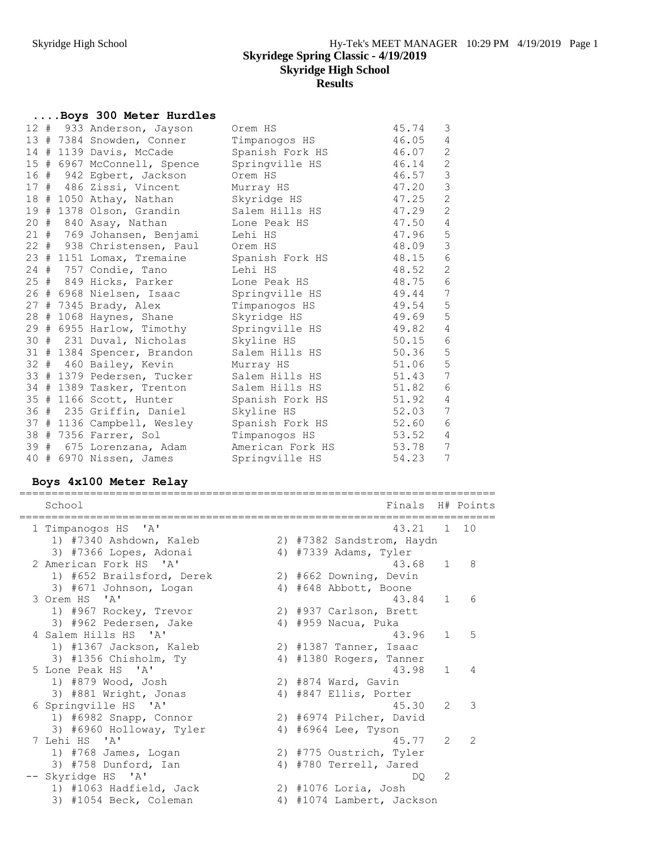# **....Boys 300 Meter Hurdles**

|  | 12 # 933 Anderson, Jayson          | Orem HS          | 45.74 | 3                |
|--|------------------------------------|------------------|-------|------------------|
|  | 13 # 7384 Snowden, Conner          | Timpanogos HS    | 46.05 | 4                |
|  | 14 # 1139 Davis, McCade            | Spanish Fork HS  | 46.07 | $\mathbf{2}$     |
|  | 15 # 6967 McConnell, Spence        | Springville HS   | 46.14 | $\mathbf{2}$     |
|  | 16 # 942 Egbert, Jackson           | Orem HS          | 46.57 | $\mathsf 3$      |
|  | 17 # 486 Zissi, Vincent            | Murray HS        | 47.20 | $\mathsf 3$      |
|  | 18 # 1050 Athay, Nathan            | Skyridge HS      | 47.25 | $\sqrt{2}$       |
|  | 19 # 1378 Olson, Grandin           | Salem Hills HS   | 47.29 | $\mathbf{2}$     |
|  | 20 # 840 Asay, Nathan              | Lone Peak HS     | 47.50 | 4                |
|  | 21 # 769 Johansen, Benjami         | Lehi HS          | 47.96 | 5                |
|  | 22 # 938 Christensen, Paul Orem HS |                  | 48.09 | $\mathsf 3$      |
|  | 23 # 1151 Lomax, Tremaine          | Spanish Fork HS  | 48.15 | $\sqrt{6}$       |
|  | 24 # 757 Condie, Tano              | Lehi HS          | 48.52 | $\mathbf{2}$     |
|  | 25 # 849 Hicks, Parker             | Lone Peak HS     | 48.75 | $\sqrt{6}$       |
|  | 26 # 6968 Nielsen, Isaac           | Springville HS   | 49.44 | 7                |
|  | 27 # 7345 Brady, Alex              | Timpanogos HS    | 49.54 | $\mathsf S$      |
|  | 28 # 1068 Haynes, Shane            | Skyridge HS      | 49.69 | $\mathsf S$      |
|  | 29 # 6955 Harlow, Timothy          | Springville HS   | 49.82 | $\overline{4}$   |
|  | 30 # 231 Duval, Nicholas           | Skyline HS       | 50.15 | $\sqrt{6}$       |
|  | 31 # 1384 Spencer, Brandon         | Salem Hills HS   | 50.36 | $\mathsf S$      |
|  | 32 # 460 Bailey, Kevin             | Murray HS        | 51.06 | $\mathsf S$      |
|  | 33 # 1379 Pedersen, Tucker         | Salem Hills HS   | 51.43 | $\boldsymbol{7}$ |
|  | 34 # 1389 Tasker, Trenton          | Salem Hills HS   | 51.82 | 6                |
|  | 35 # 1166 Scott, Hunter            | Spanish Fork HS  | 51.92 | $\overline{4}$   |
|  | 36 # 235 Griffin, Daniel           | Skyline HS       | 52.03 | 7                |
|  | 37 # 1136 Campbell, Wesley         | Spanish Fork HS  | 52.60 | $\sqrt{6}$       |
|  | 38 # 7356 Farrer, Sol              | Timpanogos HS    | 53.52 | 4                |
|  | 39 # 675 Lorenzana, Adam           | American Fork HS | 53.78 | $\overline{7}$   |
|  | 40 # 6970 Nissen, James            | Springville HS   | 54.23 | 7                |
|  |                                    |                  |       |                  |

#### **Boys 4x100 Meter Relay**

| School                    | Finals H# Points          |                |               |
|---------------------------|---------------------------|----------------|---------------|
| 1 Timpanogos HS 'A'       | 43.21                     | $\overline{1}$ | 10            |
| 1) #7340 Ashdown, Kaleb   | 2) #7382 Sandstrom, Haydn |                |               |
| 3) #7366 Lopes, Adonai    | 4) #7339 Adams, Tyler     |                |               |
| 2 American Fork HS 'A'    | 43.68 1                   |                | 8             |
| 1) #652 Brailsford, Derek | 2) #662 Downing, Devin    |                |               |
| 3) #671 Johnson, Logan    | 4) #648 Abbott, Boone     |                |               |
| 3 Orem HS 'A'             | 43.84                     | $\mathbf{1}$   | 6             |
| 1) #967 Rockey, Trevor    | 2) #937 Carlson, Brett    |                |               |
| 3) #962 Pedersen, Jake    | 4) #959 Nacua, Puka       |                |               |
| 4 Salem Hills HS 'A'      | 43.96                     | $\mathbf{1}$   | 5             |
| 1) #1367 Jackson, Kaleb   | 2) #1387 Tanner, Isaac    |                |               |
| 3) $#1356$ Chisholm, Ty   | 4) #1380 Rogers, Tanner   |                |               |
| 5 Lone Peak HS 'A'        | 43.98                     | $\mathbf{1}$   | 4             |
| 1) #879 Wood, Josh        | 2) #874 Ward, Gavin       |                |               |
| 3) #881 Wright, Jonas     | 4) #847 Ellis, Porter     |                |               |
| 6 Springville HS 'A'      | 45.30                     | $\mathcal{L}$  | 3             |
| 1) #6982 Snapp, Connor    | 2) #6974 Pilcher, David   |                |               |
| 3) #6960 Holloway, Tyler  | 4) #6964 Lee, Tyson       |                |               |
| 7 Lehi HS 'A'             | 45.77                     | $\mathcal{L}$  | $\mathcal{L}$ |
| 1) #768 James, Logan      | 2) #775 Oustrich, Tyler   |                |               |
| 3) #758 Dunford, Ian      | 4) #780 Terrell, Jared    |                |               |
| Skyridge HS 'A'           | DO.                       | 2              |               |
| 1) #1063 Hadfield, Jack   | 2) #1076 Loria, Josh      |                |               |
| 3) #1054 Beck, Coleman    | 4) #1074 Lambert, Jackson |                |               |
|                           |                           |                |               |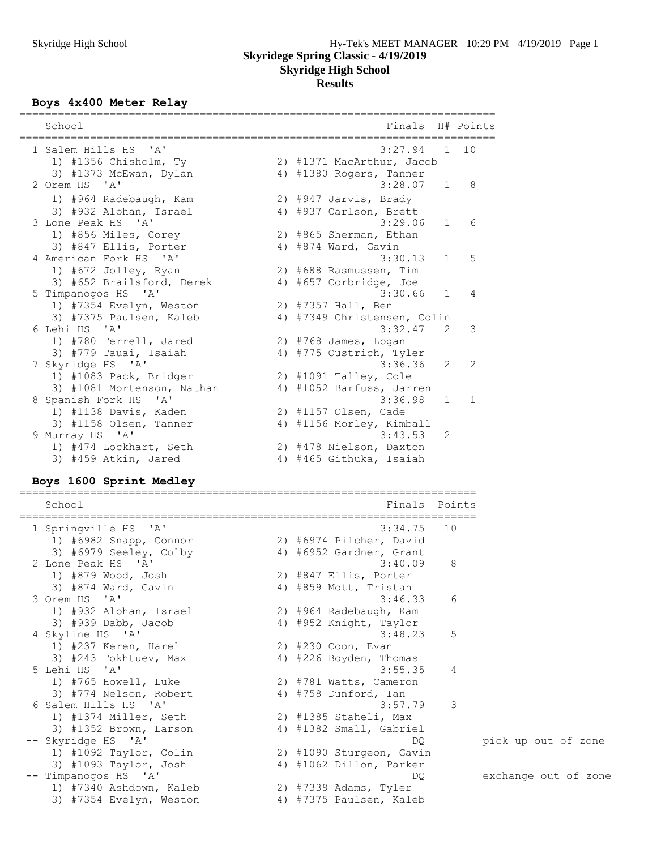#### **Boys 4x400 Meter Relay**

| School                     | Finals H# Points            |                |                |
|----------------------------|-----------------------------|----------------|----------------|
| 1 Salem Hills HS 'A'       | 3:27.94                     | $\overline{1}$ | 10             |
| 1) #1356 Chisholm, Ty      | 2) #1371 MacArthur, Jacob   |                |                |
| 3) #1373 McEwan, Dylan     | 4) #1380 Rogers, Tanner     |                |                |
| 2 Orem HS 'A'              | $3:28.07$ 1                 |                | - 8            |
| 1) #964 Radebaugh, Kam     | 2) #947 Jarvis, Brady       |                |                |
| 3) #932 Alohan, Israel     | 4) #937 Carlson, Brett      |                |                |
| 3 Lone Peak HS 'A'         | $3:29.06$ 1                 |                | 6              |
| 1) #856 Miles, Corey       | 2) #865 Sherman, Ethan      |                |                |
| 3) #847 Ellis, Porter      | 4) #874 Ward, Gavin         |                |                |
| 4 American Fork HS 'A'     | $3:30.13$ 1                 |                | 5              |
| 1) #672 Jolley, Ryan       | 2) #688 Rasmussen, Tim      |                |                |
| 3) #652 Brailsford, Derek  | 4) #657 Corbridge, Joe      |                |                |
| 5 Timpanogos HS 'A'        | $3:30.66$ 1                 |                | $\overline{4}$ |
| 1) #7354 Evelyn, Weston    | 2) #7357 Hall, Ben          |                |                |
| 3) #7375 Paulsen, Kaleb    | 4) #7349 Christensen, Colin |                |                |
| 6 Lehi HS 'A'              | 3:32.47                     | 2              | 3              |
| 1) #780 Terrell, Jared     | 2) #768 James, Logan        |                |                |
| 3) #779 Tauai, Isaiah      | 4) #775 Oustrich, Tyler     |                |                |
| 7 Skyridge HS 'A'          | 3:36.36                     | 2              | 2              |
| 1) #1083 Pack, Bridger     | 2) #1091 Talley, Cole       |                |                |
| 3) #1081 Mortenson, Nathan | 4) #1052 Barfuss, Jarren    |                |                |
| 8 Spanish Fork HS 'A'      | 3:36.98                     | $\mathbf{1}$   | $\overline{1}$ |
| 1) #1138 Davis, Kaden      | 2) #1157 Olsen, Cade        |                |                |
| 3) #1158 Olsen, Tanner     | 4) #1156 Morley, Kimball    |                |                |
| 9 Murray HS 'A'            | 3:43.53                     | 2              |                |
| 1) #474 Lockhart, Seth     | 2) #478 Nielson, Daxton     |                |                |
| 3) #459 Atkin, Jared       | 4) #465 Githuka, Isaiah     |                |                |

#### **Boys 1600 Sprint Medley**

======================================================================= School **Finals** Points ======================================================================= 1 Springville HS 'A' 3:34.75 10 1) #6982 Snapp, Connor 2) #6974 Pilcher, David 3) #6979 Seeley, Colby 4) #6952 Gardner, Grant 2 Lone Peak HS 'A' 3:40.09 8 1) #879 Wood, Josh 2) #847 Ellis, Porter 3) #874 Ward, Gavin 4) #859 Mott, Tristan 3 Orem HS 'A' 3:46.33 6 1) #932 Alohan, Israel 2) #964 Radebaugh, Kam 3) #939 Dabb, Jacob 4) #952 Knight, Taylor 4 Skyline HS 'A' 3:48.23 5 1) #237 Keren, Harel 2) #230 Coon, Evan 3) #243 Tokhtuev, Max 4) #226 Boyden, Thomas 5 Lehi HS 'A' 3:55.35 4 1) #765 Howell, Luke 2) #781 Watts, Cameron 3) #774 Nelson, Robert 4) #758 Dunford, Ian 6 Salem Hills HS 'A' 3:57.79 3 1) #1374 Miller, Seth 2) #1385 Staheli, Max 3) #1352 Brown, Larson 4) #1382 Small, Gabriel -- Skyridge HS 'A' DQ pick up out of zone 1) #1092 Taylor, Colin 2) #1090 Sturgeon, Gavin 3) #1093 Taylor, Josh 4) #1062 Dillon, Parker -- Timpanogos HS 'A' DQ exchange out of zone 1) #7340 Ashdown, Kaleb 2) #7339 Adams, Tyler 3) #7354 Evelyn, Weston 4) #7375 Paulsen, Kaleb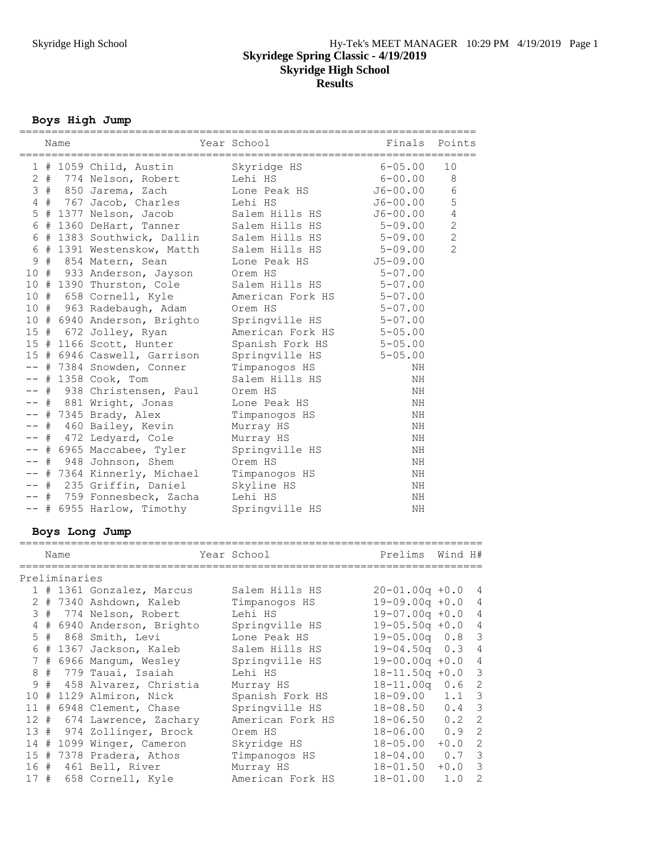**Boys High Jump**

|        |    | Name          |                             | Year School      | Finals                      | Points         |                |
|--------|----|---------------|-----------------------------|------------------|-----------------------------|----------------|----------------|
|        |    |               | 1 # 1059 Child, Austin      | Skyridge HS      | $6 - 05.00$                 | 10             |                |
|        |    |               | 2 # 774 Nelson, Robert      | Lehi HS          | $6 - 00.00$                 | 8              |                |
|        |    |               | 3 # 850 Jarema, Zach        | Lone Peak HS     | $J6 - 00.00$                | $\epsilon$     |                |
|        |    |               | 4 # 767 Jacob, Charles      | Lehi HS          | $J6 - 00.00$                | $\mathsf S$    |                |
|        |    |               | 5 # 1377 Nelson, Jacob      | Salem Hills HS   | $J6 - 00.00$                | $\sqrt{4}$     |                |
|        |    |               | 6 # 1360 DeHart, Tanner     | Salem Hills HS   | $5 - 09.00$                 | $\mathbf{2}$   |                |
|        |    |               | 6 # 1383 Southwick, Dallin  | Salem Hills HS   | 5-09.00                     | $\sqrt{2}$     |                |
|        |    |               | 6 # 1391 Westenskow, Matth  | Salem Hills HS   | $5 - 09.00$                 | $\overline{2}$ |                |
| 9      |    |               | # 854 Matern, Sean          | Lone Peak HS     |                             |                |                |
|        |    |               | 10 # 933 Anderson, Jayson   | Orem HS          | $J5 - 09.00$<br>$5 - 07.00$ |                |                |
|        |    |               |                             | Salem Hills HS   | $5 - 07.00$                 |                |                |
|        |    |               | 10 # 1390 Thurston, Cole    |                  |                             |                |                |
|        |    |               | 10 # 658 Cornell, Kyle      | American Fork HS | $5 - 07.00$                 |                |                |
|        |    |               | 10 # 963 Radebaugh, Adam    | Orem HS          | $5 - 07.00$                 |                |                |
|        |    |               | 10 # 6940 Anderson, Brighto | Springville HS   | $5 - 07.00$                 |                |                |
|        |    |               | 15 # 672 Jolley, Ryan       | American Fork HS | $5 - 05.00$                 |                |                |
|        |    |               | 15 # 1166 Scott, Hunter     | Spanish Fork HS  | $5 - 05.00$                 |                |                |
|        |    |               | 15 # 6946 Caswell, Garrison | Springville HS   | $5 - 05.00$                 |                |                |
|        |    |               | -- # 7384 Snowden, Conner   | Timpanogos HS    | ΝH                          |                |                |
|        |    |               | -- # 1358 Cook, Tom         | Salem Hills HS   | ΝH                          |                |                |
|        |    |               | -- # 938 Christensen, Paul  | Orem HS          | NH                          |                |                |
|        |    |               | -- # 881 Wright, Jonas      | Lone Peak HS     | ΝH                          |                |                |
|        |    |               | -- # 7345 Brady, Alex       | Timpanogos HS    | ΝH                          |                |                |
|        |    |               | -- # 460 Bailey, Kevin      | Murray HS        | ΝH                          |                |                |
|        |    |               | -- # 472 Ledyard, Cole      | Murray HS        | ΝH                          |                |                |
|        |    |               | -- # 6965 Maccabee, Tyler   | Springville HS   | ΝH                          |                |                |
| -- #   |    |               | 948 Johnson, Shem           | Orem HS          | NH                          |                |                |
|        |    |               | -- # 7364 Kinnerly, Michael | Timpanogos HS    | ΝH                          |                |                |
|        |    |               | -- # 235 Griffin, Daniel    | Skyline HS       | ΝH                          |                |                |
|        |    |               | -- # 759 Fonnesbeck, Zacha  | Lehi HS          | ΝH                          |                |                |
|        |    |               | -- # 6955 Harlow, Timothy   | Springville HS   | ΝH                          |                |                |
|        |    |               | Boys Long Jump              |                  |                             |                |                |
|        |    | Name          |                             | Year School      | Prelims                     | Wind H#        |                |
|        |    |               |                             |                  |                             |                |                |
|        |    | Preliminaries |                             |                  |                             |                |                |
|        |    |               | 1 # 1361 Gonzalez, Marcus   | Salem Hills HS   | $20 - 01.00q + 0.0$         |                | 4              |
|        |    |               | 2 # 7340 Ashdown, Kaleb     | Timpanogos HS    | $19-09.00q +0.0$            |                | $\overline{4}$ |
|        | 3# |               | 774 Nelson, Robert          | Lehi HS          | $19 - 07.00q + 0.0$         |                | $\overline{4}$ |
|        |    |               | 4 # 6940 Anderson, Brighto  | Springville HS   | $19 - 05.50q + 0.0$         |                | 4              |
|        | 5# |               | 868 Smith, Levi             | Lone Peak HS     | $19 - 05.00q$               | 0.8            | 3              |
|        |    |               | 6 # 1367 Jackson, Kaleb     | Salem Hills HS   | $19 - 04.50q$               | 0.3            | 4              |
| 7      | #  |               | 6966 Mangum, Wesley         | Springville HS   | $19 - 00.00q + 0.0$         |                | 4              |
| 8      | #  |               | 779 Tauai, Isaiah           | Lehi HS          | $18 - 11.50q + 0.0$         |                | 3              |
| 9      | #  |               | 458 Alvarez, Christia       | Murray HS        | $18 - 11.00q$               | 0.6            | $\overline{c}$ |
| 10 #   |    |               | 1129 Almiron, Nick          | Spanish Fork HS  | $18 - 09.00$                | 1.1            | 3              |
| 11#    |    |               | 6948 Clement, Chase         | Springville HS   | $18 - 08.50$                | 0.4            | 3              |
| $12 +$ |    |               | 674 Lawrence, Zachary       | American Fork HS | $18 - 06.50$                | 0.2            | $\mathbf{2}$   |
| 13#    |    |               | 974 Zollinger, Brock        | Orem HS          | $18 - 06.00$                | 0.9            | $\mathbf{2}$   |
|        |    |               | 14 # 1099 Winger, Cameron   | Skyridge HS      | $18 - 05.00$                | $+0.0$         | $\mathbf{2}$   |
| 15#    |    |               | 7378 Pradera, Athos         | Timpanogos HS    | $18 - 04.00$                | 0.7            | 3              |
| 16 #   |    |               | 461 Bell, River             | Murray HS        | $18 - 01.50$                | $+0.0$         | 3              |
| 17#    |    |               | 658 Cornell, Kyle           | American Fork HS | $18 - 01.00$                | 1.0            | $\mathbf{2}$   |

=======================================================================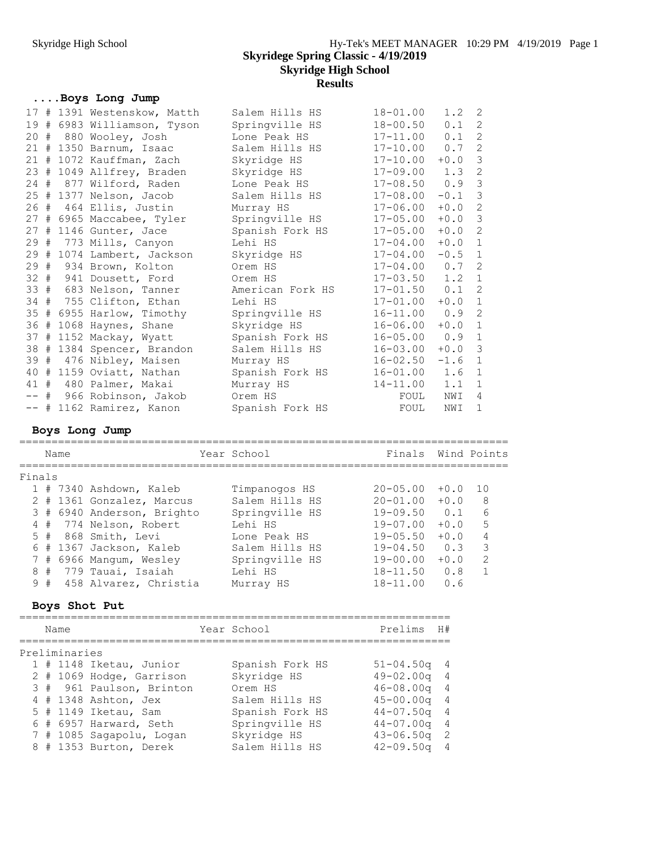# **....Boys Long Jump**

|        |  | 17 # 1391 Westenskow, Matth | Salem Hills HS                  | 18-01.00           | 1.2    | 2                       |
|--------|--|-----------------------------|---------------------------------|--------------------|--------|-------------------------|
|        |  | 19 # 6983 Williamson, Tyson | Springville HS                  | $18 - 00.50$       | 0.1    | 2                       |
|        |  | 20 # 880 Wooley, Josh       | Lone Peak HS                    | $17 - 11.00$       | 0.1    | 2                       |
|        |  | $21$ # 1350 Barnum, Isaac   | Salem Hills HS                  | $17 - 10.00$       | 0.7    | 2                       |
|        |  | 21 # 1072 Kauffman, Zach    | Skyridge HS                     | $17 - 10.00$       | $+0.0$ | 3                       |
|        |  | 23 # 1049 Allfrey, Braden   | $17 - 09.00$ 1.3<br>Skyridge HS |                    |        | 2                       |
|        |  | 24 # 877 Wilford, Raden     | Lone Peak HS                    | $17 - 08.50$ 0.9   |        | $\mathcal{S}$           |
|        |  | 25 # 1377 Nelson, Jacob     | Salem Hills HS                  | $17 - 08.00$       | $-0.1$ | 3                       |
|        |  | 26 # 464 Ellis, Justin      | Murray HS                       | $17 - 06.00$       | $+0.0$ | 2                       |
|        |  | 27 # 6965 Maccabee, Tyler   | Springville HS                  | $17 - 05.00$       | $+0.0$ | 3                       |
|        |  | 27 # 1146 Gunter, Jace      | Spanish Fork HS                 | $17 - 05.00$       | $+0.0$ | 2                       |
|        |  | 29 # 773 Mills, Canyon      | Lehi HS                         | $17 - 04.00$       | $+0.0$ | $\sqrt{1}$              |
|        |  | 29 # 1074 Lambert, Jackson  | Skyridge HS                     | $17 - 04.00 - 0.5$ |        | $\overline{1}$          |
|        |  | 29 # 934 Brown, Kolton      | Orem HS                         | $17 - 04.00$ 0.7   |        | 2                       |
|        |  | 32 # 941 Dousett, Ford      | Orem HS                         | $17 - 03.50$ 1.2   |        | $\overline{1}$          |
|        |  | 33 # 683 Nelson, Tanner     | American Fork HS                | $17 - 01.50$       | 0.1    | 2                       |
|        |  | 34 # 755 Clifton, Ethan     | Lehi HS                         | $17 - 01.00$       | $+0.0$ | 1                       |
|        |  | 35 # 6955 Harlow, Timothy   | Springville HS                  | $16 - 11.00$       | 0.9    | 2                       |
|        |  | 36 # 1068 Haynes, Shane     | Skyridge HS                     | $16 - 06.00$       | $+0.0$ | $\overline{1}$          |
|        |  | 37 # 1152 Mackay, Wyatt     | Spanish Fork HS                 | $16 - 05.00$       | 0.9    | $\mathbf{1}$            |
|        |  | 38 # 1384 Spencer, Brandon  | Salem Hills HS                  | $16 - 03.00$       | $+0.0$ | $\overline{\mathbf{3}}$ |
|        |  | 39 # 476 Nibley, Maisen     | Murray HS                       | $16 - 02.50 - 1.6$ |        | $\mathbf{1}$            |
|        |  | 40 # 1159 Oviatt, Nathan    | Spanish Fork HS                 | $16 - 01.00$ 1.6   |        | 1                       |
|        |  | 41 # 480 Palmer, Makai      | Murray HS                       | $14 - 11.00$ 1.1   |        | $\mathbf{1}$            |
| $--$ # |  | 966 Robinson, Jakob         | Orem HS                         | FOUL               | NWI    | 4                       |
|        |  | -- # 1162 Ramirez, Kanon    | Spanish Fork HS                 | FOUL               | NWI    | $\mathbf{1}$            |

#### **Boys Long Jump**

|        |    | Name |                            | Year School    | Finals Wind Points |        |                |
|--------|----|------|----------------------------|----------------|--------------------|--------|----------------|
| Finals |    |      |                            |                |                    |        |                |
|        |    |      | 1 # 7340 Ashdown, Kaleb    | Timpanogos HS  | $20 - 05.00$       | $+0.0$ | 1 O            |
|        |    |      | 2 # 1361 Gonzalez, Marcus  | Salem Hills HS | $20 - 01.00$       | $+0.0$ | 8              |
|        |    |      | 3 # 6940 Anderson, Brighto | Springville HS | $19 - 09.50$       | 0.1    | 6              |
|        |    |      | 4 # 774 Nelson, Robert     | Lehi HS        | $19 - 07.00$       | $+0.0$ | 5              |
|        |    |      | 5 # 868 Smith, Levi        | Lone Peak HS   | $19 - 0.5.50$      | $+0.0$ | $\overline{4}$ |
|        |    |      | 6 # 1367 Jackson, Kaleb    | Salem Hills HS | $19 - 04.50$       | 0.3    | 3              |
|        |    |      | 7 # 6966 Mangum, Wesley    | Springville HS | $19 - 00.00$       | $+0.0$ | $\mathcal{L}$  |
|        | 8# |      | 779 Tauai, Isaiah          | Lehi HS        | $18 - 11.50$       | 0.8    | 1              |
|        |    |      | 9 # 458 Alvarez, Christia  | Murray HS      | $18 - 11.00$       | 0.6    |                |
|        |    |      |                            |                |                    |        |                |

# **Boys Shot Put**

|               | Name |  |                          |  | Year School     | Prelims         | H#             |
|---------------|------|--|--------------------------|--|-----------------|-----------------|----------------|
| Preliminaries |      |  |                          |  |                 |                 |                |
|               |      |  | 1 # 1148 Iketau, Junior  |  | Spanish Fork HS | $51 - 04.50q$ 4 |                |
|               |      |  | 2 # 1069 Hodge, Garrison |  | Skyridge HS     | $49 - 02.00q$   | $\overline{4}$ |
|               |      |  | 3 # 961 Paulson, Brinton |  | Orem HS         | $46 - 08.00q$   | $\overline{4}$ |
|               |      |  | 4 # 1348 Ashton, Jex     |  | Salem Hills HS  | $45 - 00.00q$   | $\overline{4}$ |
|               |      |  | 5 # 1149 Iketau, Sam     |  | Spanish Fork HS | $44 - 07.50q$   | $\overline{4}$ |
|               |      |  | $6$ # 6957 Harward, Seth |  | Springville HS  | $44 - 07.00q$   | 4              |
|               |      |  | 7 # 1085 Sagapolu, Logan |  | Skyridge HS     | $43 - 06.50q$ 2 |                |
|               |      |  | 8 # 1353 Burton, Derek   |  | Salem Hills HS  | $42 - 09.50$ g  | 4              |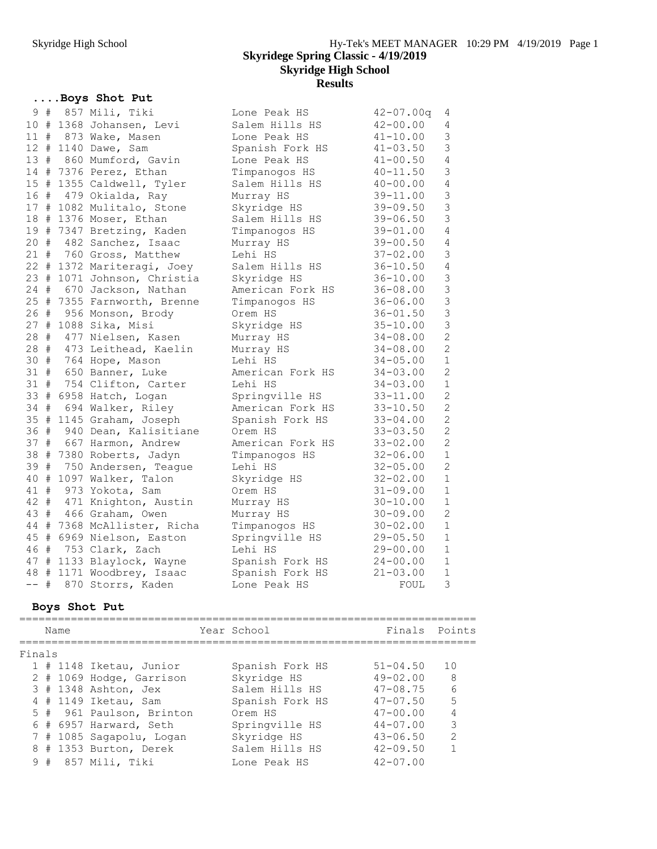**....Boys Shot Put**

|        |  | 9 # 857 Mili, Tiki          | Lone Peak HS     | $42 - 07.00q$ | 4              |
|--------|--|-----------------------------|------------------|---------------|----------------|
|        |  | 10 # 1368 Johansen, Levi    | Salem Hills HS   | $42 - 00.00$  | 4              |
|        |  | 11 # 873 Wake, Masen        | Lone Peak HS     | $41 - 10.00$  | $\mathsf 3$    |
|        |  | 12 # 1140 Dawe, Sam         | Spanish Fork HS  | $41 - 03.50$  | $\mathsf 3$    |
|        |  | 13 # 860 Mumford, Gavin     | Lone Peak HS     | $41 - 00.50$  | $\overline{4}$ |
|        |  | 14 # 7376 Perez, Ethan      | Timpanogos HS    | $40 - 11.50$  | 3              |
|        |  | 15 # 1355 Caldwell, Tyler   | Salem Hills HS   | $40 - 00.00$  | $\sqrt{4}$     |
|        |  | 16 # 479 Okialda, Ray       | Murray HS        | $39 - 11.00$  | $\mathfrak{Z}$ |
|        |  | 17 # 1082 Mulitalo, Stone   | Skyridge HS      | $39 - 09.50$  | $\mathcal{S}$  |
|        |  | 18 # 1376 Moser, Ethan      | Salem Hills HS   | $39 - 06.50$  | $\mathcal{S}$  |
|        |  | 19 # 7347 Bretzing, Kaden   | Timpanogos HS    | $39 - 01.00$  | $\overline{4}$ |
|        |  | 20 # 482 Sanchez, Isaac     | Murray HS        | $39 - 00.50$  | 4              |
|        |  | 21 # 760 Gross, Matthew     | Lehi HS          | $37 - 02.00$  | $\mathsf 3$    |
|        |  | 22 # 1372 Mariteragi, Joey  | Salem Hills HS   | $36 - 10.50$  | $\overline{4}$ |
|        |  | 23 # 1071 Johnson, Christia | Skyridge HS      | $36 - 10.00$  | $\mathfrak{Z}$ |
|        |  | 24 # 670 Jackson, Nathan    | American Fork HS | $36 - 08.00$  | $\mathfrak{Z}$ |
|        |  | 25 # 7355 Farnworth, Brenne | Timpanogos HS    | $36 - 06.00$  | $\mathsf 3$    |
|        |  | 26 # 956 Monson, Brody      | Orem HS          | $36 - 01.50$  | $\mathfrak{Z}$ |
|        |  | 27 # 1088 Sika, Misi        | Skyridge HS      | $35 - 10.00$  | $\mathcal{S}$  |
|        |  | 28 # 477 Nielsen, Kasen     | Murray HS        | $34 - 08.00$  | $\overline{c}$ |
|        |  | 28 # 473 Leithead, Kaelin   | Murray HS        | $34 - 08.00$  | $\overline{c}$ |
|        |  | 30 # 764 Hope, Mason        | Lehi HS          | $34 - 05.00$  | $\mathbf{1}$   |
|        |  | 31 # 650 Banner, Luke       | American Fork HS | $34 - 03.00$  | $\mathbf{2}$   |
|        |  | 31 # 754 Clifton, Carter    | Lehi HS          | $34 - 03.00$  | $\mathbf{1}$   |
|        |  | 33 # 6958 Hatch, Logan      | Springville HS   | $33 - 11.00$  | $\overline{2}$ |
|        |  | 34 # 694 Walker, Riley      | American Fork HS | $33 - 10.50$  | $\overline{c}$ |
|        |  | 35 # 1145 Graham, Joseph    | Spanish Fork HS  | $33 - 04.00$  | $\mathbf{2}$   |
|        |  | 36 # 940 Dean, Kalisitiane  | Orem HS          | $33 - 03.50$  | $\overline{c}$ |
|        |  | 37 # 667 Harmon, Andrew     | American Fork HS | $33 - 02.00$  | $\overline{c}$ |
|        |  | 38 # 7380 Roberts, Jadyn    | Timpanogos HS    | $32 - 06.00$  | $\mathbf{1}$   |
|        |  | 39 # 750 Andersen, Teague   | Lehi HS          | $32 - 05.00$  | $\overline{c}$ |
|        |  | 40 # 1097 Walker, Talon     | Skyridge HS      | $32 - 02.00$  | $\mathbf 1$    |
|        |  | 41 # 973 Yokota, Sam        | Orem HS          | $31 - 09.00$  | $\mathbf 1$    |
|        |  | 42 # 471 Knighton, Austin   | Murray HS        | $30 - 10.00$  | $\mathbf{1}$   |
|        |  | 43 # 466 Graham, Owen       | Murray HS        | $30 - 09.00$  | $\overline{2}$ |
|        |  | 44 # 7368 McAllister, Richa | Timpanogos HS    | $30 - 02.00$  | $\mathbf{1}$   |
|        |  | 45 # 6969 Nielson, Easton   | Springville HS   | $29 - 05.50$  | $\mathbf 1$    |
|        |  | 46 # 753 Clark, Zach        | Lehi HS          | $29 - 00.00$  | $\mathbf{1}$   |
|        |  | 47 # 1133 Blaylock, Wayne   | Spanish Fork HS  | $24 - 00.00$  | $\mathbf{1}$   |
|        |  | 48 # 1171 Woodbrey, Isaac   | Spanish Fork HS  | $21 - 03.00$  | $\mathbf{1}$   |
| $--$ # |  | 870 Storrs, Kaden           | Lone Peak HS     | FOUL          | 3              |

## **Boys Shot Put**

|  |                |                                                                                                                                                                                                                                         |                 |             | Finals Points |                                                                                                                                              |
|--|----------------|-----------------------------------------------------------------------------------------------------------------------------------------------------------------------------------------------------------------------------------------|-----------------|-------------|---------------|----------------------------------------------------------------------------------------------------------------------------------------------|
|  |                |                                                                                                                                                                                                                                         |                 |             |               |                                                                                                                                              |
|  |                |                                                                                                                                                                                                                                         | Spanish Fork HS |             |               | 10                                                                                                                                           |
|  |                |                                                                                                                                                                                                                                         | Skyridge HS     |             |               | 8                                                                                                                                            |
|  |                |                                                                                                                                                                                                                                         | Salem Hills HS  |             |               | 6                                                                                                                                            |
|  |                |                                                                                                                                                                                                                                         | Spanish Fork HS |             |               | 5                                                                                                                                            |
|  |                |                                                                                                                                                                                                                                         | Orem HS         |             |               |                                                                                                                                              |
|  |                |                                                                                                                                                                                                                                         | Springville HS  |             |               | 3                                                                                                                                            |
|  |                |                                                                                                                                                                                                                                         | Skyridge HS     |             |               | $\mathcal{P}$                                                                                                                                |
|  |                |                                                                                                                                                                                                                                         | Salem Hills HS  |             |               |                                                                                                                                              |
|  |                |                                                                                                                                                                                                                                         | Lone Peak HS    |             |               |                                                                                                                                              |
|  | Name<br>Finals | 1 # 1148 Iketau, Junior<br>2 # 1069 Hodge, Garrison<br>3 # 1348 Ashton, Jex<br>4 # 1149 Iketau, Sam<br>5 # 961 Paulson, Brinton<br>$6$ # 6957 Harward, Seth<br>7 # 1085 Sagapolu, Logan<br>8 # 1353 Burton, Derek<br>9 # 857 Mili, Tiki |                 | Year School |               | $51 - 04.50$<br>$49 - 02.00$<br>$47 - 08.75$<br>$47 - 07.50$<br>$47 - 00.00$<br>$44 - 07.00$<br>$43 - 06.50$<br>$42 - 09.50$<br>$42 - 07.00$ |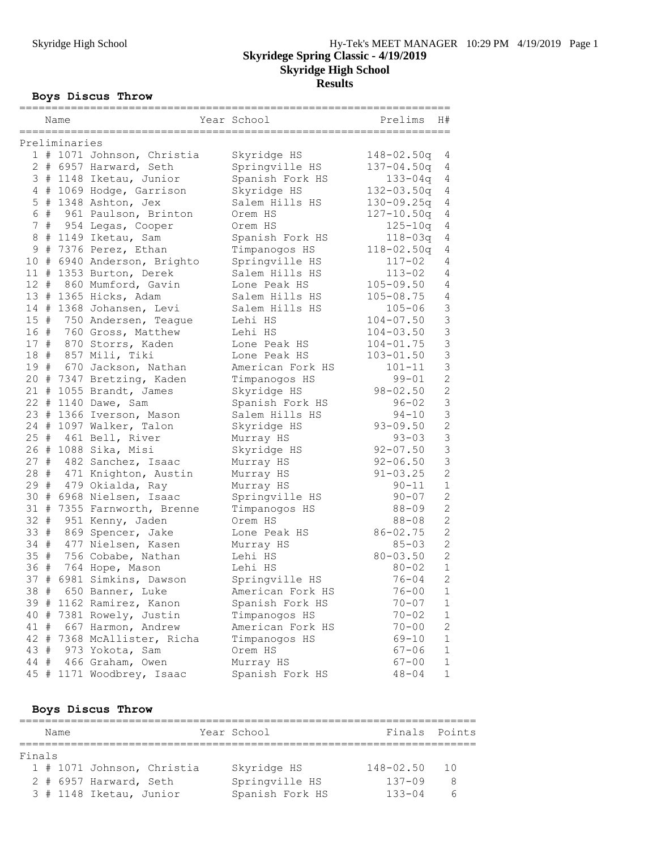# **Boys Discus Throw**

|                 |   | Name          |                             | Year School      | Prelims        | H#             |
|-----------------|---|---------------|-----------------------------|------------------|----------------|----------------|
|                 |   | Preliminaries |                             |                  |                |                |
|                 |   |               | 1 # 1071 Johnson, Christia  | Skyridge HS      | $148 - 02.50q$ | 4              |
|                 |   |               | 2 # 6957 Harward, Seth      | Springville HS   | $137 - 04.50q$ | 4              |
|                 |   |               | 3 # 1148 Iketau, Junior     | Spanish Fork HS  | $133 - 04q$    | 4              |
|                 |   |               | 4 # 1069 Hodge, Garrison    | Skyridge HS      | $132 - 03.50q$ | 4              |
| 5               |   |               | # 1348 Ashton, Jex          | Salem Hills HS   | 130-09.25q     | 4              |
| 6               |   |               | # 961 Paulson, Brinton      | Orem HS          | $127 - 10.50q$ | 4              |
| $7\overline{ }$ |   |               | # 954 Legas, Cooper         | Orem HS          | $125 - 10q$    | 4              |
| $\,8\,$         |   |               | # 1149 Iketau, Sam          | Spanish Fork HS  | $118 - 03q$    | 4              |
| $\mathsf 9$     |   |               | # 7376 Perez, Ethan         | Timpanogos HS    | $118 - 02.50q$ | 4              |
|                 |   |               | 10 # 6940 Anderson, Brighto | Springville HS   | $117 - 02$     | 4              |
|                 |   |               | 11 # 1353 Burton, Derek     | Salem Hills HS   | $113 - 02$     | 4              |
|                 |   |               | 12 # 860 Mumford, Gavin     | Lone Peak HS     | $105 - 09.50$  | 4              |
|                 |   |               | 13 # 1365 Hicks, Adam       | Salem Hills HS   | $105 - 08.75$  | 4              |
|                 |   |               | 14 # 1368 Johansen, Levi    | Salem Hills HS   | $105 - 06$     | $\mathsf 3$    |
|                 |   |               | 15 # 750 Andersen, Teague   | Lehi HS          | $104 - 07.50$  | $\mathfrak{Z}$ |
| 16 #            |   |               | 760 Gross, Matthew          | Lehi HS          | $104 - 03.50$  | $\mathcal{S}$  |
| 17#             |   |               | 870 Storrs, Kaden           | Lone Peak HS     | $104 - 01.75$  | $\mathsf 3$    |
|                 |   |               | 18 # 857 Mili, Tiki         | Lone Peak HS     | $103 - 01.50$  | $\mathfrak{Z}$ |
|                 |   |               | 19 # 670 Jackson, Nathan    | American Fork HS | $101 - 11$     | $\mathfrak{Z}$ |
|                 |   |               | 20 # 7347 Bretzing, Kaden   | Timpanogos HS    | $99 - 01$      | $\overline{c}$ |
|                 |   |               | 21 # 1055 Brandt, James     | Skyridge HS      | $98 - 02.50$   | $\sqrt{2}$     |
|                 |   |               | 22 # 1140 Dawe, Sam         | Spanish Fork HS  | $96 - 02$      | $\mathfrak{Z}$ |
|                 |   |               | 23 # 1366 Iverson, Mason    | Salem Hills HS   | $94 - 10$      | $\mathfrak{Z}$ |
|                 |   |               | 24 # 1097 Walker, Talon     | Skyridge HS      | $93 - 09.50$   | $\mathbf{2}$   |
| 25#             |   |               | 461 Bell, River             | Murray HS        | $93 - 03$      | $\mathfrak{Z}$ |
|                 |   |               | 26 # 1088 Sika, Misi        | Skyridge HS      | $92 - 07.50$   | $\mathfrak{Z}$ |
|                 |   |               | 27 # 482 Sanchez, Isaac     | Murray HS        | $92 - 06.50$   | $\mathfrak{Z}$ |
|                 |   |               | 28 # 471 Knighton, Austin   | Murray HS        | $91 - 03.25$   | $\overline{2}$ |
| 29 #            |   |               | 479 Okialda, Ray            | Murray HS        | 90-11          | $\mathbf{1}$   |
|                 |   |               | 30 # 6968 Nielsen, Isaac    | Springville HS   | $90 - 07$      | $\mathbf{2}$   |
| 31#             |   |               | 7355 Farnworth, Brenne      | Timpanogos HS    | $88 - 09$      | $\mathbf{2}$   |
|                 |   |               | 32 # 951 Kenny, Jaden       | Orem HS          | $88 - 08$      | 2              |
| $33 *$          |   |               | 869 Spencer, Jake           | Lone Peak HS     | $86 - 02.75$   | $\mathbf{2}$   |
| 34#             |   |               | 477 Nielsen, Kasen          | Murray HS        | $85 - 03$      | 2              |
| 35#             |   |               | 756 Cobabe, Nathan          | Lehi HS          | $80 - 03.50$   | 2              |
|                 |   |               | 36 # 764 Hope, Mason        | Lehi HS          | $80 - 02$      | $\mathbf{1}$   |
| 37              | # |               | 6981 Simkins, Dawson        | Springville HS   | $76 - 04$      | $\overline{2}$ |
| 38 #            |   |               | 650 Banner, Luke            | American Fork HS | $76 - 00$      | 1              |
|                 |   |               | 39 # 1162 Ramirez, Kanon    | Spanish Fork HS  | $70 - 07$      | 1              |
| 40 #            |   |               | 7381 Rowely, Justin         | Timpanogos HS    | $70 - 02$      | $\mathbf{1}$   |
| 41 #            |   |               | 667 Harmon, Andrew          | American Fork HS | $70 - 00$      | 2              |
| 42 #            |   |               | 7368 McAllister, Richa      | Timpanogos HS    | $69 - 10$      | 1              |
| 43              | # |               | 973 Yokota, Sam             | Orem HS          | $67 - 06$      | $\mathbf 1$    |
| 44#             |   |               | 466 Graham, Owen            | Murray HS        | $67 - 00$      | $\mathbf{1}$   |
|                 |   |               | 45 # 1171 Woodbrey, Isaac   | Spanish Fork HS  | $48 - 04$      | 1              |

#### **Boys Discus Throw**

|        |  | Name |                         |                            | Year School     | Finals     | Points |  |  |
|--------|--|------|-------------------------|----------------------------|-----------------|------------|--------|--|--|
| Finals |  |      |                         |                            |                 |            |        |  |  |
|        |  |      |                         | 1 # 1071 Johnson, Christia | Skyridge HS     | 148-02.50  | 1 O    |  |  |
|        |  |      | 2 # 6957 Harward, Seth  |                            | Springville HS  | $137 - 09$ | -8     |  |  |
|        |  |      | 3 # 1148 Iketau, Junior |                            | Spanish Fork HS | $133 - 04$ |        |  |  |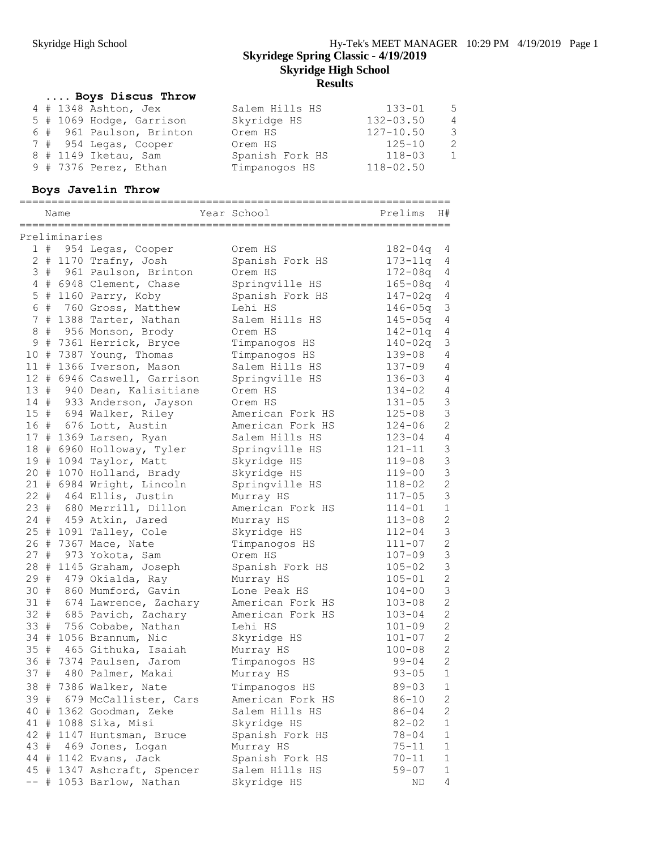# **Results**

| Boys Discus Throw        |                 |               |                |
|--------------------------|-----------------|---------------|----------------|
| 4 # 1348 Ashton, Jex     | Salem Hills HS  | $133 - 01$    | -5             |
| 5 # 1069 Hodge, Garrison | Skyridge HS     | $132 - 03.50$ | $\overline{4}$ |
| 6 # 961 Paulson, Brinton | Orem HS         | $127 - 10.50$ | -3             |
| 7 # 954 Legas, Cooper    | Orem HS         | $125 - 10$    | $\mathcal{L}$  |
| 8 # 1149 Iketau, Sam     | Spanish Fork HS | $118 - 03$    | $\mathbf{1}$   |
| 9 # 7376 Perez, Ethan    | Timpanogos HS   | $118 - 02.50$ |                |

#### **Boys Javelin Throw**

|                       | Name |               |                             |  | Year School      | Prelims     | H#             |
|-----------------------|------|---------------|-----------------------------|--|------------------|-------------|----------------|
|                       |      | Preliminaries |                             |  |                  |             |                |
|                       |      |               | 1 # 954 Legas, Cooper       |  | Orem HS          | $182 - 04q$ | 4              |
| $\mathbf{2}^{\prime}$ |      |               | # 1170 Trafny, Josh         |  | Spanish Fork HS  | $173 - 11q$ | 4              |
| 3                     |      |               | # 961 Paulson, Brinton      |  | Orem HS          | $172 - 08q$ | 4              |
|                       |      |               | 4 # 6948 Clement, Chase     |  | Springville HS   | $165 - 08q$ | 4              |
| 5                     |      |               | # 1160 Parry, Koby          |  | Spanish Fork HS  | 147-02q     | 4              |
|                       |      |               | 6 # 760 Gross, Matthew      |  | Lehi HS          | $146 - 05q$ | 3              |
| $7\phantom{.}$        |      |               | # 1388 Tarter, Nathan       |  | Salem Hills HS   | $145 - 05q$ | 4              |
| 8                     |      |               | # 956 Monson, Brody         |  | Orem HS          | $142 - 01q$ | 4              |
| 9                     |      |               | # 7361 Herrick, Bryce       |  | Timpanogos HS    | $140 - 02q$ | $\mathfrak{Z}$ |
|                       |      |               | 10 # 7387 Young, Thomas     |  | Timpanogos HS    | $139 - 08$  | 4              |
|                       |      |               | 11 # 1366 Iverson, Mason    |  | Salem Hills HS   | $137 - 09$  | 4              |
|                       |      |               | 12 # 6946 Caswell, Garrison |  | Springville HS   | $136 - 03$  | 4              |
|                       |      |               | 13 # 940 Dean, Kalisitiane  |  | Orem HS          | $134 - 02$  | 4              |
|                       |      |               | 14 # 933 Anderson, Jayson   |  | Orem HS          | $131 - 05$  | $\mathfrak{Z}$ |
|                       |      |               | 15 # 694 Walker, Riley      |  | American Fork HS | $125 - 08$  | $\mathsf 3$    |
|                       |      |               | 16 # 676 Lott, Austin       |  | American Fork HS | 124-06      | $\mathbf{2}$   |
|                       |      |               | 17 # 1369 Larsen, Ryan      |  | Salem Hills HS   | 123-04      | $\overline{4}$ |
|                       |      |               | 18 # 6960 Holloway, Tyler   |  | Springville HS   | $121 - 11$  | $\mathsf 3$    |
|                       |      |               | 19 # 1094 Taylor, Matt      |  | Skyridge HS      | $119 - 08$  | $\mathsf 3$    |
|                       |      |               | 20 # 1070 Holland, Brady    |  | Skyridge HS      | $119 - 00$  | $\mathsf 3$    |
|                       |      |               | 21 # 6984 Wright, Lincoln   |  | Springville HS   | $118 - 02$  | $\overline{c}$ |
|                       |      |               | 22 # 464 Ellis, Justin      |  | Murray HS        | $117 - 05$  | $\mathfrak{Z}$ |
|                       |      |               | 23 # 680 Merrill, Dillon    |  | American Fork HS | $114 - 01$  | $1\,$          |
|                       |      |               | 24 # 459 Atkin, Jared       |  | Murray HS        | $113 - 08$  | $\mathbf{2}$   |
|                       |      |               | 25 # 1091 Talley, Cole      |  | Skyridge HS      | $112 - 04$  | $\mathsf 3$    |
|                       |      |               | 26 # 7367 Mace, Nate        |  | Timpanogos HS    | $111 - 07$  | $\overline{c}$ |
|                       |      |               | 27 # 973 Yokota, Sam        |  | Orem HS          | 107-09      | $\mathsf 3$    |
|                       |      |               | 28 # 1145 Graham, Joseph    |  | Spanish Fork HS  | $105 - 02$  | $\mathsf 3$    |
|                       |      |               | 29 # 479 Okialda, Ray       |  | Murray HS        | $105 - 01$  | $\overline{c}$ |
| 30 #                  |      |               | 860 Mumford, Gavin          |  | Lone Peak HS     | $104 - 00$  | 3              |
|                       |      |               | 31 # 674 Lawrence, Zachary  |  | American Fork HS | $103 - 08$  | $\overline{2}$ |
|                       |      |               | 32 # 685 Pavich, Zachary    |  | American Fork HS | $103 - 04$  | $\overline{2}$ |
|                       |      |               | 33 # 756 Cobabe, Nathan     |  | Lehi HS          | $101 - 09$  | $\overline{2}$ |
|                       |      |               | 34 # 1056 Brannum, Nic      |  | Skyridge HS      | $101 - 07$  | $\mathbf{2}$   |
|                       |      |               | 35 # 465 Githuka, Isaiah    |  | Murray HS        | $100 - 08$  | $\mathbf{2}$   |
|                       |      |               | 36 # 7374 Paulsen, Jarom    |  | Timpanogos HS    | 99-04       | 2              |
| 37                    | #    |               | 480 Palmer, Makai           |  | Murray HS        | $93 - 05$   | 1              |
|                       |      |               | 38 # 7386 Walker, Nate      |  | Timpanogos HS    | $89 - 03$   | ı,             |
| 39 #                  |      |               | 679 McCallister, Cars       |  | American Fork HS | $86 - 10$   | $\mathbf{2}$   |
|                       |      |               | 40 # 1362 Goodman, Zeke     |  | Salem Hills HS   | $86 - 04$   | 2              |
|                       |      |               | 41 # 1088 Sika, Misi        |  | Skyridge HS      | $82 - 02$   | $\mathbf{1}$   |
|                       |      |               | 42 # 1147 Huntsman, Bruce   |  | Spanish Fork HS  | $78 - 04$   | 1              |
| 43 #                  |      |               | 469 Jones, Logan            |  | Murray HS        | $75 - 11$   | $\mathbf{1}$   |
|                       |      |               | 44 # 1142 Evans, Jack       |  | Spanish Fork HS  | $70 - 11$   | $\mathbf{1}$   |
|                       |      |               | 45 # 1347 Ashcraft, Spencer |  | Salem Hills HS   | $59 - 07$   | 1              |
| $--$                  | #    |               | 1053 Barlow, Nathan         |  | Skyridge HS      | ΝD          | 4              |